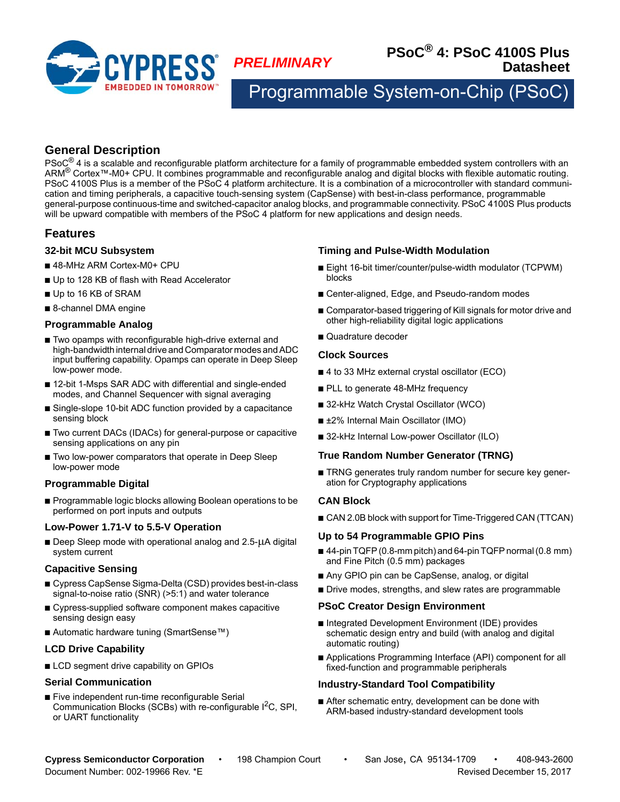

*PRELIMINARY* **PSoC® 4: PSoC 4100S Plus Datasheet**

Programmable System-on-Chip (PSod

# **General Description**

PSoC<sup>®</sup> 4 is a scalable and reconfigurable platform architecture for a family of programmable embedded system controllers with an ARM® Cortex™-M0+ CPU. It combines programmable and reconfigurable analog and digital blocks with flexible automatic routing. PSoC 4100S Plus is a member of the PSoC 4 platform architecture. It is a combination of a microcontroller with standard communication and timing peripherals, a capacitive touch-sensing system (CapSense) with best-in-class performance, programmable general-purpose continuous-time and switched-capacitor analog blocks, and programmable connectivity. PSoC 4100S Plus products will be upward compatible with members of the PSoC 4 platform for new applications and design needs.

# **Features**

### **32-bit MCU Subsystem**

- 48-MHz ARM Cortex-M0+ CPU
- Up to 128 KB of flash with Read Accelerator
- Up to 16 KB of SRAM
- 8-channel DMA engine

### **Programmable Analog**

- Two opamps with reconfigurable high-drive external and high-bandwidth internal drive and Comparator modes and ADC input buffering capability. Opamps can operate in Deep Sleep low-power mode.
- 12-bit 1-Msps SAR ADC with differential and single-ended modes, and Channel Sequencer with signal averaging
- Single-slope 10-bit ADC function provided by a capacitance sensing block
- Two current DACs (IDACs) for general-purpose or capacitive sensing applications on any pin
- Two low-power comparators that operate in Deep Sleep low-power mode

### **Programmable Digital**

■ Programmable logic blocks allowing Boolean operations to be performed on port inputs and outputs

### **Low-Power 1.71-V to 5.5-V Operation**

 $\blacksquare$  Deep Sleep mode with operational analog and 2.5- $\mu$ A digital system current

### **Capacitive Sensing**

- Cypress CapSense Sigma-Delta (CSD) provides best-in-class signal-to-noise ratio (SNR) (>5:1) and water tolerance
- Cypress-supplied software component makes capacitive sensing design easy
- Automatic hardware tuning (SmartSense™)

### **LCD Drive Capability**

■ LCD segment drive capability on GPIOs

### **Serial Communication**

■ Five independent run-time reconfigurable Serial Communication Blocks (SCBs) with re-configurable I<sup>2</sup>C, SPI, or UART functionality

## **Timing and Pulse-Width Modulation**

- Eight 16-bit timer/counter/pulse-width modulator (TCPWM) blocks
- Center-aligned, Edge, and Pseudo-random modes
- Comparator-based triggering of Kill signals for motor drive and other high-reliability digital logic applications
- Quadrature decoder

#### **Clock Sources**

- 4 to 33 MHz external crystal oscillator (ECO)
- PLL to generate 48-MHz frequency
- 32-kHz Watch Crystal Oscillator (WCO)
- ±2% Internal Main Oscillator (IMO)
- 32-kHz Internal Low-power Oscillator (ILO)

### **True Random Number Generator (TRNG)**

■ TRNG generates truly random number for secure key generation for Cryptography applications

### **CAN Block**

■ CAN 2.0B block with support for Time-Triggered CAN (TTCAN)

### **Up to 54 Programmable GPIO Pins**

- 44-pin TQFP (0.8-mm pitch) and 64-pin TQFP normal (0.8 mm) and Fine Pitch (0.5 mm) packages
- Any GPIO pin can be CapSense, analog, or digital
- Drive modes, strengths, and slew rates are programmable

#### **PSoC Creator Design Environment**

- Integrated Development Environment (IDE) provides schematic design entry and build (with analog and digital automatic routing)
- Applications Programming Interface (API) component for all fixed-function and programmable peripherals

### **Industry-Standard Tool Compatibility**

■ After schematic entry, development can be done with ARM-based industry-standard development tools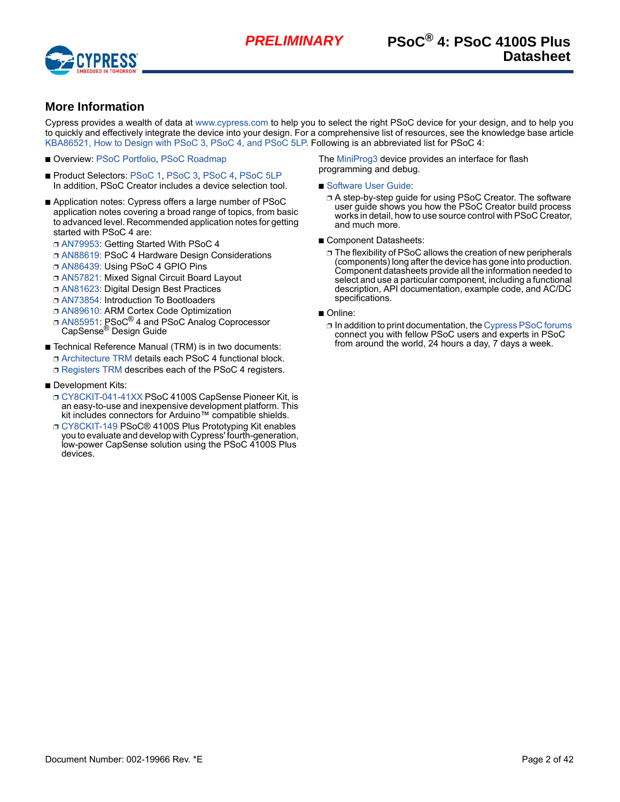

# **More Information**

Cypress provides a wealth of data at [www.cypress.com](http://www.cypress.com/) to help you to select the right PSoC device for your design, and to help you to quickly and effectively integrate the device into your design. For a comprehensive list of resources, see the knowledge base article [KBA86521, How to Design with PSoC 3, PSoC 4, and PSoC 5LP.](https://community.cypress.com/docs/DOC-9422) Following is an abbreviated list for PSoC 4:

- Overview: [PSoC Portfolio,](http://www.cypress.com/products/microcontrollers-mcus) [PSoC Roadmap](http://www.cypress.com/product-roadmaps/cypress-platform-psoc-solutions-roadmap)
- Product Selectors: [PSoC 1,](http://www.cypress.com/products/psoc-1) [PSoC 3,](http://www.cypress.com/products/psoc-3) [PSoC 4,](http://www.cypress.com/products/32-bit-arm-cortex-m0-psoc-4) [PSoC 5LP](http://www.cypress.com/products/32-bit-arm-cortex-m3-psoc-5lp) In addition, PSoC Creator includes a device selection tool.
- Application notes: Cypress offers a large number of PSoC application notes covering a broad range of topics, from basic to advanced level. Recommended application notes for getting started with PSoC 4 are:
	- ❐ [AN79953](http://www.cypress.com/go/an79953): Getting Started With PSoC 4
	- ❐ [AN88619:](http://www.cypress.com/go/an88619) PSoC 4 Hardware Design Considerations
	- ❐ [AN86439:](http://www.cypress.com/go/an86439) Using PSoC 4 GPIO Pins
	- ❐ [AN57821:](http://www.cypress.com/go/an57821) Mixed Signal Circuit Board Layout
	- ❐ [AN81623:](http://www.cypress.com/go/an81623) Digital Design Best Practices
	- ❐ [AN73854:](http://www.cypress.com/go/an73854) Introduction To Bootloaders
	- ❐ [AN89610:](http://www.cypress.com/go/an89610) ARM Cortex Code Optimization
	- **□ [AN85951](http://www.cypress.com/documentation/application-notes/an85951-psoc-4-and-psoc-analog-coprocessor-capsense-design-guide): PSoC<sup>®</sup> 4 and PSoC Analog Coprocessor** CapSense<sup>®</sup> Design Guide
- Technical Reference Manual (TRM) is in two documents: ❐ [Architecture TRM](http://www.cypress.com/documentation/technical-reference-manuals/psoc-4100s-family-psoc-4-architecture-technical-reference) details each PSoC 4 functional block. ❐ [Registers TRM](www.cypress.com/psoc4100splusregistertrm) describes each of the PSoC 4 registers.
- Development Kits:
	- ❐ [CY8CKIT-041-41XX](http://www.cypress.com/documentation/development-kitsboards/cy8ckit-041-41xx-psoc-4100s-capsense-pioneer-kit) PSoC 4100S CapSense Pioneer Kit, is an easy-to-use and inexpensive development platform. This kit includes connectors for Arduino™ compatible shields.
	- ❐ [CY8CKIT-149](www.cypress.com/cy8ckit-149) PSoC® 4100S Plus Prototyping Kit enables you to evaluate and develop with Cypress' fourth-generation, low-power CapSense solution using the PSoC 4100S Plus devices.

The [MiniProg3](http://www.cypress.com/go/cy8ckit-002) device provides an interface for flash programming and debug.

- [Software User Guide](http://www.cypress.com/documentation/other-resources/psoc-creator-user-guide):
	- ❐ A step-by-step guide for using PSoC Creator. The software user guide shows you how the PSoC Creator build process works in detail, how to use source control with PSoC Creator, and much more.
- Component Datasheets:
	- ❐ The flexibility of PSoC allows the creation of new peripherals (components) long after the device has gone into production. Component datasheets provide all the information needed to select and use a particular component, including a functional description, API documentation, example code, and AC/DC specifications.
- Online:
	- ❐ In addition to print documentation, the [Cypress PSoC forums](http://www.cypress.com/blog/psoc-creator-news-and-information/cypress-psoc-forums-free-development-kits-good-posts-be) connect you with fellow PSoC users and experts in PSoC from around the world, 24 hours a day, 7 days a week.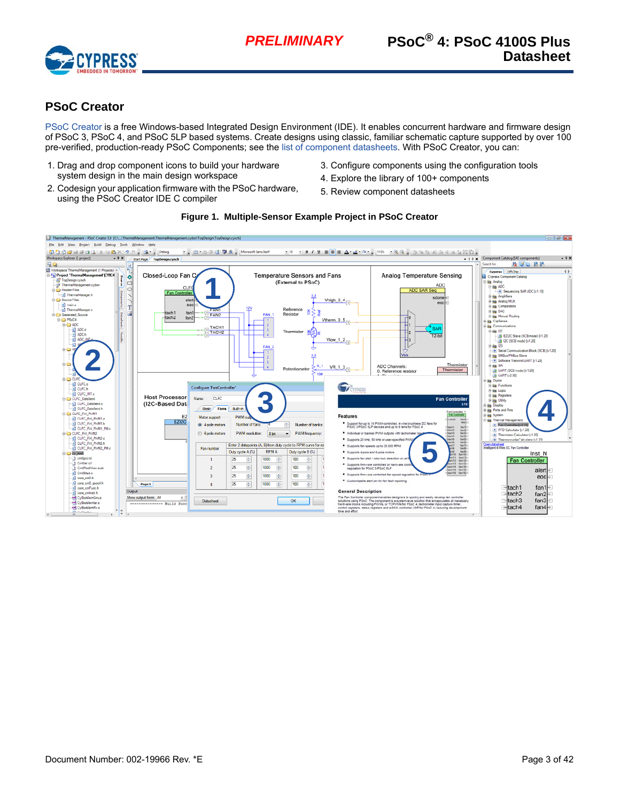

# **PSoC Creator**

[PSoC Creator](http://www.cypress.com/products/psoc-creator-integrated-design-environment-ide) is a free Windows-based Integrated Design Environment (IDE). It enables concurrent hardware and firmware design of PSoC 3, PSoC 4, and PSoC 5LP based systems. Create designs using classic, familiar schematic capture supported by over 100 pre-verified, production-ready PSoC Components; see the [list of component datasheets.](http://www.cypress.com/?app=search&searchType=advanced&keyword=&rtID=377&id=4749&applicationID=0&l=0) With PSoC Creator, you can:

- 1. Drag and drop component icons to build your hardware system design in the main design workspace
- 2. Codesign your application firmware with the PSoC hardware, using the PSoC Creator IDE C compiler
- 3. Configure components using the configuration tools
- 4. Explore the library of 100+ components
- 5. Review component datasheets



**Figure 1. Multiple-Sensor Example Project in PSoC Creator**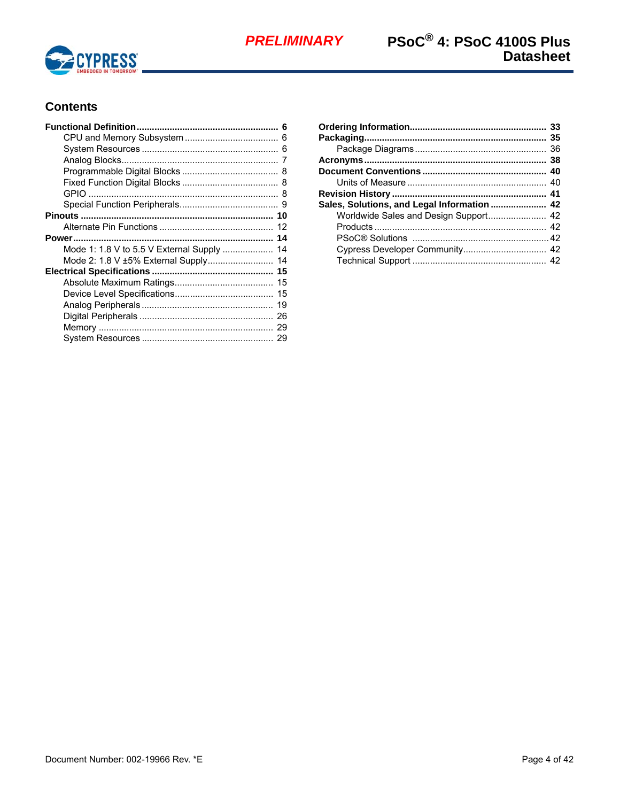

# **Contents**

| Mode 1: 1.8 V to 5.5 V External Supply  14 |  |
|--------------------------------------------|--|
|                                            |  |
|                                            |  |
|                                            |  |
|                                            |  |
|                                            |  |
|                                            |  |
|                                            |  |
|                                            |  |
|                                            |  |

| Sales, Solutions, and Legal Information  42 |  |
|---------------------------------------------|--|
|                                             |  |
|                                             |  |
|                                             |  |
|                                             |  |
|                                             |  |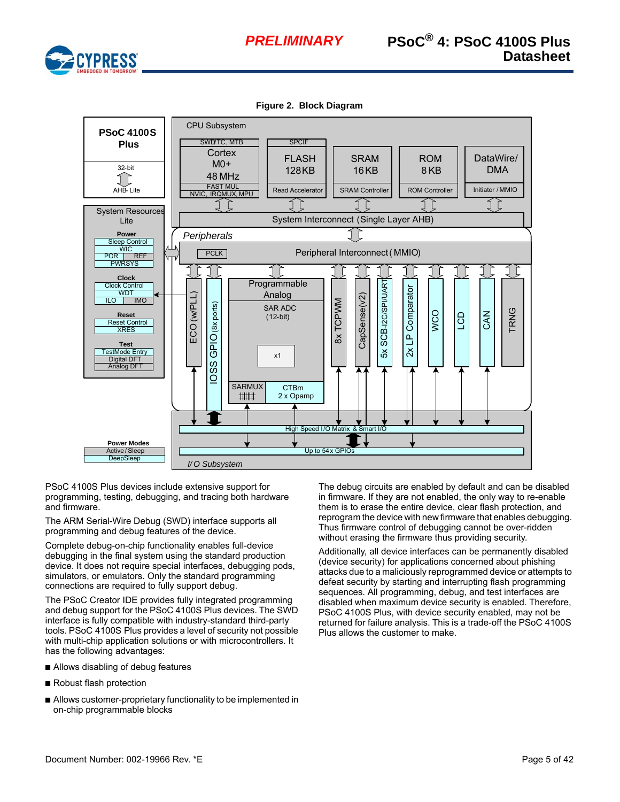



**Figure 2. Block Diagram**



PSoC 4100S Plus devices include extensive support for programming, testing, debugging, and tracing both hardware and firmware.

The ARM Serial-Wire Debug (SWD) interface supports all programming and debug features of the device.

Complete debug-on-chip functionality enables full-device debugging in the final system using the standard production device. It does not require special interfaces, debugging pods, simulators, or emulators. Only the standard programming connections are required to fully support debug.

The PSoC Creator IDE provides fully integrated programming and debug support for the PSoC 4100S Plus devices. The SWD interface is fully compatible with industry-standard third-party tools. PSoC 4100S Plus provides a level of security not possible with multi-chip application solutions or with microcontrollers. It has the following advantages:

- Allows disabling of debug features
- Robust flash protection
- Allows customer-proprietary functionality to be implemented in on-chip programmable blocks

The debug circuits are enabled by default and can be disabled in firmware. If they are not enabled, the only way to re-enable them is to erase the entire device, clear flash protection, and reprogram the device with new firmware that enables debugging. Thus firmware control of debugging cannot be over-ridden without erasing the firmware thus providing security.

Additionally, all device interfaces can be permanently disabled (device security) for applications concerned about phishing attacks due to a maliciously reprogrammed device or attempts to defeat security by starting and interrupting flash programming sequences. All programming, debug, and test interfaces are disabled when maximum device security is enabled. Therefore, PSoC 4100S Plus, with device security enabled, may not be returned for failure analysis. This is a trade-off the PSoC 4100S Plus allows the customer to make.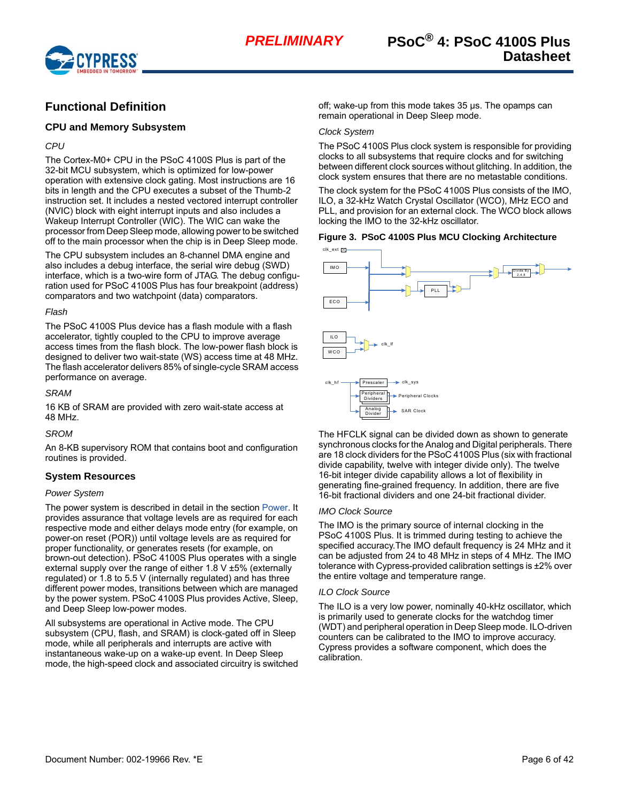

# <span id="page-5-0"></span>**Functional Definition**

### <span id="page-5-1"></span>**CPU and Memory Subsystem**

### *CPU*

The Cortex-M0+ CPU in the PSoC 4100S Plus is part of the 32-bit MCU subsystem, which is optimized for low-power operation with extensive clock gating. Most instructions are 16 bits in length and the CPU executes a subset of the Thumb-2 instruction set. It includes a nested vectored interrupt controller (NVIC) block with eight interrupt inputs and also includes a Wakeup Interrupt Controller (WIC). The WIC can wake the processor from Deep Sleep mode, allowing power to be switched off to the main processor when the chip is in Deep Sleep mode.

The CPU subsystem includes an 8-channel DMA engine and also includes a debug interface, the serial wire debug (SWD) interface, which is a two-wire form of JTAG. The debug configuration used for PSoC 4100S Plus has four breakpoint (address) comparators and two watchpoint (data) comparators.

#### *Flash*

The PSoC 4100S Plus device has a flash module with a flash accelerator, tightly coupled to the CPU to improve average access times from the flash block. The low-power flash block is designed to deliver two wait-state (WS) access time at 48 MHz. The flash accelerator delivers 85% of single-cycle SRAM access performance on average.

*SRAM*

16 KB of SRAM are provided with zero wait-state access at 48 MHz.

*SROM*

An 8-KB supervisory ROM that contains boot and configuration routines is provided.

# <span id="page-5-2"></span>**System Resources**

### *Power System*

The power system is described in detail in the section [Power](#page-13-0). It provides assurance that voltage levels are as required for each respective mode and either delays mode entry (for example, on power-on reset (POR)) until voltage levels are as required for proper functionality, or generates resets (for example, on brown-out detection). PSoC 4100S Plus operates with a single external supply over the range of either 1.8 V ±5% (externally regulated) or 1.8 to 5.5 V (internally regulated) and has three different power modes, transitions between which are managed by the power system. PSoC 4100S Plus provides Active, Sleep, and Deep Sleep low-power modes.

All subsystems are operational in Active mode. The CPU subsystem (CPU, flash, and SRAM) is clock-gated off in Sleep mode, while all peripherals and interrupts are active with instantaneous wake-up on a wake-up event. In Deep Sleep mode, the high-speed clock and associated circuitry is switched off; wake-up from this mode takes 35 µs. The opamps can remain operational in Deep Sleep mode.

## *Clock System*

The PSoC 4100S Plus clock system is responsible for providing clocks to all subsystems that require clocks and for switching between different clock sources without glitching. In addition, the clock system ensures that there are no metastable conditions.

The clock system for the PSoC 4100S Plus consists of the IMO, ILO, a 32-kHz Watch Crystal Oscillator (WCO), MHz ECO and PLL, and provision for an external clock. The WCO block allows locking the IMO to the 32-kHz oscillator.

#### **Figure 3. PSoC 4100S Plus MCU Clocking Architecture**



The HFCLK signal can be divided down as shown to generate synchronous clocks for the Analog and Digital peripherals. There are 18 clock dividers for the PSoC 4100S Plus (six with fractional divide capability, twelve with integer divide only). The twelve 16-bit integer divide capability allows a lot of flexibility in generating fine-grained frequency. In addition, there are five 16-bit fractional dividers and one 24-bit fractional divider.

#### *IMO Clock Source*

The IMO is the primary source of internal clocking in the PSoC 4100S Plus. It is trimmed during testing to achieve the specified accuracy.The IMO default frequency is 24 MHz and it can be adjusted from 24 to 48 MHz in steps of 4 MHz. The IMO tolerance with Cypress-provided calibration settings is ±2% over the entire voltage and temperature range.

#### *ILO Clock Source*

The ILO is a very low power, nominally 40-kHz oscillator, which is primarily used to generate clocks for the watchdog timer (WDT) and peripheral operation in Deep Sleep mode. ILO-driven counters can be calibrated to the IMO to improve accuracy. Cypress provides a software component, which does the calibration.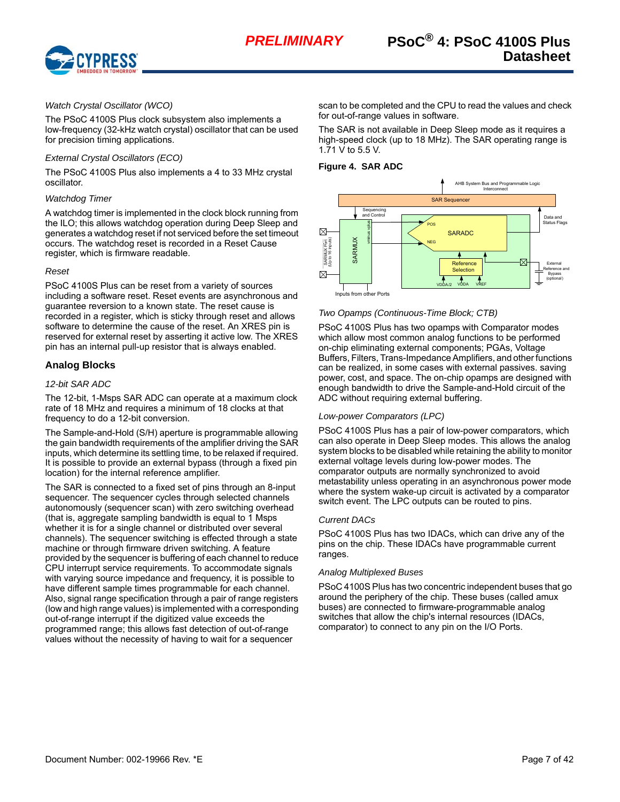

#### *Watch Crystal Oscillator (WCO)*

The PSoC 4100S Plus clock subsystem also implements a low-frequency (32-kHz watch crystal) oscillator that can be used for precision timing applications.

#### *External Crystal Oscillators (ECO)*

The PSoC 4100S Plus also implements a 4 to 33 MHz crystal oscillator.

#### *Watchdog Timer*

A watchdog timer is implemented in the clock block running from the ILO; this allows watchdog operation during Deep Sleep and generates a watchdog reset if not serviced before the set timeout occurs. The watchdog reset is recorded in a Reset Cause register, which is firmware readable.

#### *Reset*

PSoC 4100S Plus can be reset from a variety of sources including a software reset. Reset events are asynchronous and guarantee reversion to a known state. The reset cause is recorded in a register, which is sticky through reset and allows software to determine the cause of the reset. An XRES pin is reserved for external reset by asserting it active low. The XRES pin has an internal pull-up resistor that is always enabled.

#### <span id="page-6-0"></span>**Analog Blocks**

#### *12-bit SAR ADC*

The 12-bit, 1-Msps SAR ADC can operate at a maximum clock rate of 18 MHz and requires a minimum of 18 clocks at that frequency to do a 12-bit conversion.

The Sample-and-Hold (S/H) aperture is programmable allowing the gain bandwidth requirements of the amplifier driving the SAR inputs, which determine its settling time, to be relaxed if required. It is possible to provide an external bypass (through a fixed pin location) for the internal reference amplifier.

The SAR is connected to a fixed set of pins through an 8-input sequencer. The sequencer cycles through selected channels autonomously (sequencer scan) with zero switching overhead (that is, aggregate sampling bandwidth is equal to 1 Msps whether it is for a single channel or distributed over several channels). The sequencer switching is effected through a state machine or through firmware driven switching. A feature provided by the sequencer is buffering of each channel to reduce CPU interrupt service requirements. To accommodate signals with varying source impedance and frequency, it is possible to have different sample times programmable for each channel. Also, signal range specification through a pair of range registers (low and high range values) is implemented with a corresponding out-of-range interrupt if the digitized value exceeds the programmed range; this allows fast detection of out-of-range values without the necessity of having to wait for a sequencer

scan to be completed and the CPU to read the values and check for out-of-range values in software.

The SAR is not available in Deep Sleep mode as it requires a high-speed clock (up to 18 MHz). The SAR operating range is 1.71 V to 5.5 V.

#### **Figure 4. SAR ADC**



#### *Two Opamps (Continuous-Time Block; CTB)*

PSoC 4100S Plus has two opamps with Comparator modes which allow most common analog functions to be performed on-chip eliminating external components; PGAs, Voltage Buffers, Filters, Trans-Impedance Amplifiers, and other functions can be realized, in some cases with external passives. saving power, cost, and space. The on-chip opamps are designed with enough bandwidth to drive the Sample-and-Hold circuit of the ADC without requiring external buffering. Example to any pin on the Forts. The Continuous-Time Block; CTB)<br>
The Continuous-Time Block; CTB)<br>
PSoC 4100S Plus has two opamps with Comparator<br>
which allow most common analog functions to be port-thing eliminating exter

#### *Low-power Comparators (LPC)*

PSoC 4100S Plus has a pair of low-power comparators, which can also operate in Deep Sleep modes. This allows the analog system blocks to be disabled while retaining the ability to monitor external voltage levels during low-power modes. The comparator outputs are normally synchronized to avoid metastability unless operating in an asynchronous power mode where the system wake-up circuit is activated by a comparator switch event. The LPC outputs can be routed to pins.

#### *Current DACs*

PSoC 4100S Plus has two IDACs, which can drive any of the pins on the chip. These IDACs have programmable current ranges.

#### *Analog Multiplexed Buses*

PSoC 4100S Plus has two concentric independent buses that go around the periphery of the chip. These buses (called amux buses) are connected to firmware-programmable analog switches that allow the chip's internal resources (IDACs,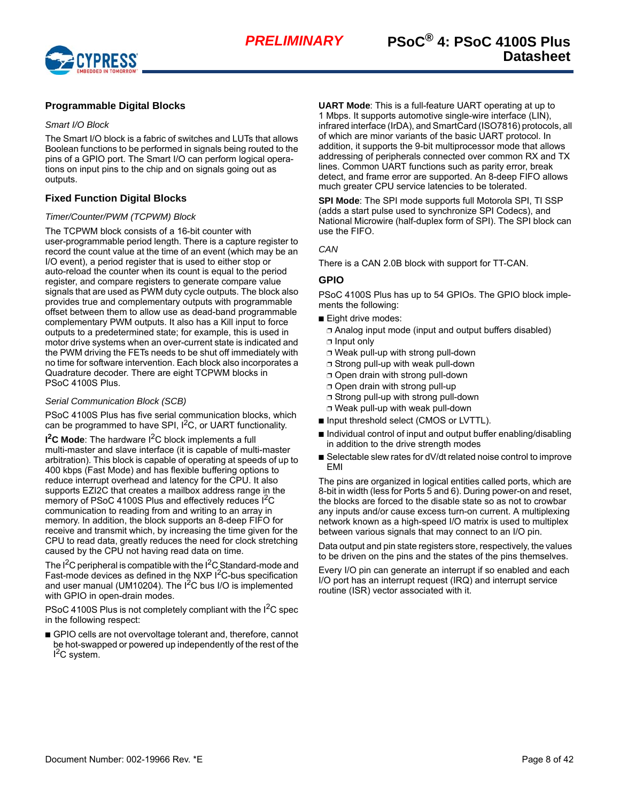

# <span id="page-7-0"></span>**Programmable Digital Blocks**

#### *Smart I/O Block*

The Smart I/O block is a fabric of switches and LUTs that allows Boolean functions to be performed in signals being routed to the pins of a GPIO port. The Smart I/O can perform logical operations on input pins to the chip and on signals going out as outputs.

### <span id="page-7-1"></span>**Fixed Function Digital Blocks**

#### *Timer/Counter/PWM (TCPWM) Block*

The TCPWM block consists of a 16-bit counter with user-programmable period length. There is a capture register to record the count value at the time of an event (which may be an I/O event), a period register that is used to either stop or auto-reload the counter when its count is equal to the period register, and compare registers to generate compare value signals that are used as PWM duty cycle outputs. The block also provides true and complementary outputs with programmable offset between them to allow use as dead-band programmable complementary PWM outputs. It also has a Kill input to force outputs to a predetermined state; for example, this is used in motor drive systems when an over-current state is indicated and the PWM driving the FETs needs to be shut off immediately with no time for software intervention. Each block also incorporates a Quadrature decoder. There are eight TCPWM blocks in PSoC 4100S Plus.

#### *Serial Communication Block (SCB)*

PSoC 4100S Plus has five serial communication blocks, which can be programmed to have SPI, I<sup>2</sup>C, or UART functionality.

**I 2C Mode**: The hardware I2C block implements a full multi-master and slave interface (it is capable of multi-master arbitration). This block is capable of operating at speeds of up to 400 kbps (Fast Mode) and has flexible buffering options to reduce interrupt overhead and latency for the CPU. It also supports EZI2C that creates a mailbox address range in the memory of PSoC 4100S Plus and effectively reduces I<sup>2</sup>C communication to reading from and writing to an array in memory. In addition, the block supports an 8-deep FIFO for receive and transmit which, by increasing the time given for the CPU to read data, greatly reduces the need for clock stretching caused by the CPU not having read data on time.

The  $I^2C$  peripheral is compatible with the  $I^2C$  Standard-mode and Fast-mode devices as defined in the NXP  $I<sup>2</sup>C$ -bus specification and user manual (UM10204). The  $I^2C$  bus I/O is implemented with GPIO in open-drain modes.

PSoC 4100S Plus is not completely compliant with the  $1<sup>2</sup>C$  spec in the following respect:

■ GPIO cells are not overvoltage tolerant and, therefore, cannot be hot-swapped or powered up independently of the rest of the <sup>2</sup>C system.

**UART Mode**: This is a full-feature UART operating at up to 1 Mbps. It supports automotive single-wire interface (LIN), infrared interface (IrDA), and SmartCard (ISO7816) protocols, all of which are minor variants of the basic UART protocol. In addition, it supports the 9-bit multiprocessor mode that allows addressing of peripherals connected over common RX and TX lines. Common UART functions such as parity error, break detect, and frame error are supported. An 8-deep FIFO allows much greater CPU service latencies to be tolerated.

**SPI Mode**: The SPI mode supports full Motorola SPI, TI SSP (adds a start pulse used to synchronize SPI Codecs), and National Microwire (half-duplex form of SPI). The SPI block can use the FIFO.

#### *CAN*

There is a CAN 2.0B block with support for TT-CAN.

#### <span id="page-7-2"></span>**GPIO**

PSoC 4100S Plus has up to 54 GPIOs. The GPIO block implements the following:

- Eight drive modes:
- ❐ Analog input mode (input and output buffers disabled)
- ❐ Input only
- ❐ Weak pull-up with strong pull-down
- □ Strong pull-up with weak pull-down
- ❐ Open drain with strong pull-down
- ❐ Open drain with strong pull-up
- ❐ Strong pull-up with strong pull-down
- ❐ Weak pull-up with weak pull-down
- Input threshold select (CMOS or LVTTL).
- Individual control of input and output buffer enabling/disabling in addition to the drive strength modes
- Selectable slew rates for dV/dt related noise control to improve EMI

The pins are organized in logical entities called ports, which are 8-bit in width (less for Ports 5 and 6). During power-on and reset, the blocks are forced to the disable state so as not to crowbar any inputs and/or cause excess turn-on current. A multiplexing network known as a high-speed I/O matrix is used to multiplex between various signals that may connect to an I/O pin.

Data output and pin state registers store, respectively, the values to be driven on the pins and the states of the pins themselves.

Every I/O pin can generate an interrupt if so enabled and each I/O port has an interrupt request (IRQ) and interrupt service routine (ISR) vector associated with it.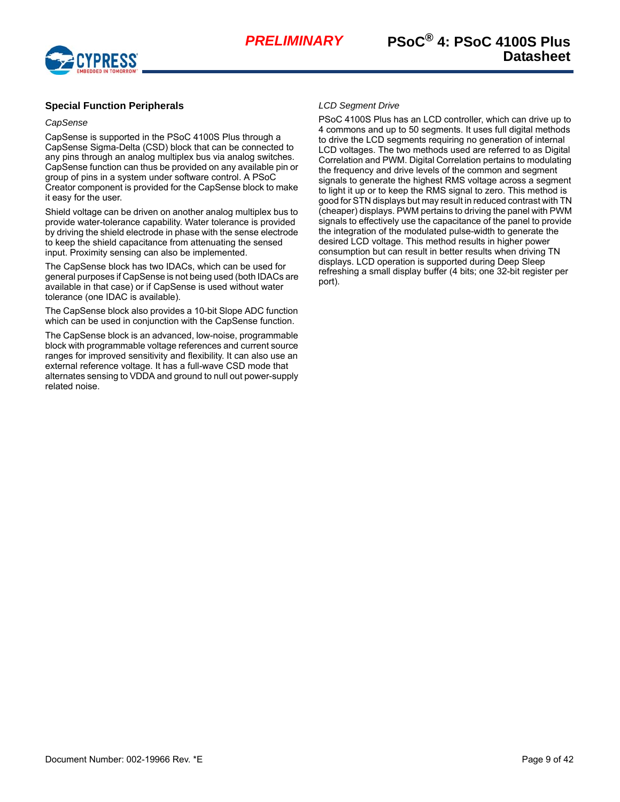

# <span id="page-8-0"></span>**Special Function Peripherals**

#### *CapSense*

CapSense is supported in the PSoC 4100S Plus through a CapSense Sigma-Delta (CSD) block that can be connected to any pins through an analog multiplex bus via analog switches. CapSense function can thus be provided on any available pin or group of pins in a system under software control. A PSoC Creator component is provided for the CapSense block to make it easy for the user.

Shield voltage can be driven on another analog multiplex bus to provide water-tolerance capability. Water tolerance is provided by driving the shield electrode in phase with the sense electrode to keep the shield capacitance from attenuating the sensed input. Proximity sensing can also be implemented.

The CapSense block has two IDACs, which can be used for general purposes if CapSense is not being used (both IDACs are available in that case) or if CapSense is used without water tolerance (one IDAC is available).

The CapSense block also provides a 10-bit Slope ADC function which can be used in conjunction with the CapSense function.

The CapSense block is an advanced, low-noise, programmable block with programmable voltage references and current source ranges for improved sensitivity and flexibility. It can also use an external reference voltage. It has a full-wave CSD mode that alternates sensing to VDDA and ground to null out power-supply related noise.

#### *LCD Segment Drive*

PSoC 4100S Plus has an LCD controller, which can drive up to 4 commons and up to 50 segments. It uses full digital methods to drive the LCD segments requiring no generation of internal LCD voltages. The two methods used are referred to as Digital Correlation and PWM. Digital Correlation pertains to modulating the frequency and drive levels of the common and segment signals to generate the highest RMS voltage across a segment to light it up or to keep the RMS signal to zero. This method is good for STN displays but may result in reduced contrast with TN (cheaper) displays. PWM pertains to driving the panel with PWM signals to effectively use the capacitance of the panel to provide the integration of the modulated pulse-width to generate the desired LCD voltage. This method results in higher power consumption but can result in better results when driving TN displays. LCD operation is supported during Deep Sleep refreshing a small display buffer (4 bits; one 32-bit register per port).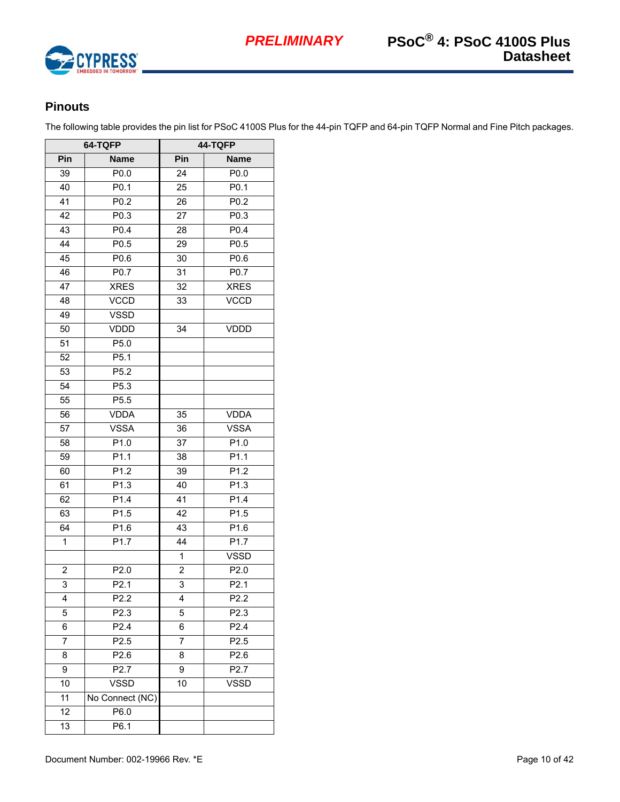

# <span id="page-9-0"></span>**Pinouts**

The following table provides the pin list for PSoC 4100S Plus for the 44-pin TQFP and 64-pin TQFP Normal and Fine Pitch packages.

|                | 64-TQFP           | 44-TQFP        |                   |  |  |  |
|----------------|-------------------|----------------|-------------------|--|--|--|
| Pin            | <b>Name</b>       | Pin            | <b>Name</b>       |  |  |  |
| 39             | P <sub>0.0</sub>  | 24             | P0.0              |  |  |  |
| 40             | P0.1              | 25             | P0.1              |  |  |  |
| 41             | $P0.\overline{2}$ | 26             | P0.2              |  |  |  |
| 42             | $\overline{P0.3}$ | 27             | P0.3              |  |  |  |
| 43             | P0.4              | 28             | P0.4              |  |  |  |
| 44             | P0.5              | 29             | P0.5              |  |  |  |
| 45             | P0.6              | 30             | $\overline{P0.6}$ |  |  |  |
| 46             | P0.7              | 31             | P0.7              |  |  |  |
| 47             | <b>XRES</b>       | 32             | <b>XRES</b>       |  |  |  |
| 48             | <b>VCCD</b>       | 33             | <b>VCCD</b>       |  |  |  |
| 49             | <b>VSSD</b>       |                |                   |  |  |  |
| 50             | VDDD              | 34             | <b>VDDD</b>       |  |  |  |
| 51             | P5.0              |                |                   |  |  |  |
| 52             | P5.1              |                |                   |  |  |  |
| 53             | P <sub>5.2</sub>  |                |                   |  |  |  |
| 54             | P5.3              |                |                   |  |  |  |
| 55             | P <sub>5.5</sub>  |                |                   |  |  |  |
| 56             | <b>VDDA</b>       | 35             | <b>VDDA</b>       |  |  |  |
| 57             | <b>VSSA</b>       | 36             | <b>VSSA</b>       |  |  |  |
| 58             | P1.0              | 37             | P1.0              |  |  |  |
| 59             | P1.1              | 38             | P1.1              |  |  |  |
| 60             | $P1.\overline{2}$ | 39             | P1.2              |  |  |  |
| 61             | P1.3              | 40             | P1.3              |  |  |  |
| 62             | P1.4              | 41             | P1.4              |  |  |  |
| 63             | P1.5              | 42             | P1.5              |  |  |  |
| 64             | P1.6              | 43             | P1.6              |  |  |  |
| 1              | P1.7              | 44             | P1.7              |  |  |  |
|                |                   | 1              | <b>VSSD</b>       |  |  |  |
| $\overline{2}$ | P2.0              | $\overline{2}$ | P2.0              |  |  |  |
| 3              | P <sub>2.1</sub>  | 3              | P <sub>2.1</sub>  |  |  |  |
| 4              | P2.2              | 4              | P2.2              |  |  |  |
| 5              | P2.3              | 5              | P2.3              |  |  |  |
| 6              | P2.4              | 6              | P2.4              |  |  |  |
| 7              | P <sub>2.5</sub>  | 7              | P2.5              |  |  |  |
| 8              | P2.6              | 8              | P2.6              |  |  |  |
| 9              | P2.7              | 9              | P <sub>2.7</sub>  |  |  |  |
| 10             | <b>VSSD</b>       | 10             | <b>VSSD</b>       |  |  |  |
| 11             | No Connect (NC)   |                |                   |  |  |  |
| 12             | P6.0              |                |                   |  |  |  |
| 13             | P6.1              |                |                   |  |  |  |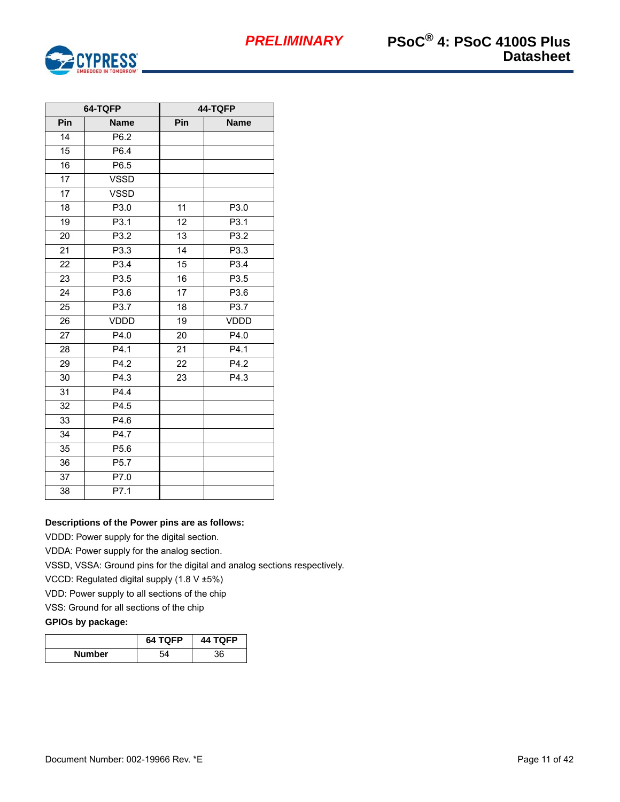

|                 | 64-TQFP     | 44-TQFP         |                  |  |  |  |  |
|-----------------|-------------|-----------------|------------------|--|--|--|--|
| Pin             | <b>Name</b> | Pin             | <b>Name</b>      |  |  |  |  |
| 14              | P6.2        |                 |                  |  |  |  |  |
| 15              | P6.4        |                 |                  |  |  |  |  |
| 16              | P6.5        |                 |                  |  |  |  |  |
| $\overline{17}$ | <b>VSSD</b> |                 |                  |  |  |  |  |
| 17              | <b>VSSD</b> |                 |                  |  |  |  |  |
| 18              | P3.0        | 11              | P3.0             |  |  |  |  |
| 19              | P3.1        | 12              | P3.1             |  |  |  |  |
| 20              | P3.2        | 13              | P3.2             |  |  |  |  |
| 21              | P3.3        | 14              | P3.3             |  |  |  |  |
| 22              | P3.4        | 15              | P3.4             |  |  |  |  |
| 23              | P3.5        | 16              | P3.5             |  |  |  |  |
| 24              | P3.6        | $\overline{17}$ | P3.6             |  |  |  |  |
| 25              | P3.7        | 18              | P3.7             |  |  |  |  |
| 26              | <b>VDDD</b> | 19              | <b>VDDD</b>      |  |  |  |  |
| 27              | P4.0        | 20              | P4.0             |  |  |  |  |
| 28              | P4.1        | 21              | P4.1             |  |  |  |  |
| 29              | P4.2        | 22              | P4.2             |  |  |  |  |
| 30              | P4.3        | 23              | P <sub>4.3</sub> |  |  |  |  |
| 31              | P4.4        |                 |                  |  |  |  |  |
| 32              | P4.5        |                 |                  |  |  |  |  |
| 33              | P4.6        |                 |                  |  |  |  |  |
| 34              | P4.7        |                 |                  |  |  |  |  |
| 35              | P5.6        |                 |                  |  |  |  |  |
| 36              | P5.7        |                 |                  |  |  |  |  |
| 37              | P7.0        |                 |                  |  |  |  |  |
| 38              | P7.1        |                 |                  |  |  |  |  |

### **Descriptions of the Power pins are as follows:**

VDDD: Power supply for the digital section.

VDDA: Power supply for the analog section.

VSSD, VSSA: Ground pins for the digital and analog sections respectively.

VCCD: Regulated digital supply (1.8 V ±5%)

VDD: Power supply to all sections of the chip

VSS: Ground for all sections of the chip

# **GPIOs by package:**

|               | 64 TQFP | <b>44 TQFP</b> |
|---------------|---------|----------------|
| <b>Number</b> |         | 36             |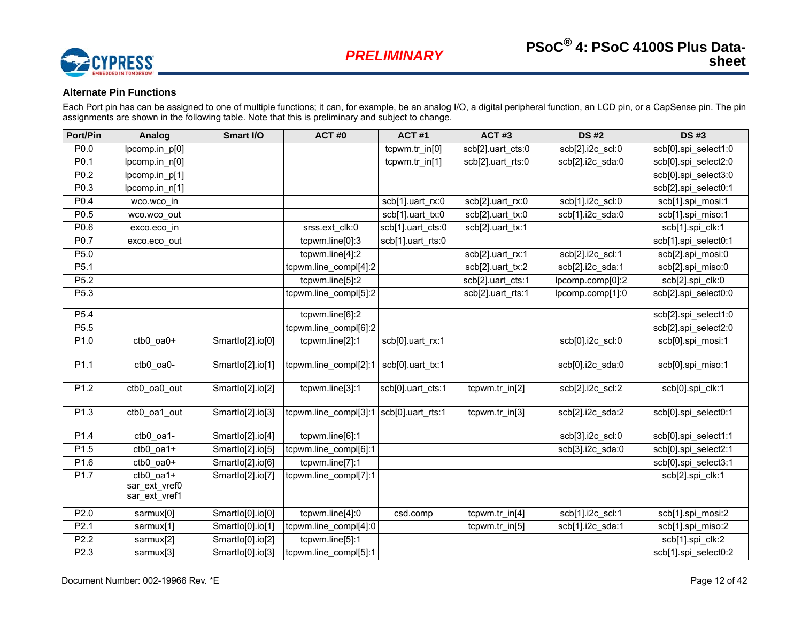

# **Alternate Pin Functions**

Each Port pin has can be assigned to one of multiple functions; it can, for example, be an analog I/O, a digital peripheral function, an LCD pin, or a CapSense pin. The pin assignments are shown in the following table. Note that this is preliminary and subject to change.

<span id="page-11-0"></span>

| Port/Pin | Analog                                         | Smart I/O        | ACT#0                 | <b>ACT#1</b>                          | <b>ACT#3</b>      | <b>DS#2</b>      | <b>DS#3</b>          |
|----------|------------------------------------------------|------------------|-----------------------|---------------------------------------|-------------------|------------------|----------------------|
| P0.0     | lpcomp.in_p[0]                                 |                  |                       | tcpwm.tr_in[0]                        | scb[2].uart_cts:0 | scb[2].i2c_scl:0 | scb[0].spi_select1:0 |
| P0.1     | lpcomp.in_n[0]                                 |                  |                       | tcpwm.tr_in[1]                        | scb[2].uart_rts:0 | scb[2].i2c_sda:0 | scb[0].spi_select2:0 |
| P0.2     | lpcomp.in_p[1]                                 |                  |                       |                                       |                   |                  | scb[0].spi_select3:0 |
| P0.3     | lpcomp.in_n[1]                                 |                  |                       |                                       |                   |                  | scb[2].spi_select0:1 |
| P0.4     | wco.wco_in                                     |                  |                       | $\overline{\text{scb}}[1]$ .uart_rx:0 | scb[2].uart_rx:0  | scb[1].i2c_scl:0 | scb[1].spi mosi:1    |
| P0.5     | wco.wco_out                                    |                  |                       | scb[1].uart_tx:0                      | scb[2].uart tx:0  | scb[1].i2c_sda:0 | scb[1].spi_miso:1    |
| P0.6     | exco.eco_in                                    |                  | srss.ext_clk:0        | scb[1].uart_cts:0                     | scb[2].uart_tx:1  |                  | scb[1].spi_clk:1     |
| P0.7     | exco.eco out                                   |                  | tcpwm.line[0]:3       | scb[1].uart rts:0                     |                   |                  | scb[1].spi select0:1 |
| P5.0     |                                                |                  | tcpwm.line[4]:2       |                                       | scb[2].uart_rx:1  | scb[2].i2c_scl:1 | scb[2].spi_mosi:0    |
| P5.1     |                                                |                  | tcpwm.line_compl[4]:2 |                                       | scb[2].uart_tx:2  | scb[2].i2c_sda:1 | scb[2].spi_miso:0    |
| P5.2     |                                                |                  | tcpwm.line[5]:2       |                                       | scb[2].uart_cts:1 | lpcomp.comp[0]:2 | scb[2].spi_clk:0     |
| P5.3     |                                                |                  | tcpwm.line_compl[5]:2 |                                       | scb[2].uart_rts:1 | lpcomp.comp[1]:0 | scb[2].spi select0:0 |
| P5.4     |                                                |                  | tcpwm.line[6]:2       |                                       |                   |                  | scb[2].spi_select1:0 |
| P5.5     |                                                |                  | tcpwm.line_compl[6]:2 |                                       |                   |                  | scb[2].spi_select2:0 |
| P1.0     | ctb0_oa0+                                      | Smartlo[2].io[0] | tcpwm.line[2]:1       | scb[0].uart_rx:1                      |                   | scb[0].i2c_scl:0 | scb[0].spi mosi:1    |
| P1.1     | ctb0 oa0-                                      | Smartlo[2].io[1] | tcpwm.line compl[2]:1 | scb[0].uart_tx:1                      |                   | scb[0].i2c sda:0 | scb[0].spi_miso:1    |
| P1.2     | ctb0 oa0 out                                   | Smartlo[2].io[2] | tcpwm.line[3]:1       | scb[0].uart cts:1                     | tcpwm.tr_in[2]    | scb[2].i2c_scl:2 | scb[0].spi_clk:1     |
| P1.3     | ctb0 oa1 out                                   | Smartlo[2].io[3] | tcpwm.line compl[3]:1 | scb[0].uart rts:1                     | tcpwm.tr in[3]    | scb[2].i2c sda:2 | scb[0].spi select0:1 |
| P1.4     | ctb0 oa1-                                      | Smartlo[2].io[4] | tcpwm.line[6]:1       |                                       |                   | scb[3].i2c scl:0 | scb[0].spi select1:1 |
| P1.5     | $ctb0$ oa1+                                    | Smartlo[2].io[5] | tcpwm.line_compl[6]:1 |                                       |                   | scb[3].i2c sda:0 | scb[0].spi_select2:1 |
| P1.6     | $ctb0$ oa0+                                    | Smartlo[2].io[6] | tcpwm.line[7]:1       |                                       |                   |                  | scb[0].spi_select3:1 |
| P1.7     | $ctb0$ _oa1+<br>sar_ext_vref0<br>sar_ext_vref1 | Smartlo[2].io[7] | tcpwm.line_compl[7]:1 |                                       |                   |                  | scb[2].spi_clk:1     |
| P2.0     | sarmux[0]                                      | Smartlo[0].io[0] | tcpwm.line[4]:0       | csd.comp                              | tcpwm.tr_in[4]    | scb[1].i2c_scl:1 | scb[1].spi_mosi:2    |
| P2.1     | sarmux[1]                                      | Smartlo[0].io[1] | tcpwm.line_compl[4]:0 |                                       | tcpwm.tr_in[5]    | scb[1].i2c_sda:1 | scb[1].spi miso:2    |
| P2.2     | sarmux[2]                                      | Smartlo[0].io[2] | tcpwm.line[5]:1       |                                       |                   |                  | scb[1].spi_clk:2     |
| P2.3     | sarmux[3]                                      | Smartlo[0].io[3] | tcpwm.line_compl[5]:1 |                                       |                   |                  | scb[1].spi_select0:2 |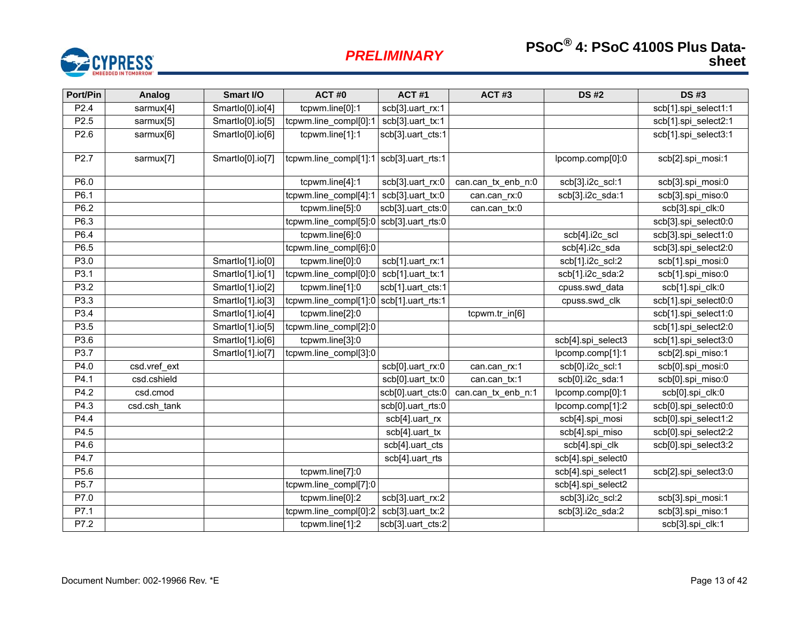# **PSoC**<sup>®</sup> 4: PSoC 4100S Plus Datasheet

# *PRELIMINARY*



| Port/Pin         | Analog       | Smart I/O        | ACT#0                         | <b>ACT#1</b>      | <b>ACT#3</b>       | <b>DS#2</b>        | <b>DS#3</b>          |
|------------------|--------------|------------------|-------------------------------|-------------------|--------------------|--------------------|----------------------|
| P <sub>2.4</sub> | sarmux[4]    | Smartlo[0].io[4] | tcpwm.line[0]:1               | scb[3].uart_rx:1  |                    |                    | scb[1].spi_select1:1 |
| P2.5             | sarmux[5]    | Smartlo[0].io[5] | tcpwm.line_compl[0]:1         | scb[3].uart_tx:1  |                    |                    | scb[1].spi select2:1 |
| P2.6             | sarmux[6]    | Smartlo[0].io[6] | tcpwm.line[1]:1               | scb[3].uart cts:1 |                    |                    | scb[1].spi select3:1 |
| P <sub>2.7</sub> | sarmux[7]    | Smartlo[0].io[7] | tcpwm.line_compl[1]:1         | scb[3].uart_rts:1 |                    | lpcomp.comp[0]:0   | scb[2].spi_mosi:1    |
| P6.0             |              |                  | tcpwm.line[4]:1               | scb[3].uart_rx:0  | can.can_tx_enb_n:0 | scb[3].i2c_scl:1   | scb[3].spi_mosi:0    |
| P6.1             |              |                  | tcpwm.line_compl[4]:1         | scb[3].uart tx:0  | can.can rx:0       | scb[3].i2c_sda:1   | scb[3].spi_miso:0    |
| P6.2             |              |                  | tcpwm.line[5]:0               | scb[3].uart_cts:0 | can.can_tx:0       |                    | scb[3].spi_clk:0     |
| P6.3             |              |                  | tcpwm.line_compl[5]:0         | scb[3].uart rts:0 |                    |                    | scb[3].spi select0:0 |
| P6.4             |              |                  | tcpwm.line[6]:0               |                   |                    | scb[4].i2c_scl     | scb[3].spi_select1:0 |
| P6.5             |              |                  | tcpwm.line_compl[6]:0         |                   |                    | scb[4].i2c_sda     | scb[3].spi_select2:0 |
| P3.0             |              | Smartlo[1].io[0] | tcpwm.line[0]:0               | scb[1].uart_rx:1  |                    | scb[1].i2c_scl:2   | scb[1].spi_mosi:0    |
| P3.1             |              | Smartlo[1].io[1] | tcpwm.line_compl[0]:0         | scb[1].uart_tx:1  |                    | scb[1].i2c_sda:2   | scb[1].spi_miso:0    |
| P3.2             |              | Smartlo[1].io[2] | tcpwm.line[1]:0               | scb[1].uart_cts:1 |                    | cpuss.swd_data     | scb[1].spi_clk:0     |
| P3.3             |              | Smartlo[1].io[3] | tcpwm.line_compl[1]:0         | scb[1].uart_rts:1 |                    | cpuss.swd_clk      | scb[1].spi_select0:0 |
| P3.4             |              | Smartlo[1].io[4] | tcpwm.line[2]:0               |                   | tcpwm.tr_in[6]     |                    | scb[1].spi_select1:0 |
| P3.5             |              | Smartlo[1].io[5] | tcpwm.line_compl[2]:0         |                   |                    |                    | scb[1].spi select2:0 |
| P3.6             |              | Smartlo[1].io[6] | tcpwm.line[3]:0               |                   |                    | scb[4].spi select3 | scb[1].spi select3:0 |
| P3.7             |              | Smartlo[1].io[7] | tcpwm.line_compl[3]:0         |                   |                    | lpcomp.comp[1]:1   | scb[2].spi_miso:1    |
| P4.0             | csd.vref_ext |                  |                               | scb[0].uart_rx:0  | can.can_rx:1       | scb[0].i2c_scl:1   | scb[0].spi_mosi:0    |
| P4.1             | csd.cshield  |                  |                               | scb[0].uart_tx:0  | can.can tx:1       | scb[0].i2c_sda:1   | scb[0].spi_miso:0    |
| P4.2             | csd.cmod     |                  |                               | scb[0].uart_cts:0 | can.can tx enb n:1 | lpcomp.comp[0]:1   | scb[0].spi clk:0     |
| P4.3             | csd.csh_tank |                  |                               | scb[0].uart_rts:0 |                    | lpcomp.comp[1]:2   | scb[0].spi_select0:0 |
| P4.4             |              |                  |                               | scb[4].uart_rx    |                    | scb[4].spi_mosi    | scb[0].spi_select1:2 |
| P4.5             |              |                  |                               | scb[4].uart_tx    |                    | scb[4].spi_miso    | scb[0].spi select2:2 |
| P4.6             |              |                  |                               | scb[4].uart_cts   |                    | scb[4].spi clk     | scb[0].spi select3:2 |
| P4.7             |              |                  |                               | scb[4].uart_rts   |                    | scb[4].spi_select0 |                      |
| P5.6             |              |                  | tcpwm.line[7]:0               |                   |                    | scb[4].spi_select1 | scb[2].spi_select3:0 |
| P5.7             |              |                  | tcpwm.line_compl[7]:0         |                   |                    | scb[4].spi_select2 |                      |
| P7.0             |              |                  | tcpwm.line[0]:2               | scb[3].uart_rx:2  |                    | scb[3].i2c_scl:2   | scb[3].spi_mosi:1    |
| P7.1             |              |                  | tcpwm.line_compl[0]:2         | scb[3].uart tx:2  |                    | scb[3].i2c sda:2   | scb[3].spi miso:1    |
| P7.2             |              |                  | tcpwm.line $\overline{[1]$ :2 | scb[3].uart_cts:2 |                    |                    | scb[3].spi_clk:1     |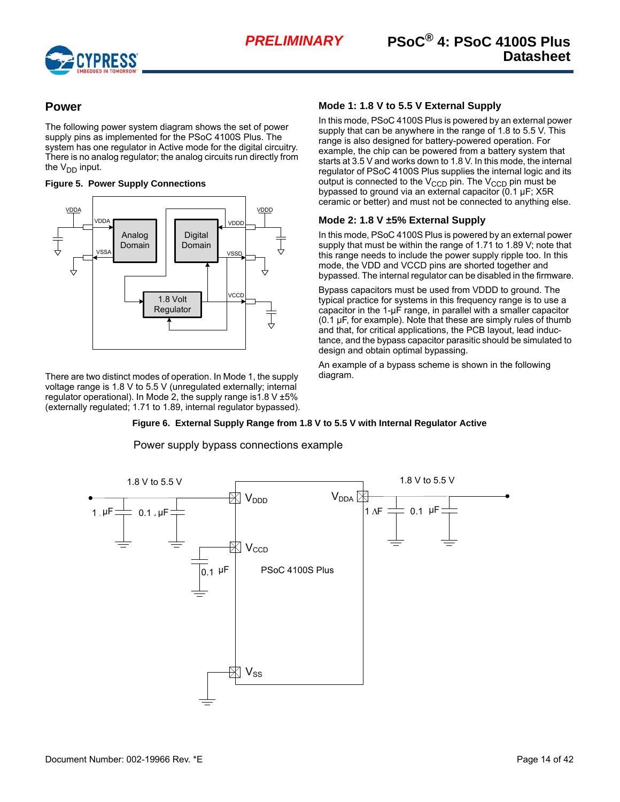

# <span id="page-13-0"></span>**Power**

The following power system diagram shows the set of power supply pins as implemented for the PSoC 4100S Plus. The system has one regulator in Active mode for the digital circuitry. There is no analog regulator; the analog circuits run directly from the  $V_{DD}$  input.

#### **Figure 5. Power Supply Connections**



There are two distinct modes of operation. In Mode 1, the supply voltage range is 1.8 V to 5.5 V (unregulated externally; internal regulator operational). In Mode 2, the supply range is 1.8 V  $\pm 5\%$ (externally regulated; 1.71 to 1.89, internal regulator bypassed).

## <span id="page-13-1"></span>**Mode 1: 1.8 V to 5.5 V External Supply**

In this mode, PSoC 4100S Plus is powered by an external power supply that can be anywhere in the range of 1.8 to 5.5 V. This range is also designed for battery-powered operation. For example, the chip can be powered from a battery system that starts at 3.5 V and works down to 1.8 V. In this mode, the internal regulator of PSoC 4100S Plus supplies the internal logic and its output is connected to the  $V_{CCD}$  pin. The  $V_{CCD}$  pin must be bypassed to ground via an external capacitor (0.1 µF; X5R ceramic or better) and must not be connected to anything else.

# <span id="page-13-2"></span>**Mode 2: 1.8 V ±5% External Supply**

In this mode, PSoC 4100S Plus is powered by an external power supply that must be within the range of 1.71 to 1.89 V; note that this range needs to include the power supply ripple too. In this mode, the VDD and VCCD pins are shorted together and bypassed. The internal regulator can be disabled in the firmware.

Bypass capacitors must be used from VDDD to ground. The typical practice for systems in this frequency range is to use a capacitor in the 1-µF range, in parallel with a smaller capacitor (0.1 µF, for example). Note that these are simply rules of thumb and that, for critical applications, the PCB layout, lead inductance, and the bypass capacitor parasitic should be simulated to design and obtain optimal bypassing.

An example of a bypass scheme is shown in the following diagram.

### **Figure 6. External Supply Range from 1.8 V to 5.5 V with Internal Regulator Active**

Power supply bypass connections example

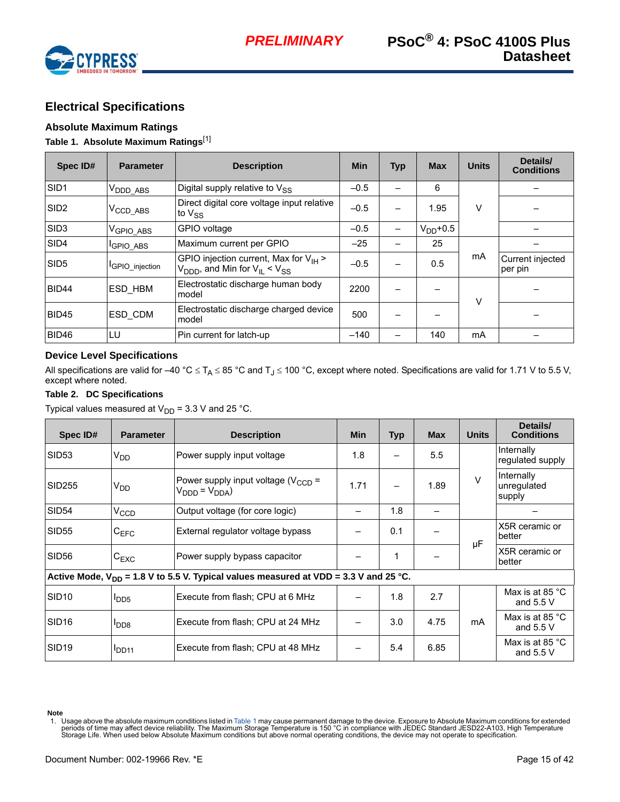

# <span id="page-14-0"></span>**Electrical Specifications**

## <span id="page-14-1"></span>**Absolute Maximum Ratings**

## <span id="page-14-4"></span>**Table 1. Absolute Maximum Ratings**[\[1](#page-14-3)]

| Spec ID#         | <b>Parameter</b>              | <b>Description</b>                                                                                          | <b>Min</b> | <b>Typ</b> | <b>Max</b> | <b>Units</b> | Details/<br><b>Conditions</b> |
|------------------|-------------------------------|-------------------------------------------------------------------------------------------------------------|------------|------------|------------|--------------|-------------------------------|
| SID <sub>1</sub> | $V_{\mathsf{DDD\_ABS}}$       | Digital supply relative to V <sub>SS</sub>                                                                  | $-0.5$     |            | 6          |              |                               |
| SID <sub>2</sub> | $V_{\rm CCD\_ABS}$            | Direct digital core voltage input relative<br>to $V_{SS}$                                                   | $-0.5$     |            | 1.95       | v            |                               |
| SID <sub>3</sub> | $V_{\text{GPIO}\_\text{ABS}}$ | GPIO voltage                                                                                                | $-0.5$     |            | $VDD+0.5$  |              |                               |
| SID4             | <sup>I</sup> GPIO_ABS         | Maximum current per GPIO                                                                                    | $-25$      |            | 25         |              |                               |
| SID <sub>5</sub> | <b>I</b> GPIO injection       | GPIO injection current, Max for $V_{H}$ ><br>$V_{\text{DDD}}$ , and Min for $V_{\text{II}} < V_{\text{SS}}$ | $-0.5$     |            | 0.5        | mA           | Current injected<br>per pin   |
| BID44            | ESD HBM                       | Electrostatic discharge human body<br>model                                                                 | 2200       |            |            | V            |                               |
| BID45            | ESD CDM                       | Electrostatic discharge charged device<br>model                                                             | 500        |            |            |              |                               |
| BID46            | LU                            | Pin current for latch-up                                                                                    | $-140$     |            | 140        | mA           |                               |

#### <span id="page-14-2"></span>**Device Level Specifications**

All specifications are valid for –40 °C  $\leq T_A \leq 85$  °C and T<sub>J</sub>  $\leq$  100 °C, except where noted. Specifications are valid for 1.71 V to 5.5 V, except where noted.

#### **Table 2. DC Specifications**

Typical values measured at  $V_{DD}$  = 3.3 V and 25 °C.

| Spec ID#          | <b>Parameter</b> | <b>Description</b>                                                                        | <b>Min</b> | Typ | <b>Max</b> | <b>Units</b> | Details/<br><b>Conditions</b>           |
|-------------------|------------------|-------------------------------------------------------------------------------------------|------------|-----|------------|--------------|-----------------------------------------|
| SID <sub>53</sub> | V <sub>DD</sub>  | Power supply input voltage                                                                | 1.8        |     | 5.5        |              | Internally<br>regulated supply          |
| SID255            | V <sub>DD</sub>  | Power supply input voltage ( $V_{\text{CCD}}$ =<br>$V_{DDD} = V_{DDA}$                    | 1.71       |     | 1.89       | $\mathsf{V}$ | Internally<br>unregulated<br>supply     |
| <b>SID54</b>      | $V_{CCD}$        | Output voltage (for core logic)                                                           |            | 1.8 |            |              |                                         |
| SID <sub>55</sub> | C <sub>EFC</sub> | External regulator voltage bypass                                                         |            | 0.1 |            | μF           | X5R ceramic or<br>better                |
| SID <sub>56</sub> | $C_{EXC}$        | Power supply bypass capacitor                                                             |            | 1   |            |              | X5R ceramic or<br>better                |
|                   |                  | Active Mode, $V_{DD}$ = 1.8 V to 5.5 V. Typical values measured at VDD = 3.3 V and 25 °C. |            |     |            |              |                                         |
| SID <sub>10</sub> | I <sub>DD5</sub> | Execute from flash; CPU at 6 MHz                                                          |            | 1.8 | 2.7        |              | Max is at 85 $\degree$ C<br>and $5.5V$  |
| SID <sub>16</sub> | I <sub>DD8</sub> | Execute from flash; CPU at 24 MHz                                                         |            | 3.0 | 4.75       | mA           | Max is at 85 $\degree$ C<br>and $5.5V$  |
| SID <sub>19</sub> | <b>DD11</b>      | Execute from flash; CPU at 48 MHz                                                         |            | 5.4 | 6.85       |              | Max is at 85 $\degree$ C<br>and $5.5$ V |

**Note**

<span id="page-14-3"></span><sup>1.</sup> Usage above the absolute maximum conditions listed in [Table 1](#page-14-4) may cause permanent damage to the device. Exposure to Absolute Maximum conditions for extended<br>periods of time may affect device reliability. The Maximum co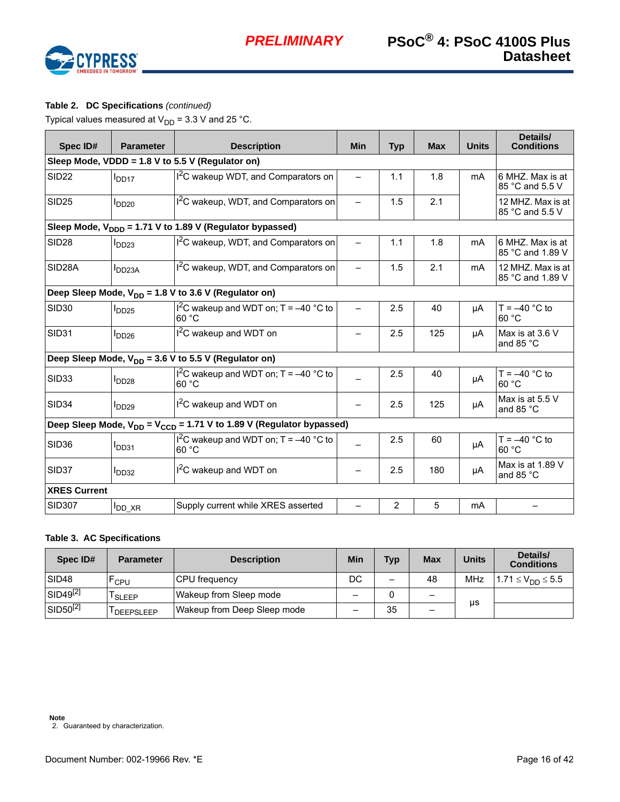

# **Table 2. DC Specifications** *(continued)*

Typical values measured at  $V_{DD}$  = 3.3 V and 25 °C.

| Spec ID#                                         | <b>Parameter</b>       | <b>Description</b>                                                          | <b>Min</b>               | <b>Typ</b> | <b>Max</b> | <b>Units</b>   | Details/<br><b>Conditions</b>          |  |  |
|--------------------------------------------------|------------------------|-----------------------------------------------------------------------------|--------------------------|------------|------------|----------------|----------------------------------------|--|--|
| Sleep Mode, VDDD = 1.8 V to 5.5 V (Regulator on) |                        |                                                                             |                          |            |            |                |                                        |  |  |
| <b>SID22</b>                                     | I <sub>DD17</sub>      | I <sup>2</sup> C wakeup WDT, and Comparators on                             |                          | 1.1        | 1.8        | m <sub>A</sub> | 6 MHZ. Max is at<br>85 °C and 5.5 V    |  |  |
| <b>SID25</b>                                     | I <sub>DD20</sub>      | <sup>2</sup> C wakeup, WDT, and Comparators on                              |                          | 1.5        | 2.1        |                | 12 MHZ. Max is at<br>85 °C and 5.5 V   |  |  |
|                                                  |                        | Sleep Mode, $V_{\text{DDD}} = 1.71 V$ to 1.89 V (Regulator bypassed)        |                          |            |            |                |                                        |  |  |
| <b>SID28</b>                                     | I <sub>DD23</sub>      | <sup>2</sup> C wakeup, WDT, and Comparators on                              |                          | 1.1        | 1.8        | m <sub>A</sub> | 6 MHZ. Max is at<br>85 °C and 1.89 V   |  |  |
| SID28A                                           | $I_{DD23A}$            | I <sup>2</sup> C wakeup, WDT, and Comparators on                            | $\overline{\phantom{0}}$ | 1.5        | 2.1        | mA             | 12 MHZ. Max is at<br>85 °C and 1.89 V  |  |  |
|                                                  |                        | Deep Sleep Mode, $V_{DD} = 1.8$ V to 3.6 V (Regulator on)                   |                          |            |            |                |                                        |  |  |
| <b>SID30</b>                                     | $I_{DD25}$             | $12C$ wakeup and WDT on; T = -40 °C to<br>60 °C                             | $\overline{\phantom{0}}$ | 2.5        | 40         | μA             | $T = -40$ °C to<br>60 °C               |  |  |
| SID31                                            | I <sub>DD26</sub>      | $12C$ wakeup and WDT on                                                     |                          | 2.5        | 125        | μA             | Max is at 3.6 V<br>and 85 °C           |  |  |
|                                                  |                        | Deep Sleep Mode, $V_{DD}$ = 3.6 V to 5.5 V (Regulator on)                   |                          |            |            |                |                                        |  |  |
| SID33                                            | I <sub>DD28</sub>      | $1^2$ C wakeup and WDT on; T = -40 °C to<br>60 °C                           |                          | 2.5        | 40         | μA             | T = $-40$ °C to<br>60 °C               |  |  |
| SID <sub>34</sub>                                | $I_{DD29}$             | $I2C$ wakeup and WDT on                                                     |                          | 2.5        | 125        | μA             | Max is at 5.5 V<br>and 85 $^{\circ}$ C |  |  |
|                                                  |                        | Deep Sleep Mode, $V_{DD} = V_{CCD} = 1.71$ V to 1.89 V (Regulator bypassed) |                          |            |            |                |                                        |  |  |
| <b>SID36</b>                                     | I <sub>DD31</sub>      | I <sup>2</sup> C wakeup and WDT on; $T = -40$ °C to<br>60 °C                |                          | 2.5        | 60         | μA             | $T = -40$ °C to<br>60 °C               |  |  |
| SID37                                            | I <sub>DD32</sub>      | $12C$ wakeup and WDT on                                                     |                          | 2.5        | 180        | μA             | Max is at 1.89 V<br>and 85 °C          |  |  |
| <b>XRES Current</b>                              |                        |                                                                             |                          |            |            |                |                                        |  |  |
| <b>SID307</b>                                    | $I_{DD}$ <sub>XR</sub> | Supply current while XRES asserted                                          |                          | 2          | 5          | mA             |                                        |  |  |

#### **Table 3. AC Specifications**

<span id="page-15-0"></span>

| Spec ID#             | <b>Parameter</b>       | <b>Description</b>          | Min                      | <b>Typ</b> | <b>Max</b>               | <b>Units</b> | Details/<br><b>Conditions</b> |
|----------------------|------------------------|-----------------------------|--------------------------|------------|--------------------------|--------------|-------------------------------|
| SID <sub>48</sub>    | <sup>-</sup> CPU       | <b>CPU</b> frequency        | DC                       |            | 48                       | MHz          | $1.71 \le V_{DD} \le 5.5$     |
| SID49 <sup>[2]</sup> | <sup>I</sup> SLEEP     | Wakeup from Sleep mode      |                          |            | $\overline{\phantom{m}}$ | μs           |                               |
| SID50 <sup>[2]</sup> | <sup>I</sup> DEEPSLEEP | Wakeup from Deep Sleep mode | $\overline{\phantom{0}}$ | 35         | $\qquad \qquad -$        |              |                               |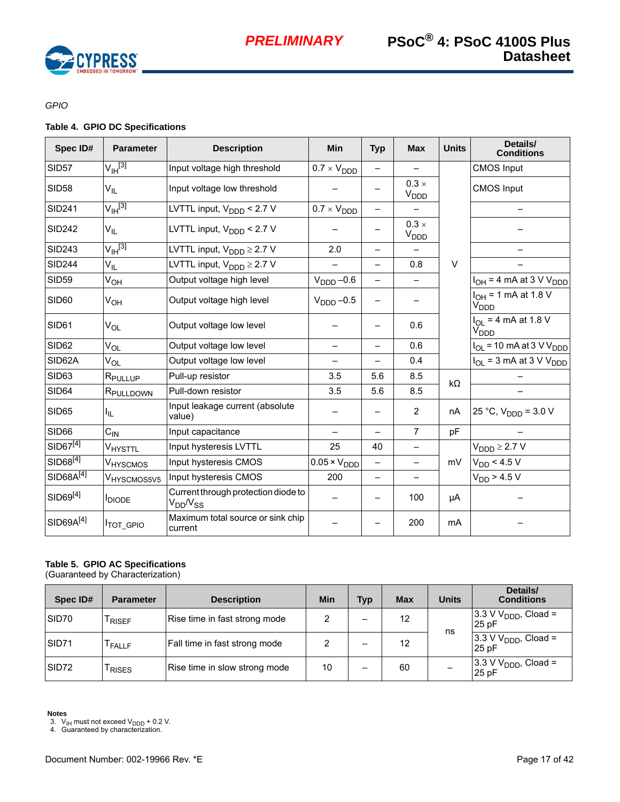

*GPIO*

## **Table 4. GPIO DC Specifications**

| Spec ID#              | <b>Parameter</b>        | <b>Description</b>                                     | <b>Min</b>                   | <b>Typ</b>               | <b>Max</b>                       | <b>Units</b> | Details/<br><b>Conditions</b>                |
|-----------------------|-------------------------|--------------------------------------------------------|------------------------------|--------------------------|----------------------------------|--------------|----------------------------------------------|
| <b>SID57</b>          | $V_{\mathsf{IH}}^{[3]}$ | Input voltage high threshold                           | $0.7 \times V_{\text{DDD}}$  | $\equiv$                 |                                  |              | <b>CMOS Input</b>                            |
| <b>SID58</b>          | $V_{IL}$                | Input voltage low threshold                            |                              |                          | $0.3 \times$<br>V <sub>DDD</sub> |              | <b>CMOS Input</b>                            |
| <b>SID241</b>         | $V_{\text{IH}}^{[3]}$   | LVTTL input, $V_{\text{DDD}}$ < 2.7 V                  | $0.7 \times V_{\text{DDD}}$  | $\qquad \qquad -$        |                                  |              |                                              |
| <b>SID242</b>         | $V_{IL}$                | LVTTL input, $V_{\text{DDD}}$ < 2.7 V                  |                              |                          | $0.3 \times$<br>V <sub>DDD</sub> |              |                                              |
| <b>SID243</b>         | $V_{\text{IH}}^{[3]}$   | LVTTL input, $V_{\text{DDD}} \geq 2.7 \text{ V}$       | 2.0                          | $\overline{\phantom{0}}$ |                                  |              |                                              |
| <b>SID244</b>         | $V_{ L}$                | LVTTL input, $V_{\text{DDD}} \geq 2.7 V$               |                              | $\overline{\phantom{0}}$ | 0.8                              | $\vee$       |                                              |
| <b>SID59</b>          | $V_{OH}$                | Output voltage high level                              | $VDDD -0.6$                  | $\overline{\phantom{0}}$ | $\overline{\phantom{0}}$         |              | $I_{OH}$ = 4 mA at 3 V V <sub>DDD</sub>      |
| SID <sub>60</sub>     | Ѵ <sub>он</sub>         | Output voltage high level                              | $V_{\text{DDD}} -0.5$        | $\overline{\phantom{0}}$ |                                  |              | $I_{OH}$ = 1 mA at 1.8 V<br>V <sub>DDD</sub> |
| SID61                 | $V_{OL}$                | Output voltage low level                               |                              |                          | 0.6                              |              | $I_{OI}$ = 4 mA at 1.8 V<br>V <sub>DDD</sub> |
| SID62                 | $V_{OL}$                | Output voltage low level                               |                              |                          | 0.6                              |              | $I_{OL}$ = 10 mA at 3 V V <sub>DDD</sub>     |
| SID62A                | V <sub>OL</sub>         | Output voltage low level                               | ÷.                           | $\overline{\phantom{0}}$ | 0.4                              |              | $I_{OL}$ = 3 mA at 3 V V <sub>DDD</sub>      |
| SID63                 | R <sub>PULLUP</sub>     | Pull-up resistor                                       | 3.5                          | 5.6                      | 8.5                              | $k\Omega$    |                                              |
| SID64                 | RPULLDOWN               | Pull-down resistor                                     | 3.5                          | 5.6                      | 8.5                              |              |                                              |
| <b>SID65</b>          | I <sub>IL</sub>         | Input leakage current (absolute<br>value)              |                              | -                        | 2                                | nA           | 25 °C, $V_{\text{DDD}} = 3.0 V$              |
| SID66                 | $C_{\text{IN}}$         | Input capacitance                                      | —                            | $\overline{\phantom{0}}$ | $\overline{7}$                   | pF           |                                              |
| SID67 <sup>[4]</sup>  | V <sub>HYSTTL</sub>     | Input hysteresis LVTTL                                 | 25                           | 40                       |                                  |              | $V_{\text{DDD}} \geq 2.7 V$                  |
| $SID68^{[4]}$         | V <sub>HYSCMOS</sub>    | Input hysteresis CMOS                                  | $0.05 \times V_{\text{DDD}}$ | $\qquad \qquad -$        |                                  | mV           | $V_{DD}$ < 4.5 V                             |
| SID68A <sup>[4]</sup> | V <sub>HYSCMOS5V5</sub> | Input hysteresis CMOS                                  | 200                          | $\overline{\phantom{0}}$ | $\qquad \qquad -$                |              | $V_{DD}$ > 4.5 V                             |
| SID69 <sup>[4]</sup>  | <b>I</b> DIODE          | Current through protection diode to<br>$V_{DD}/V_{SS}$ |                              |                          | 100                              | μA           |                                              |
| SID69A <sup>[4]</sup> | <b>ITOT_GPIO</b>        | Maximum total source or sink chip<br>current           |                              |                          | 200                              | mA           |                                              |

# **Table 5. GPIO AC Specifications**

(Guaranteed by Characterization)

| Spec ID#          | <b>Parameter</b>   | <b>Description</b>            | <b>Min</b> | <b>Typ</b> | <b>Max</b> | <b>Units</b> | Details/<br><b>Conditions</b>             |
|-------------------|--------------------|-------------------------------|------------|------------|------------|--------------|-------------------------------------------|
| SID70             | RISEF              | Rise time in fast strong mode |            |            | 12         | ns           | 3.3 V V <sub>DDD</sub> , Cload =<br>25 pF |
| SID <sub>71</sub> | <sup>I</sup> FALLF | Fall time in fast strong mode |            |            | 12         |              | $3.3 V VDDD$ , Cload =<br>25 pF           |
| SID <sub>72</sub> | <b>RISES</b>       | Rise time in slow strong mode | 10         | -          | 60         |              | 3.3 V $V_{\text{DDD}}$ , Cload =<br>25 pF |

**Notes**

<span id="page-16-1"></span><span id="page-16-0"></span>3. V<sub>IH</sub> must not exceed V<sub>DDD</sub> + 0.2 V.<br>4. Guaranteed by characterization.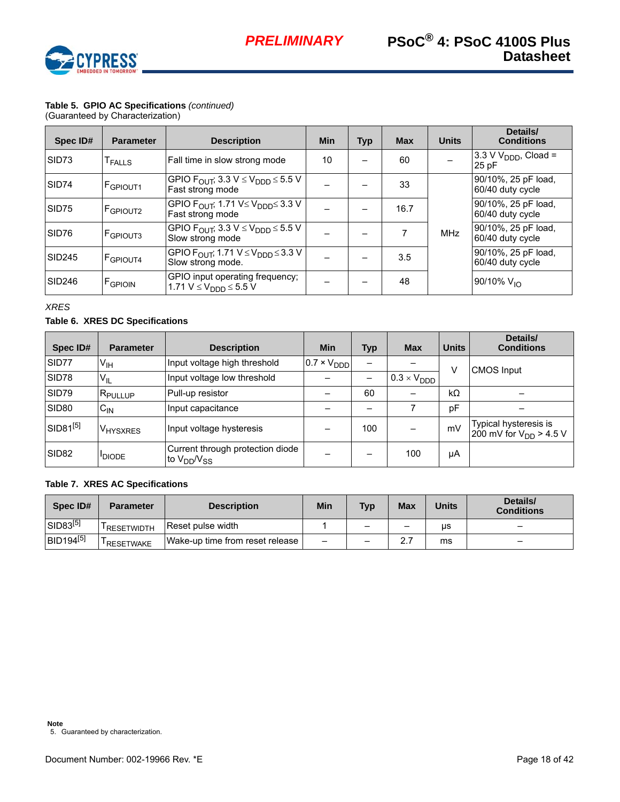

# **Table 5. GPIO AC Specifications** *(continued)*

(Guaranteed by Characterization)

| Spec ID#           | <b>Parameter</b>     | <b>Description</b>                                                                       | <b>Min</b> | <b>Typ</b> | <b>Max</b> | <b>Units</b> | Details/<br><b>Conditions</b>             |
|--------------------|----------------------|------------------------------------------------------------------------------------------|------------|------------|------------|--------------|-------------------------------------------|
| SID <sub>73</sub>  | <sup>I</sup> FALLS   | Fall time in slow strong mode                                                            | 10         |            | 60         |              | 3.3 V $V_{\text{DDD}}$ , Cload =<br>25 pF |
| SID74              | F <sub>GPIOUT1</sub> | GPIO $F_{\text{OUT}}$ ; 3.3 V $\leq$ V <sub>DDD</sub> $\leq$ 5.5 V<br>Fast strong mode   |            |            | 33         |              | 90/10%, 25 pF load,<br>60/40 duty cycle   |
| SID75              | <b>IFGPIOUT2</b>     | GPIO $F_{\text{OUT}}$ ; 1.71 V $\leq$ V <sub>DDD</sub> $\leq$ 3.3 V<br>Fast strong mode  |            |            | 16.7       |              | 90/10%, 25 pF load,<br>60/40 duty cycle   |
| SID76              | <b>FGPIOUT3</b>      | GPIO F <sub>OUT</sub> ; 3.3 V $\leq$ V <sub>DDD</sub> $\leq$ 5.5 V<br>Slow strong mode   |            |            |            | <b>MHz</b>   | 90/10%, 25 pF load,<br>60/40 duty cycle   |
| SID <sub>245</sub> | <b>FGPIOUT4</b>      | GPIO $F_{\text{OUT}}$ ; 1.71 V $\leq$ V <sub>DDD</sub> $\leq$ 3.3 V<br>Slow strong mode. |            |            | 3.5        |              | 90/10%, 25 pF load,<br>60/40 duty cycle   |
| <b>SID246</b>      | FGPIOIN              | GPIO input operating frequency;<br>1.71 $V \le V_{DDD} \le 5.5 V$                        |            |            | 48         |              | 90/10% $V_{10}$                           |

*XRES* 

## **Table 6. XRES DC Specifications**

| Spec ID#             | <b>Parameter</b>    | <b>Description</b>                                     | <b>Min</b>                   | Typ | <b>Max</b>                  | <b>Units</b> | Details/<br><b>Conditions</b>                        |  |
|----------------------|---------------------|--------------------------------------------------------|------------------------------|-----|-----------------------------|--------------|------------------------------------------------------|--|
| SID77                | V <sub>IH</sub>     | Input voltage high threshold                           | $10.7 \times V_{\text{DDD}}$ |     |                             | ν            | <b>CMOS Input</b>                                    |  |
| SID78                | $V_{IL}$            | Input voltage low threshold                            |                              |     | $0.3 \times V_{\text{DDD}}$ |              |                                                      |  |
| SID79                | R <sub>PULLUP</sub> | Pull-up resistor                                       |                              | 60  |                             | $k\Omega$    |                                                      |  |
| SID <sub>80</sub>    | $C_{IN}$            | Input capacitance                                      |                              |     |                             | pF           |                                                      |  |
| SID81 <sup>[5]</sup> | <b>V</b> HYSXRES    | Input voltage hysteresis                               |                              | 100 |                             | mV           | Typical hysteresis is<br>200 mV for $V_{DD} > 4.5 V$ |  |
| SID <sub>82</sub>    | <b>IDIODE</b>       | Current through protection diode<br>to $V_{DD}/V_{SS}$ |                              |     | 100                         | μA           |                                                      |  |

#### **Table 7. XRES AC Specifications**

<span id="page-17-0"></span>

| Spec ID#                    | <b>Parameter</b>        | <b>Description</b>              | Min                      | <b>Typ</b>               | <b>Max</b> | <b>Units</b> | Details/<br><b>Conditions</b> |
|-----------------------------|-------------------------|---------------------------------|--------------------------|--------------------------|------------|--------------|-------------------------------|
| SID83 <sup>[5]</sup>        | <sup>I</sup> RESETWIDTH | Reset pulse width               |                          | $\overline{\phantom{0}}$ | -          | us           | -                             |
| <b>BID194<sup>[5]</sup></b> | <sup>I</sup> RESETWAKE  | Wake-up time from reset release | $\overline{\phantom{0}}$ | $\overline{\phantom{m}}$ |            | ms           | -                             |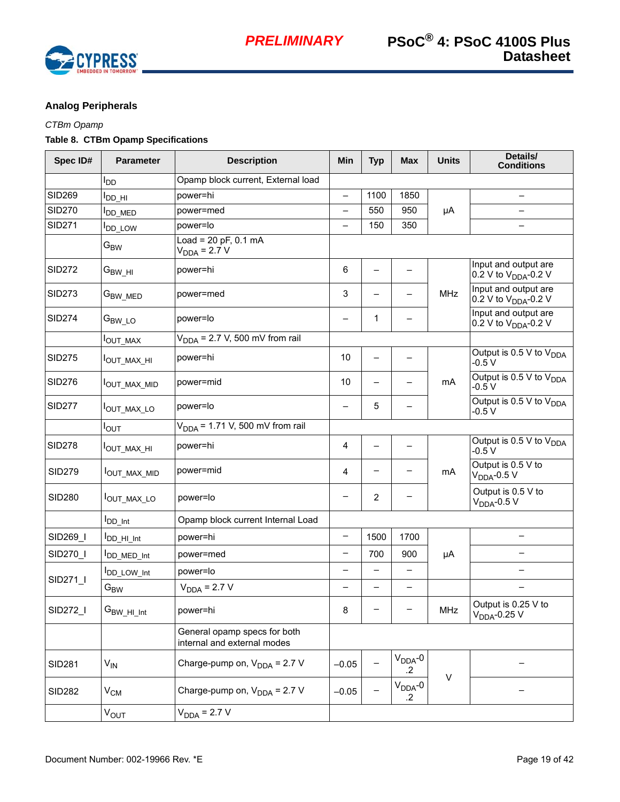

# <span id="page-18-0"></span>**Analog Peripherals**

# *CTBm Opamp*

# **Table 8. CTBm Opamp Specifications**

| Spec ID#      | <b>Parameter</b>           | <b>Description</b>                                          | Min                      | <b>Typ</b>     | <b>Max</b>              | <b>Units</b> | Details/<br><b>Conditions</b>                            |
|---------------|----------------------------|-------------------------------------------------------------|--------------------------|----------------|-------------------------|--------------|----------------------------------------------------------|
|               | l <sub>DD</sub>            | Opamp block current, External load                          |                          |                |                         |              |                                                          |
| <b>SID269</b> | I <sub>DD_HI</sub>         | power=hi                                                    | $\qquad \qquad -$        | 1100           | 1850                    |              | $\qquad \qquad -$                                        |
| <b>SID270</b> | OD_MED                     | power=med                                                   | $\overline{\phantom{0}}$ | 550            | 950                     | μA           |                                                          |
| <b>SID271</b> | <b>I</b> <sub>DD_LOW</sub> | power=lo                                                    | $\overline{\phantom{0}}$ | 150            | 350                     |              | —                                                        |
|               | $G_{BW}$                   | $Load = 20 pF, 0.1 mA$<br>$V_{DDA} = 2.7 V$                 |                          |                |                         |              |                                                          |
| <b>SID272</b> | $G_{BW\_HI}$               | power=hi                                                    | 6                        |                |                         |              | Input and output are<br>0.2 V to $V_{\text{DDA}}$ -0.2 V |
| <b>SID273</b> | $G_{BW\_MED}$              | power=med                                                   | 3                        |                |                         | <b>MHz</b>   | Input and output are<br>0.2 V to $V_{DDA}$ -0.2 V        |
| <b>SID274</b> | $G_{BW\_LO}$               | power=lo                                                    | —                        | 1              |                         |              | Input and output are<br>0.2 V to V <sub>DDA</sub> -0.2 V |
|               | <sup>Ι</sup> ΟUT_MAX       | $V_{DDA}$ = 2.7 V, 500 mV from rail                         |                          |                |                         |              |                                                          |
| <b>SID275</b> | I <sub>OUT_MAX_HI</sub>    | power=hi                                                    | 10                       |                |                         |              | Output is 0.5 V to $V_{DDA}$<br>$-0.5V$                  |
| <b>SID276</b> | OUT_MAX_MID                | power=mid                                                   | 10                       |                |                         | mA           | Output is 0.5 V to $V_{DDA}$<br>$-0.5V$                  |
| <b>SID277</b> | OUT_MAX_LO                 | power=lo                                                    |                          | 5              |                         |              | Output is 0.5 V to $V_{DDA}$<br>$-0.5V$                  |
|               | $I_{\text{OUT}}$           | $VDDA$ = 1.71 V, 500 mV from rail                           |                          |                |                         |              |                                                          |
| <b>SID278</b> | Ι <sub>Ο</sub> υτ_ΜΑΧ_ΗΙ   | power=hi                                                    | 4                        |                |                         |              | Output is 0.5 V to $V_{DDA}$<br>$-0.5V$                  |
| <b>SID279</b> | OUT_MAX_MID                | power=mid                                                   | 4                        |                |                         | mA           | Output is 0.5 V to<br>$VDDA$ -0.5 V                      |
| <b>SID280</b> | <b>IOUT_MAX_LO</b>         | power=lo                                                    |                          | $\overline{2}$ |                         |              | Output is 0.5 V to<br>$VDDA$ -0.5 V                      |
|               | <b>I</b> DD_Int            | Opamp block current Internal Load                           |                          |                |                         |              |                                                          |
| SID269_I      | <b>IDD_HI_Int</b>          | power=hi                                                    | $\qquad \qquad -$        | 1500           | 1700                    |              |                                                          |
| SID270_I      | DD_MED_Int                 | power=med                                                   | $\qquad \qquad -$        | 700            | 900                     | μA           | —                                                        |
|               | DD_LOW_Int                 | power=lo                                                    |                          |                |                         |              |                                                          |
| SID271        | $\mathbf{G}_\mathsf{BW}$   | $V_{DDA} = 2.7 V$                                           |                          |                |                         |              |                                                          |
| SID272_I      | $G_{BW\_HI\_Int}$          | power=hi                                                    | 8                        |                | -                       | MHz          | Output is 0.25 V to<br>$V_{DDA}$ -0.25 V                 |
|               |                            | General opamp specs for both<br>internal and external modes |                          |                |                         |              |                                                          |
| <b>SID281</b> | $V_{IN}$                   | Charge-pump on, $V_{DDA}$ = 2.7 V                           | $-0.05$                  |                | $V_{DDA}$ -0<br>$\cdot$ |              |                                                          |
| <b>SID282</b> | $\rm V_{CM}$               | Charge-pump on, $V_{DDA}$ = 2.7 V                           | $-0.05$                  |                | $V_{DDA}$ -0<br>$\cdot$ | $\vee$       |                                                          |
|               | $V_{OUT}$                  | $V_{DDA} = 2.7 V$                                           |                          |                |                         |              |                                                          |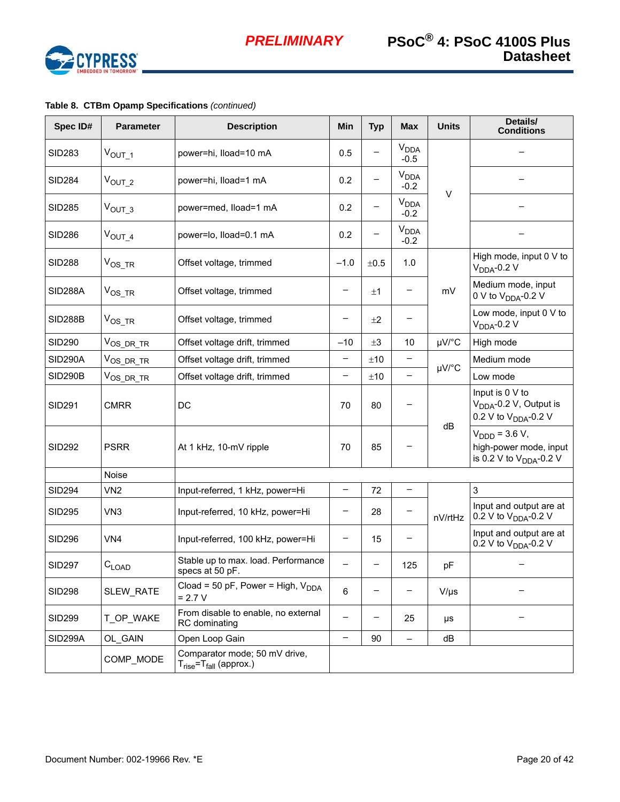

| Spec ID#       | <b>Parameter</b>      | <b>Description</b>                                               | Min                      | <b>Typ</b> | <b>Max</b>                       | <b>Units</b> | Details/<br><b>Conditions</b>                                                             |  |
|----------------|-----------------------|------------------------------------------------------------------|--------------------------|------------|----------------------------------|--------------|-------------------------------------------------------------------------------------------|--|
| <b>SID283</b>  | $V_{OUT_1}$           | power=hi, Iload=10 mA                                            | 0.5                      |            | <b>V<sub>DDA</sub></b><br>$-0.5$ |              |                                                                                           |  |
| <b>SID284</b>  | $V_{OUT_2}$           | power=hi, lload=1 mA                                             | 0.2                      |            | <b>V<sub>DDA</sub></b><br>$-0.2$ | $\vee$       |                                                                                           |  |
| <b>SID285</b>  | $VOUT_3$              | power=med, lload=1 mA                                            | 0.2                      |            | V <sub>DDA</sub><br>$-0.2$       |              |                                                                                           |  |
| <b>SID286</b>  | $V_{OUT_4}$           | power=lo, Iload=0.1 mA                                           | 0.2                      |            | <b>V<sub>DDA</sub></b><br>$-0.2$ |              |                                                                                           |  |
| <b>SID288</b>  | $V_{OS_TR}$           | Offset voltage, trimmed                                          | $-1.0$                   | ±0.5       | 1.0                              |              | High mode, input 0 V to<br>$VDDA-0.2 V$                                                   |  |
| SID288A        | $V_{OS_TR}$           | Offset voltage, trimmed                                          | -                        | ±1         | -                                | mV           | Medium mode, input<br>0 V to V <sub>DDA</sub> -0.2 V                                      |  |
| <b>SID288B</b> | $V_{OS_TR}$           | Offset voltage, trimmed                                          |                          | ±2         |                                  |              | Low mode, input 0 V to<br>$VDDA$ -0.2 V                                                   |  |
| <b>SID290</b>  | V <sub>OS_DR_TR</sub> | Offset voltage drift, trimmed                                    | $-10$                    | $\pm 3$    | 10                               | µV/°C        | High mode                                                                                 |  |
| <b>SID290A</b> | $V_{OS\_DR\_TR}$      | Offset voltage drift, trimmed                                    | -                        | ±10        |                                  |              | Medium mode                                                                               |  |
| <b>SID290B</b> | V <sub>OS_DR_TR</sub> | Offset voltage drift, trimmed                                    | $\overline{\phantom{0}}$ | ±10        | $\qquad \qquad -$                | µV/°C        | Low mode                                                                                  |  |
| <b>SID291</b>  | <b>CMRR</b>           | DC                                                               | 70                       | 80         |                                  |              | Input is 0 V to<br>V <sub>DDA</sub> -0.2 V, Output is<br>0.2 V to V <sub>DDA</sub> -0.2 V |  |
| <b>SID292</b>  | <b>PSRR</b>           | At 1 kHz, 10-mV ripple                                           | 70                       | 85         |                                  | dB           | $V_{\text{DDD}}$ = 3.6 V,<br>high-power mode, input<br>is 0.2 V to $V_{DDA}$ -0.2 V       |  |
|                | Noise                 |                                                                  |                          |            |                                  |              |                                                                                           |  |
| <b>SID294</b>  | VN <sub>2</sub>       | Input-referred, 1 kHz, power=Hi                                  | $\qquad \qquad -$        | 72         | $\qquad \qquad -$                |              | $\sqrt{3}$                                                                                |  |
| <b>SID295</b>  | VN <sub>3</sub>       | Input-referred, 10 kHz, power=Hi                                 | -                        | 28         |                                  | nV/rtHz      | Input and output are at<br>0.2 V to $V_{DDA}$ -0.2 V                                      |  |
| <b>SID296</b>  | VN <sub>4</sub>       | Input-referred, 100 kHz, power=Hi                                | $\qquad \qquad -$        | 15         |                                  |              | Input and output are at<br>0.2 V to $V_{DDA}$ -0.2 V                                      |  |
| <b>SID297</b>  | $C_{LOAD}$            | Stable up to max. load. Performance<br>specs at 50 pF.           | $\overline{\phantom{0}}$ |            | 125                              | pF           |                                                                                           |  |
| <b>SID298</b>  | SLEW_RATE             | Cload = 50 pF, Power = High, $V_{DDA}$<br>$= 2.7 V$              | 6                        |            |                                  | $V/\mu s$    |                                                                                           |  |
| <b>SID299</b>  | T_OP_WAKE             | From disable to enable, no external<br>RC dominating             |                          |            | 25                               | μs           |                                                                                           |  |
| SID299A        | OL_GAIN               | Open Loop Gain                                                   | $\qquad \qquad -$        | 90         |                                  | dB           |                                                                                           |  |
|                | COMP_MODE             | Comparator mode; 50 mV drive,<br>$T_{rise} = T_{fall}$ (approx.) |                          |            |                                  |              |                                                                                           |  |

# **Table 8. CTBm Opamp Specifications** *(continued)*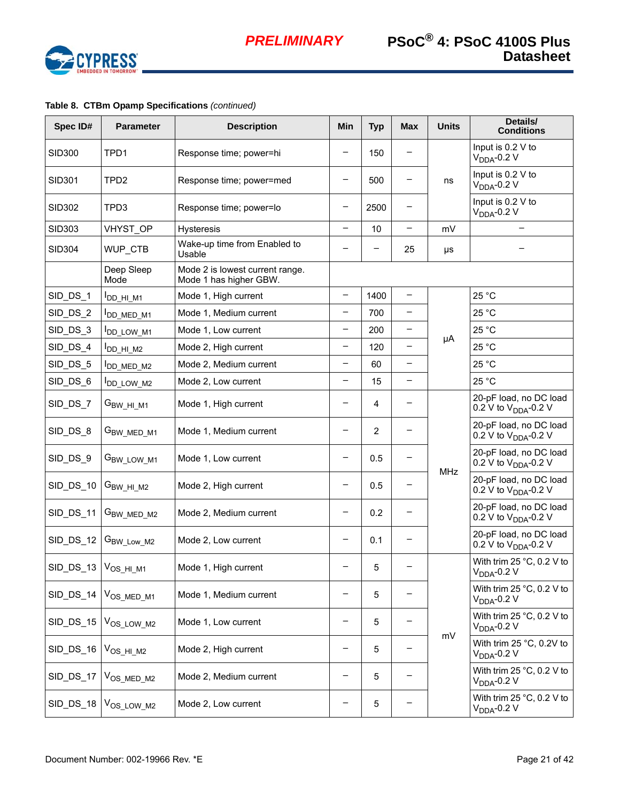

| Spec ID#                          | <b>Parameter</b>       | <b>Description</b>                                        | Min                      | <b>Typ</b> | <b>Max</b>               | <b>Units</b> | Details/<br><b>Conditions</b>                              |
|-----------------------------------|------------------------|-----------------------------------------------------------|--------------------------|------------|--------------------------|--------------|------------------------------------------------------------|
| <b>SID300</b>                     | TPD1                   | Response time; power=hi                                   |                          | 150        |                          |              | Input is 0.2 V to<br>$VDDA$ -0.2 V                         |
| SID301                            | TPD <sub>2</sub>       | Response time; power=med                                  | $\qquad \qquad -$        | 500        | $\qquad \qquad -$        | ns           | Input is 0.2 V to<br>$VDDA-0.2 V$                          |
| SID302                            | TPD3                   | Response time; power=lo                                   | $\qquad \qquad -$        | 2500       |                          |              | Input is 0.2 V to<br>$VDDA-0.2 V$                          |
| <b>SID303</b>                     | VHYST OP               | <b>Hysteresis</b>                                         | $\qquad \qquad -$        | 10         | $\qquad \qquad -$        | mV           | —                                                          |
| <b>SID304</b>                     | WUP_CTB                | Wake-up time from Enabled to<br>Usable                    |                          |            | 25                       | μs           |                                                            |
|                                   | Deep Sleep<br>Mode     | Mode 2 is lowest current range.<br>Mode 1 has higher GBW. |                          |            |                          |              |                                                            |
| SID_DS_1                          | I <sub>DD_HI_M1</sub>  | Mode 1, High current                                      | $\qquad \qquad -$        | 1400       | $\qquad \qquad -$        |              | 25 °C                                                      |
| SID_DS_2                          | <b>IDD_MED_M1</b>      | Mode 1, Medium current                                    | $\qquad \qquad -$        | 700        | -                        |              | 25 °C                                                      |
| SID_DS_3                          | DD_LOW_M1              | Mode 1, Low current                                       | $\overline{\phantom{m}}$ | 200        | $\overline{\phantom{m}}$ |              | 25 °C                                                      |
| SID_DS_4                          | I <sub>DD</sub> HIM2   | Mode 2, High current                                      | $\qquad \qquad -$        | 120        |                          | μA           | 25 °C                                                      |
| SID_DS_5                          | DD_MED_M2              | Mode 2, Medium current                                    | $\qquad \qquad -$        | 60         | —                        |              | 25 °C                                                      |
| SID_DS_6                          | DD_LOW_M2              | Mode 2, Low current                                       | $\qquad \qquad -$        | 15         | $\qquad \qquad -$        |              | 25 °C                                                      |
| SID_DS_7                          | $G_{BW\_HI\_M1}$       | Mode 1, High current                                      |                          | 4          | —                        |              | 20-pF load, no DC load<br>0.2 V to $V_{DDA}$ -0.2 V        |
| SID_DS_8                          | G <sub>BW_MED_M1</sub> | Mode 1, Medium current                                    | -                        | 2          | -                        |              | 20-pF load, no DC load<br>0.2 V to V <sub>DDA</sub> -0.2 V |
| SID_DS_9                          | G <sub>BW_LOW_M1</sub> | Mode 1, Low current                                       | -                        | 0.5        |                          |              | 20-pF load, no DC load<br>0.2 V to V <sub>DDA</sub> -0.2 V |
| $SID_DS_10$                       | $G_{BW_HLM2}$          | Mode 2, High current                                      | $\overline{\phantom{m}}$ | 0.5        | —                        | <b>MHz</b>   | 20-pF load, no DC load<br>0.2 V to $V_{DDA}$ -0.2 V        |
| SID DS 11                         | G <sub>BW_MED_M2</sub> | Mode 2, Medium current                                    |                          | 0.2        |                          |              | 20-pF load, no DC load<br>0.2 V to $V_{DDA}$ -0.2 V        |
| SID_DS_12                         | G <sub>BW_Low_M2</sub> | Mode 2, Low current                                       | $\qquad \qquad -$        | 0.1        |                          |              | 20-pF load, no DC load<br>0.2 V to V <sub>DDA</sub> -0.2 V |
| SID_DS_13   V <sub>OS_HI_M1</sub> |                        | Mode 1, High current                                      |                          | 5          |                          |              | With trim $25^{\circ}$ C, 0.2 V to<br>$V_{DDA}$ -0.2 V     |
| SID_DS_14                         | V <sub>OS_MED_M1</sub> | Mode 1, Medium current                                    |                          | 5          |                          |              | With trim $25 °C$ , 0.2 V to<br>$V_{DDA}$ -0.2 V           |
| SID_DS_15                         | V <sub>OS_LOW_M2</sub> | Mode 1, Low current                                       |                          | 5          |                          |              | With trim $25^{\circ}$ C, 0.2 V to<br>$VDDA-0.2 V$         |
| SID_DS_16                         | $V_{OS_HI_M2}$         | Mode 2, High current                                      |                          | 5          |                          | mV           | With trim 25 °C, 0.2V to<br>$V_{DDA}$ -0.2 V               |
| SID_DS_17                         | $V_{OS\_MED\_M2}$      | Mode 2, Medium current                                    |                          | 5          |                          |              | With trim $25^{\circ}$ C, 0.2 V to<br>$VDDA$ -0.2 V        |
| SID_DS_18                         | $V_{OS\_LOW_M2}$       | Mode 2, Low current                                       |                          | 5          |                          |              | With trim $25 °C$ , 0.2 V to<br>$VDDA$ -0.2 V              |

# **Table 8. CTBm Opamp Specifications** *(continued)*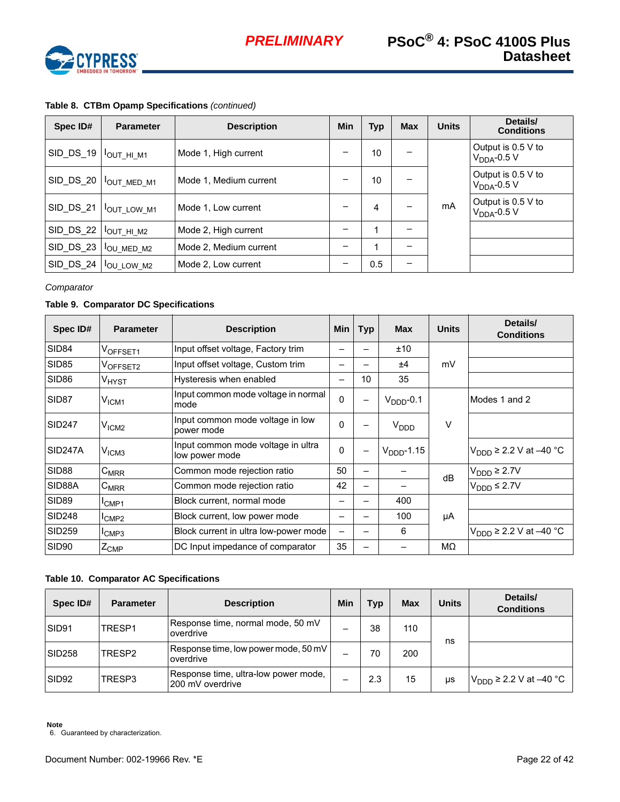

| Spec ID#                                           | <b>Parameter</b>               | <b>Description</b>     | Min | <b>Typ</b> | <b>Max</b> | <b>Units</b> | Details/<br><b>Conditions</b>          |
|----------------------------------------------------|--------------------------------|------------------------|-----|------------|------------|--------------|----------------------------------------|
|                                                    |                                | Mode 1, High current   | -   | 10         |            |              | Output is 0.5 V to<br>$V_{DDA}$ -0.5 V |
|                                                    | SID_DS_20   $I_{OUT\_MED\_M1}$ | Mode 1, Medium current |     | 10         |            |              | Output is 0.5 V to<br>$VDDA$ -0.5 V    |
| SID_DS_21                                          | <b>OUT LOW M1</b>              | Mode 1, Low current    |     | 4          |            | mA           | Output is 0.5 V to<br>$VDDA-0.5 V$     |
| $SID_DS_22$                                        | IOUT_HI_M2                     | Mode 2, High current   |     |            |            |              |                                        |
| $\big $ SID_DS_23 $\big $ $I_{\text{OU\_MED\_M2}}$ |                                | Mode 2, Medium current |     |            |            |              |                                        |
| SID DS 24                                          | <b>OU LOW M2</b>               | Mode 2, Low current    | -   | 0.5        |            |              |                                        |

## **Table 8. CTBm Opamp Specifications** *(continued)*

*Comparator*

#### **Table 9. Comparator DC Specifications**

| Spec ID#             | <b>Parameter</b>              | <b>Description</b>                                   | Min          | <b>Typ</b>               | <b>Max</b>            | <b>Units</b> | Details/<br><b>Conditions</b> |  |
|----------------------|-------------------------------|------------------------------------------------------|--------------|--------------------------|-----------------------|--------------|-------------------------------|--|
| <b>SID84</b>         | VOFFSET1                      | Input offset voltage, Factory trim                   |              |                          | ±10                   |              |                               |  |
| <b>SID85</b>         | VOFFSET2                      | Input offset voltage, Custom trim                    |              |                          | ±4                    | mV           |                               |  |
| SID <sub>86</sub>    | V <sub>HYST</sub>             | Hysteresis when enabled                              | -            | 10                       | 35                    |              |                               |  |
| SID <sub>87</sub>    | $\mathsf{V}_{\mathsf{ICM1}}$  | Input common mode voltage in normal<br>mode          | $\mathbf{0}$ | $\overline{\phantom{0}}$ | $VDDD$ -0.1           |              | Modes 1 and 2                 |  |
| <b>SID247</b>        | V <sub>ICM2</sub>             | Input common mode voltage in low<br>power mode       | $\Omega$     |                          | V <sub>DDD</sub>      | $\vee$       |                               |  |
| SID <sub>247</sub> A | V <sub>ICM3</sub>             | Input common mode voltage in ultra<br>low power mode | 0            |                          | $V_{\text{DDD-1.15}}$ |              | $V_{DDD}$ ≥ 2.2 V at –40 °C   |  |
| SID <sub>88</sub>    | $C_{MRR}$                     | Common mode rejection ratio                          | 50           |                          |                       | dB           | $V_{\text{DDD}} \geq 2.7V$    |  |
| SID88A               | $C_{MRR}$                     | Common mode rejection ratio                          | 42           | —                        |                       |              | $V_{\text{DDD}}$ ≤ 2.7V       |  |
| <b>SID89</b>         | <sup>I</sup> CMP1             | Block current, normal mode                           |              |                          | 400                   |              |                               |  |
| <b>SID248</b>        | <sup>I</sup> CMP <sub>2</sub> | Block current, low power mode                        |              |                          | 100                   | μA           |                               |  |
| <b>SID259</b>        | <sup>I</sup> CMP3             | Block current in ultra low-power mode                | —            |                          | 6                     |              | $VDDD$ ≥ 2.2 V at –40 °C      |  |
| SID <sub>90</sub>    | $Z_{\text{CMP}}$              | DC Input impedance of comparator                     | 35           |                          |                       | MΩ           |                               |  |

#### **Table 10. Comparator AC Specifications**

| Spec ID#           | <b>Parameter</b>   | <b>Description</b>                                       | Min | Typ | <b>Max</b> | <b>Units</b> | Details/<br><b>Conditions</b> |
|--------------------|--------------------|----------------------------------------------------------|-----|-----|------------|--------------|-------------------------------|
| SID91              | TRESP1             | Response time, normal mode, 50 mV<br>overdrive           |     | 38  | 110        | ns           |                               |
| SID <sub>258</sub> | TRESP <sub>2</sub> | Response time, low power mode, 50 mV<br>overdrive        | -   | 70  | 200        |              |                               |
| SID92              | TRESP3             | Response time, ultra-low power mode,<br>200 mV overdrive | -   | 2.3 | 15         | us           | $VDDD$ ≥ 2.2 V at –40 °C      |

**Note**

6. Guaranteed by characterization.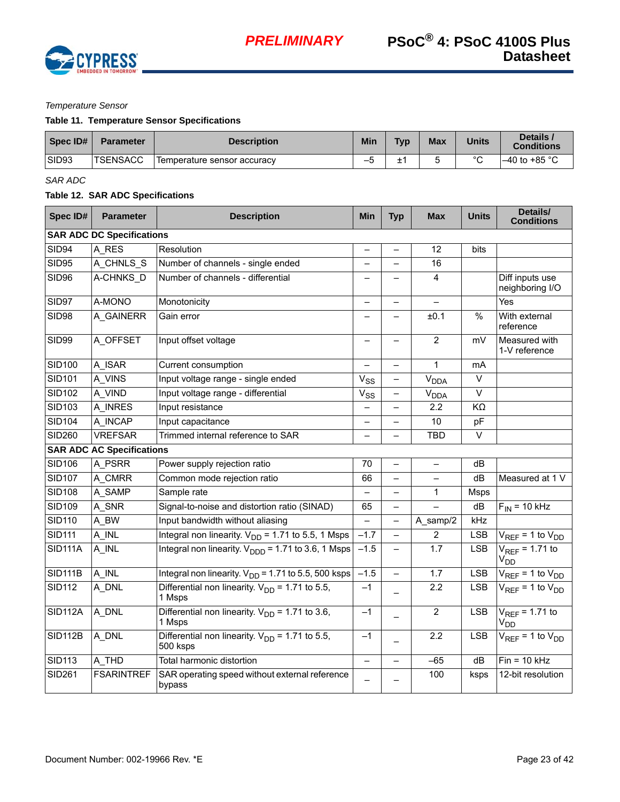

#### *Temperature Sensor*

### **Table 11. Temperature Sensor Specifications**

| Spec ID# | <b>Parameter</b> | <b>Description</b>          | Min     | <b>Typ</b> | <b>Max</b> | <b>Units</b> | Details<br><b>Conditions</b> |
|----------|------------------|-----------------------------|---------|------------|------------|--------------|------------------------------|
| SID93    | <b>TSENSACC</b>  | Temperature sensor accuracy | $-\cup$ | -          |            | $\sim$       | $-40$ to +85 °C              |

*SAR ADC*

## **Table 12. SAR ADC Specifications**

| Spec ID#       | <b>Parameter</b>                 | <b>Description</b>                                              | <b>Min</b>               | <b>Typ</b>               | <b>Max</b>             | <b>Units</b>      | Details/<br><b>Conditions</b>          |
|----------------|----------------------------------|-----------------------------------------------------------------|--------------------------|--------------------------|------------------------|-------------------|----------------------------------------|
|                | <b>SAR ADC DC Specifications</b> |                                                                 |                          |                          |                        |                   |                                        |
| <b>SID94</b>   | A RES                            | Resolution                                                      | $\overline{\phantom{0}}$ |                          | 12                     | bits              |                                        |
| <b>SID95</b>   | A_CHNLS_S                        | Number of channels - single ended                               |                          |                          | 16                     |                   |                                        |
| SID96          | A-CHNKS D                        | Number of channels - differential                               |                          |                          | $\overline{4}$         |                   | Diff inputs use<br>neighboring I/O     |
| SID97          | A-MONO                           | Monotonicity                                                    |                          |                          |                        |                   | Yes                                    |
| <b>SID98</b>   | A_GAINERR                        | Gain error                                                      |                          |                          | ±0.1                   | $\frac{9}{6}$     | With external<br>reference             |
| SID99          | A OFFSET                         | Input offset voltage                                            | $\overline{\phantom{0}}$ |                          | $\overline{2}$         | mV                | Measured with<br>1-V reference         |
| <b>SID100</b>  | A_ISAR                           | Current consumption                                             |                          |                          | $\mathbf{1}$           | mA                |                                        |
| <b>SID101</b>  | A VINS                           | Input voltage range - single ended                              | $V_{SS}$                 |                          | V <sub>DDA</sub>       | $\overline{\vee}$ |                                        |
| <b>SID102</b>  | A_VIND                           | Input voltage range - differential                              | $V_{SS}$                 |                          | <b>V<sub>DDA</sub></b> | $\overline{\vee}$ |                                        |
| <b>SID103</b>  | A INRES                          | Input resistance                                                |                          |                          | 2.2                    | KΩ                |                                        |
| <b>SID104</b>  | A_INCAP                          | Input capacitance                                               |                          |                          | 10                     | pF                |                                        |
| <b>SID260</b>  | <b>VREFSAR</b>                   | Trimmed internal reference to SAR                               |                          |                          | <b>TBD</b>             | $\vee$            |                                        |
|                | <b>SAR ADC AC Specifications</b> |                                                                 |                          |                          |                        |                   |                                        |
| <b>SID106</b>  | A PSRR                           | Power supply rejection ratio                                    | 70                       | $\equiv$                 | $\equiv$               | dB                |                                        |
| <b>SID107</b>  | A_CMRR                           | Common mode rejection ratio                                     | 66                       |                          |                        | dB                | Measured at 1 V                        |
| <b>SID108</b>  | A SAMP                           | Sample rate                                                     |                          |                          | 1                      | Msps              |                                        |
| <b>SID109</b>  | A_SNR                            | Signal-to-noise and distortion ratio (SINAD)                    | 65                       |                          |                        | dB                | $F_{IN} = 10$ kHz                      |
| <b>SID110</b>  | A_BW                             | Input bandwidth without aliasing                                | $\equiv$                 |                          | A_samp/2               | kHz               |                                        |
| <b>SID111</b>  | A_INL                            | Integral non linearity. $V_{DD} = 1.71$ to 5.5, 1 Msps          | $-1.7$                   | $\qquad \qquad -$        | $\overline{2}$         | <b>LSB</b>        | $V_{REF}$ = 1 to $V_{DD}$              |
| <b>SID111A</b> | A_INL                            | Integral non linearity. $V_{\text{DDD}} = 1.71$ to 3.6, 1 Msps  | $-1.5$                   | $\overline{\phantom{0}}$ | 1.7                    | LSB               | $V_{REF}$ = 1.71 to<br>V <sub>DD</sub> |
| <b>SID111B</b> | A_INL                            | Integral non linearity. $V_{DD} = 1.71$ to 5.5, 500 ksps        | $-1.5$                   |                          | 1.7                    | <b>LSB</b>        | $V_{REF}$ = 1 to $V_{DD}$              |
| <b>SID112</b>  | A_DNL                            | Differential non linearity. $V_{DD} = 1.71$ to 5.5,<br>1 Msps   | $-1$                     |                          | 2.2                    | <b>LSB</b>        | $V_{REF} = 1$ to $V_{DD}$              |
| <b>SID112A</b> | A_DNL                            | Differential non linearity. $V_{DD} = 1.71$ to 3.6,<br>1 Msps   | $-1$                     |                          | $\overline{2}$         | <b>LSB</b>        | $V_{REF}$ = 1.71 to<br>V <sub>DD</sub> |
| <b>SID112B</b> | A_DNL                            | Differential non linearity. $V_{DD} = 1.71$ to 5.5,<br>500 ksps | $-1$                     |                          | 2.2                    | <b>LSB</b>        | $V_{REF} = 1$ to $V_{DD}$              |
| <b>SID113</b>  | A THD                            | Total harmonic distortion                                       | $\overline{\phantom{0}}$ |                          | $-65$                  | dB                | $Fin = 10$ kHz                         |
| <b>SID261</b>  | <b>FSARINTREF</b>                | SAR operating speed without external reference<br>bypass        |                          |                          | 100                    | ksps              | 12-bit resolution                      |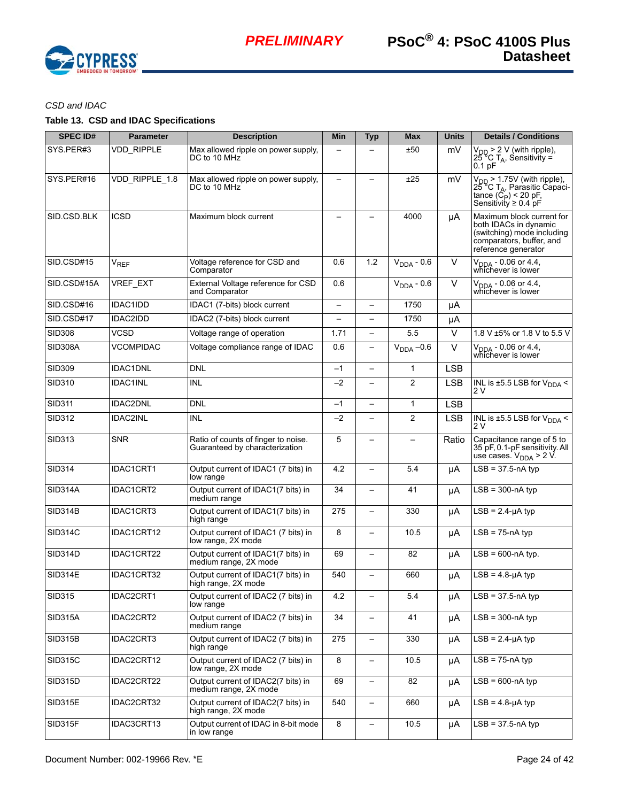

# *CSD and IDAC*

# **Table 13. CSD and IDAC Specifications**

| <b>SPEC ID#</b> | <b>Parameter</b>  | <b>Description</b>                                                    | Min                      | <b>Typ</b>               | <b>Max</b>               | <b>Units</b> | <b>Details / Conditions</b>                                                                                                                         |
|-----------------|-------------------|-----------------------------------------------------------------------|--------------------------|--------------------------|--------------------------|--------------|-----------------------------------------------------------------------------------------------------------------------------------------------------|
| SYS.PER#3       | <b>VDD RIPPLE</b> | Max allowed ripple on power supply,<br>DC to 10 MHz                   |                          |                          | ±50                      | mV           | $V_{DD}$ > 2 V (with ripple),<br>25 °C T <sub>A</sub> , Sensitivity =<br>0.1 <sub>pF</sub>                                                          |
| SYS PER#16      | VDD_RIPPLE_1.8    | Max allowed ripple on power supply,<br>DC to 10 MHz                   |                          |                          | ±25                      | mV           | $\overline{V_{DD}}$ > 1.75V (with ripple),<br>25 °C T <sub>A</sub> , Parasitic Capaci-<br>tance $(\dot{C}_P)$ < 20 pF,<br>Sensitivity $\geq 0.4$ pF |
| SID.CSD.BLK     | <b>ICSD</b>       | Maximum block current                                                 |                          |                          | 4000                     | μA           | Maximum block current for<br>both IDACs in dynamic<br>(switching) mode including<br>comparators, buffer, and<br>reference generator                 |
| SID.CSD#15      | $V_{REF}$         | Voltage reference for CSD and<br>Comparator                           | 0.6                      | 1.2                      | $V_{DDA} - 0.6$          | $\vee$       | V <sub>DDA</sub> - 0.06 or 4.4,<br>whichever is lower                                                                                               |
| SID.CSD#15A     | <b>VREF EXT</b>   | External Voltage reference for CSD<br>and Comparator                  | 0.6                      |                          | $V_{DDA} - 0.6$          | $\vee$       | $\overline{V_{DDA} - 0.06}$ or 4.4,<br>whichever is lower                                                                                           |
| SID.CSD#16      | <b>IDAC1IDD</b>   | IDAC1 (7-bits) block current                                          | $\overline{\phantom{m}}$ | $\qquad \qquad -$        | 1750                     | μA           |                                                                                                                                                     |
| SID.CSD#17      | IDAC2IDD          | IDAC2 (7-bits) block current                                          |                          |                          | 1750                     | μA           |                                                                                                                                                     |
| <b>SID308</b>   | <b>VCSD</b>       | Voltage range of operation                                            | 1.71                     | $\overline{\phantom{0}}$ | 5.5                      | $\vee$       | 1.8 V ±5% or 1.8 V to 5.5 V                                                                                                                         |
| <b>SID308A</b>  | <b>VCOMPIDAC</b>  | Voltage compliance range of IDAC                                      | 0.6                      | $\qquad \qquad -$        | $V_{DDA}$ -0.6           | $\vee$       | V <sub>DDA</sub> - 0.06 or 4.4,<br>whichever is lower                                                                                               |
| SID309          | <b>IDAC1DNL</b>   | <b>DNL</b>                                                            | $-1$                     | $\qquad \qquad -$        | $\mathbf{1}$             | <b>LSB</b>   |                                                                                                                                                     |
| SID310          | <b>IDAC1INL</b>   | <b>INL</b>                                                            | $-2$                     | $\overline{\phantom{0}}$ | $\overline{2}$           | <b>LSB</b>   | INL is ±5.5 LSB for $V_{DDA}$ <<br>2 V                                                                                                              |
| <b>SID311</b>   | <b>IDAC2DNL</b>   | <b>DNL</b>                                                            | $-1$                     | $\overline{\phantom{0}}$ | $\mathbf{1}$             | <b>LSB</b>   |                                                                                                                                                     |
| SID312          | IDAC2INL          | <b>INL</b>                                                            | $-2$                     | $\overline{\phantom{0}}$ | $\overline{2}$           | <b>LSB</b>   | INL is $\pm$ 5.5 LSB for V <sub>DDA</sub> <<br>2 V                                                                                                  |
| <b>SID313</b>   | <b>SNR</b>        | Ratio of counts of finger to noise.<br>Guaranteed by characterization | 5                        | $\overline{\phantom{0}}$ | $\overline{\phantom{0}}$ | Ratio        | Capacitance range of 5 to<br>35 pF, 0.1-pF sensitivity. All<br>use cases. $V_{DDA}$ > 2 V.                                                          |
| <b>SID314</b>   | IDAC1CRT1         | Output current of IDAC1 (7 bits) in<br>low range                      | 4.2                      | $\qquad \qquad -$        | 5.4                      | μA           | $LSB = 37.5 - nA$ typ                                                                                                                               |
| <b>SID314A</b>  | IDAC1CRT2         | Output current of IDAC1(7 bits) in<br>medium range                    | 34                       | $\overline{\phantom{0}}$ | 41                       | μA           | $LSB = 300 - nA$ typ                                                                                                                                |
| <b>SID314B</b>  | IDAC1CRT3         | Output current of IDAC1(7 bits) in<br>high range                      | 275                      |                          | 330                      | μA           | $LSB = 2.4 - \muA typ$                                                                                                                              |
| <b>SID314C</b>  | IDAC1CRT12        | Output current of IDAC1 (7 bits) in<br>low range, 2X mode             | 8                        | —                        | 10.5                     | μA           | $LSB = 75 - nA$ typ                                                                                                                                 |
| <b>SID314D</b>  | IDAC1CRT22        | Output current of IDAC1(7 bits) in<br>medium range, 2X mode           | 69                       |                          | 82                       | μA           | $LSB = 600-nA$ typ.                                                                                                                                 |
| <b>SID314E</b>  | IDAC1CRT32        | Output current of IDAC1(7 bits) in<br>high range, 2X mode             | 540                      | $\overline{\phantom{0}}$ | 660                      | μA           | $LSB = 4.8 - \muA$ typ                                                                                                                              |
| SID315          | IDAC2CRT1         | Output current of IDAC2 (7 bits) in<br>low range                      | 4.2                      |                          | 5.4                      | μA           | $LSB = 37.5 - nA$ typ                                                                                                                               |
| <b>SID315A</b>  | IDAC2CRT2         | Output current of IDAC2 (7 bits) in<br>medium range                   | 34                       |                          | 41                       | μA           | $LSB = 300 - nA$ typ                                                                                                                                |
| <b>SID315B</b>  | IDAC2CRT3         | Output current of IDAC2 (7 bits) in<br>high range                     | 275                      | $\qquad \qquad -$        | 330                      | μA           | $LSB = 2.4-\mu A$ typ                                                                                                                               |
| <b>SID315C</b>  | IDAC2CRT12        | Output current of IDAC2 (7 bits) in<br>low range, 2X mode             | 8                        |                          | 10.5                     | μA           | $LSB = 75 - nA$ typ                                                                                                                                 |
| <b>SID315D</b>  | IDAC2CRT22        | Output current of IDAC2(7 bits) in<br>medium range, 2X mode           | 69                       |                          | 82                       | μA           | $LSB = 600-nA$ typ                                                                                                                                  |
| SID315E         | IDAC2CRT32        | Output current of IDAC2(7 bits) in<br>high range, 2X mode             | 540                      |                          | 660                      | μA           | $LSB = 4.8-\mu A$ typ                                                                                                                               |
| SID315F         | IDAC3CRT13        | Output current of IDAC in 8-bit mode<br>in low range                  | 8                        | $\qquad \qquad -$        | 10.5                     | μA           | $LSB = 37.5 - nA$ typ                                                                                                                               |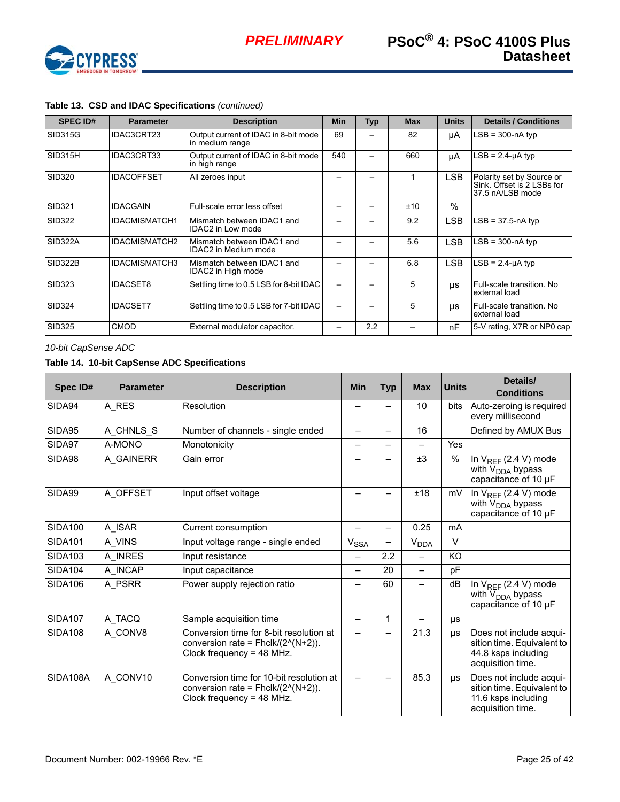

| <b>SPEC ID#</b> | <b>Parameter</b>     | <b>Description</b>                                        | <b>Min</b> | <b>Typ</b> | <b>Max</b> | <b>Units</b> | <b>Details / Conditions</b>                                                 |
|-----------------|----------------------|-----------------------------------------------------------|------------|------------|------------|--------------|-----------------------------------------------------------------------------|
| SID315G         | IDAC3CRT23           | Output current of IDAC in 8-bit mode<br>in medium range   | 69         |            | 82         | μA           | $LSB = 300 - nA$ typ                                                        |
| SID315H         | IDAC3CRT33           | Output current of IDAC in 8-bit mode<br>in high range     | 540        |            | 660        | μA           | $LSB = 2.4-\mu A$ typ                                                       |
| <b>SID320</b>   | <b>IDACOFFSET</b>    | All zeroes input                                          |            |            | 1          | <b>LSB</b>   | Polarity set by Source or<br>Sink. Offset is 2 LSBs for<br>37.5 nA/LSB mode |
| <b>SID321</b>   | <b>IDACGAIN</b>      | Full-scale error less offset                              |            |            | ±10        | $\%$         |                                                                             |
| SID322          | <b>IDACMISMATCH1</b> | Mismatch between IDAC1 and<br>IDAC2 in Low mode           |            |            | 9.2        | <b>LSB</b>   | $LSB = 37.5 - nA$ typ                                                       |
| SID322A         | <b>IDACMISMATCH2</b> | Mismatch between IDAC1 and<br><b>IDAC2</b> in Medium mode |            |            | 5.6        | <b>LSB</b>   | $LSB = 300 - nA$ typ                                                        |
| <b>SID322B</b>  | <b>IDACMISMATCH3</b> | Mismatch between IDAC1 and<br>IDAC2 in High mode          |            |            | 6.8        | <b>LSB</b>   | $LSB = 2.4 - \muA typ$                                                      |
| <b>SID323</b>   | <b>IDACSET8</b>      | Settling time to 0.5 LSB for 8-bit IDAC                   |            |            | 5          | <b>US</b>    | Full-scale transition. No<br>external load                                  |
| <b>SID324</b>   | <b>IDACSET7</b>      | Settling time to 0.5 LSB for 7-bit IDAC                   |            |            | 5          | μs           | Full-scale transition. No<br>external load                                  |
| <b>SID325</b>   | <b>CMOD</b>          | External modulator capacitor.                             |            | 2.2        |            | nF           | 5-V rating, X7R or NP0 cap                                                  |

## **Table 13. CSD and IDAC Specifications** *(continued)*

*10-bit CapSense ADC*

# **Table 14. 10-bit CapSense ADC Specifications**

| Spec ID#       | <b>Parameter</b> | <b>Description</b>                                                                                             | <b>Min</b>               | <b>Typ</b> | <b>Max</b>               | <b>Units</b>   | Details/<br><b>Conditions</b>                                                                     |
|----------------|------------------|----------------------------------------------------------------------------------------------------------------|--------------------------|------------|--------------------------|----------------|---------------------------------------------------------------------------------------------------|
| SIDA94         | A_RES            | Resolution                                                                                                     |                          |            | 10                       | <b>bits</b>    | Auto-zeroing is required<br>every millisecond                                                     |
| SIDA95         | A_CHNLS_S        | Number of channels - single ended                                                                              | $\overline{\phantom{0}}$ |            | 16                       |                | Defined by AMUX Bus                                                                               |
| SIDA97         | A-MONO           | Monotonicity                                                                                                   |                          |            | $\overline{\phantom{0}}$ | <b>Yes</b>     |                                                                                                   |
| SIDA98         | A GAINERR        | Gain error                                                                                                     |                          |            | ±3                       | %              | In $V_{REF}$ (2.4 V) mode<br>with $\overline{V}_{DDA}$ bypass<br>capacitance of 10 µF             |
| SIDA99         | A OFFSET         | Input offset voltage                                                                                           |                          |            | ±18                      | mV             | In $V_{REF}$ (2.4 V) mode<br>with V <sub>DDA</sub> bypass<br>capacitance of 10 µF                 |
| <b>SIDA100</b> | A ISAR           | Current consumption                                                                                            |                          |            | 0.25                     | m <sub>A</sub> |                                                                                                   |
| <b>SIDA101</b> | A_VINS           | Input voltage range - single ended                                                                             | <b>V<sub>SSA</sub></b>   |            | <b>V<sub>DDA</sub></b>   | $\vee$         |                                                                                                   |
| <b>SIDA103</b> | A_INRES          | Input resistance                                                                                               | -                        | 2.2        |                          | KΩ             |                                                                                                   |
| <b>SIDA104</b> | A_INCAP          | Input capacitance                                                                                              | -                        | 20         |                          | pF             |                                                                                                   |
| <b>SIDA106</b> | A PSRR           | Power supply rejection ratio                                                                                   |                          | 60         | —                        | dB             | In $V_{REF}$ (2.4 V) mode<br>with V <sub>DDA</sub> bypass<br>capacitance of 10 µF                 |
| <b>SIDA107</b> | A TACQ           | Sample acquisition time                                                                                        | $\overline{\phantom{0}}$ | 1          |                          | μs             |                                                                                                   |
| <b>SIDA108</b> | A CONV8          | Conversion time for 8-bit resolution at<br>conversion rate = $Fhclk/(2^{N+2})$ .<br>Clock frequency = 48 MHz.  |                          |            | 21.3                     | μs             | Does not include acqui-<br>sition time. Equivalent to<br>44.8 ksps including<br>acquisition time. |
| SIDA108A       | A CONV10         | Conversion time for 10-bit resolution at<br>conversion rate = $Fhclk/(2^{N+2})$ .<br>Clock frequency = 48 MHz. | $\overline{\phantom{0}}$ |            | 85.3                     | μs             | Does not include acqui-<br>sition time. Equivalent to<br>11.6 ksps including<br>acquisition time. |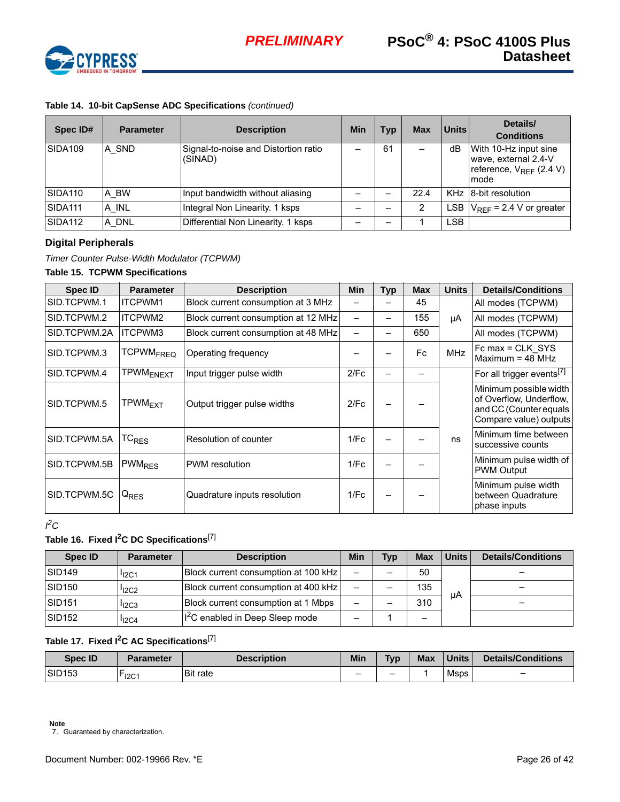

# **Table 14. 10-bit CapSense ADC Specifications** *(continued)*

| Spec ID#       | <b>Parameter</b> | <b>Description</b>                              | Min | Typ | <b>Max</b> | Units      | Details/<br><b>Conditions</b>                                                         |
|----------------|------------------|-------------------------------------------------|-----|-----|------------|------------|---------------------------------------------------------------------------------------|
| SIDA109        | A SND            | Signal-to-noise and Distortion ratio<br>(SINAD) |     | 61  |            | dB         | With 10-Hz input sine<br>wave, external 2.4-V<br>reference, $V_{RFF}$ (2.4 V)<br>mode |
| SIDA110        | A BW             | Input bandwidth without aliasing                |     |     | 22.4       |            | KHz 8-bit resolution                                                                  |
| <b>SIDA111</b> | A INL            | Integral Non Linearity. 1 ksps                  |     |     | 2          | LSB.       | $V_{REF}$ = 2.4 V or greater                                                          |
| SIDA112        | A DNL            | Differential Non Linearity. 1 ksps              |     |     |            | <b>LSB</b> |                                                                                       |

# <span id="page-25-0"></span>**Digital Peripherals**

*Timer Counter Pulse-Width Modulator (TCPWM)* 

# **Table 15. TCPWM Specifications**

| <b>Spec ID</b> | <b>Parameter</b>            | <b>Description</b>                  | <b>Min</b> | Typ | <b>Max</b> | <b>Units</b> | <b>Details/Conditions</b>                                                                             |
|----------------|-----------------------------|-------------------------------------|------------|-----|------------|--------------|-------------------------------------------------------------------------------------------------------|
| SID.TCPWM.1    | <b>ITCPWM1</b>              | Block current consumption at 3 MHz  |            |     | 45         |              | All modes (TCPWM)                                                                                     |
| SID.TCPWM.2    | ITCPWM2                     | Block current consumption at 12 MHz |            |     | 155        | μA           | All modes (TCPWM)                                                                                     |
| SID.TCPWM.2A   | ITCPWM3                     | Block current consumption at 48 MHz |            |     | 650        |              | All modes (TCPWM)                                                                                     |
| SID.TCPWM.3    | <b>TCPWM<sub>FREQ</sub></b> | Operating frequency                 |            |     | Fc.        | <b>MHz</b>   | $FC max = CLK$ SYS<br>Maximum = $48$ MHz                                                              |
| SID.TCPWM.4    | <b>TPWM<sub>ENEXT</sub></b> | Input trigger pulse width           | 2/Fc       |     |            |              | For all trigger events <sup>[7]</sup>                                                                 |
| SID.TCPWM.5    | TPWM <sub>FXT</sub>         | Output trigger pulse widths         | 2/Fc       |     |            |              | Minimum possible width<br>of Overflow, Underflow,<br>and CC (Counter equals<br>Compare value) outputs |
| SID.TCPWM.5A   | TC <sub>RES</sub>           | Resolution of counter               | 1/FC       |     |            | ns           | Minimum time between<br>successive counts                                                             |
| SID.TCPWM.5B   | PWM <sub>RES</sub>          | PWM resolution                      | 1/Fc       |     |            |              | Minimum pulse width of<br><b>PWM Output</b>                                                           |
| SID.TCPWM.5C   | $Q_{RES}$                   | Quadrature inputs resolution        | 1/Fc       |     |            |              | Minimum pulse width<br>between Quadrature<br>phase inputs                                             |

#### *I 2C*

# **Table 16. Fixed I2C DC Specifications**[\[7](#page-25-1)]

| Spec ID            | <b>Parameter</b>  | <b>Description</b>                          | <b>Min</b> | <b>Typ</b> | <b>Max</b> | Units | <b>Details/Conditions</b> |
|--------------------|-------------------|---------------------------------------------|------------|------------|------------|-------|---------------------------|
| SID <sub>149</sub> | I <sub>12C1</sub> | Block current consumption at 100 kHz        | -          |            | 50         |       |                           |
| <b>SID150</b>      | 12C2              | Block current consumption at 400 kHz        |            |            | 135        |       |                           |
| <b>SID151</b>      | $I_{12C3}$        | Block current consumption at 1 Mbps         | -          |            | 310        | uА    |                           |
| SID <sub>152</sub> | $I_{12C4}$        | I <sup>2</sup> C enabled in Deep Sleep mode |            |            |            |       |                           |

# **Table 17. Fixed I2C AC Specifications**[\[7](#page-25-1)]

<span id="page-25-1"></span>

| <b>Spec ID</b> | Parameter | <b>Description</b> | Min | <b>Typ</b> | <b>Max</b> | <b>Units</b> | Details/Conditions       |
|----------------|-----------|--------------------|-----|------------|------------|--------------|--------------------------|
| <b>SID153</b>  | $^-$ I2C1 | <b>Bit rate</b>    | -   | -          |            | Msps         | $\overline{\phantom{0}}$ |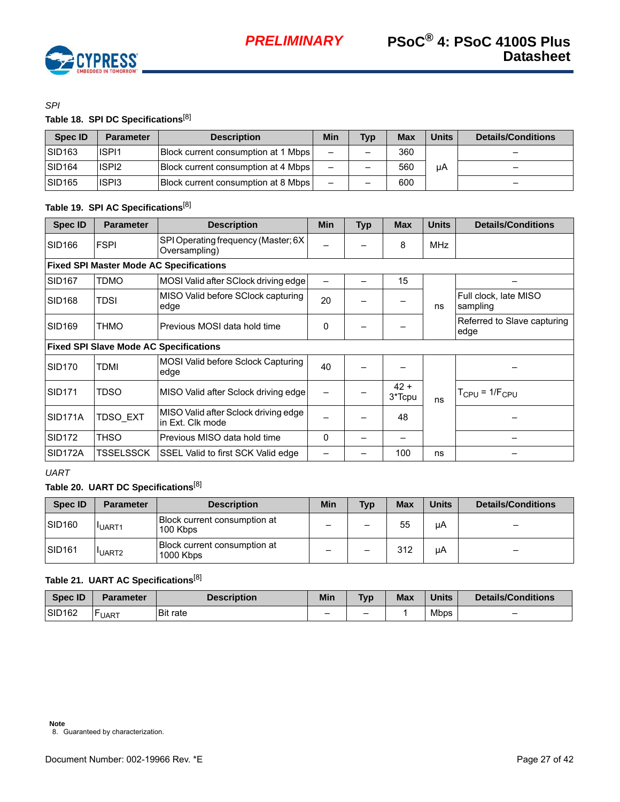

## *SPI*

# **Table 18. SPI DC Specifications**[[8\]](#page-26-0)

| Spec ID            | <b>Parameter</b>  | <b>Description</b>                         | Min                      | <b>Typ</b>               | <b>Max</b> | <b>Units</b> | Details/Conditions |
|--------------------|-------------------|--------------------------------------------|--------------------------|--------------------------|------------|--------------|--------------------|
| SID <sub>163</sub> | ISPI <sub>1</sub> | <b>Block current consumption at 1 Mbps</b> | $\overline{\phantom{0}}$ | $\overline{\phantom{0}}$ | 360        |              | -                  |
| SID <sub>164</sub> | ISPI <sub>2</sub> | <b>Block current consumption at 4 Mbps</b> | -                        | -                        | 560        | μA           | -                  |
| SID <sub>165</sub> | ISPI3             | <b>Block current consumption at 8 Mbps</b> | —                        | $\overline{\phantom{0}}$ | 600        |              |                    |

# **Table 19. SPI AC Specifications**[[8\]](#page-26-0)

| <b>Spec ID</b>       | <b>Parameter</b>                               | <b>Description</b>                                       | Min      | <b>Typ</b> | <b>Max</b>       | <b>Units</b> | <b>Details/Conditions</b>             |  |  |  |  |
|----------------------|------------------------------------------------|----------------------------------------------------------|----------|------------|------------------|--------------|---------------------------------------|--|--|--|--|
| SID166               | <b>FSPI</b>                                    | SPI Operating frequency (Master; 6X<br>Oversampling)     |          |            | 8                | <b>MHz</b>   |                                       |  |  |  |  |
|                      | <b>Fixed SPI Master Mode AC Specifications</b> |                                                          |          |            |                  |              |                                       |  |  |  |  |
| SID <sub>167</sub>   | <b>TDMO</b>                                    | MOSI Valid after SClock driving edge                     |          |            | 15               |              |                                       |  |  |  |  |
| <b>SID168</b>        | TDSI                                           | MISO Valid before SClock capturing<br>edge               | 20       |            |                  | ns           | Full clock, late MISO<br>sampling     |  |  |  |  |
| SID169               | <b>THMO</b>                                    | Previous MOSI data hold time                             | 0        |            |                  |              | Referred to Slave capturing<br>edge   |  |  |  |  |
|                      |                                                | <b>Fixed SPI Slave Mode AC Specifications</b>            |          |            |                  |              |                                       |  |  |  |  |
| <b>SID170</b>        | TDMI                                           | MOSI Valid before Sclock Capturing<br>edge               | 40       |            |                  |              |                                       |  |  |  |  |
| <b>SID171</b>        | TDSO                                           | MISO Valid after Sclock driving edge                     |          |            | $42 +$<br>3*Tcpu | ns           | T <sub>CPU</sub> = 1/F <sub>CPU</sub> |  |  |  |  |
| SID <sub>171</sub> A | TDSO EXT                                       | MISO Valid after Sclock driving edge<br>in Ext. Clk mode |          |            | 48               |              |                                       |  |  |  |  |
| SID <sub>172</sub>   | <b>THSO</b>                                    | Previous MISO data hold time                             | $\Omega$ |            |                  |              |                                       |  |  |  |  |
| SID <sub>172</sub> A | TSSELSSCK                                      | SSEL Valid to first SCK Valid edge                       |          |            | 100              | ns           |                                       |  |  |  |  |

# *UART*

# **Table 20. UART DC Specifications**[\[8](#page-26-0)]

| <b>Spec ID</b>     | <b>Parameter</b>  | <b>Description</b>                        | <b>Min</b> | <b>Typ</b>               | <b>Max</b> | Units | <b>Details/Conditions</b> |
|--------------------|-------------------|-------------------------------------------|------------|--------------------------|------------|-------|---------------------------|
| SID <sub>160</sub> | UART <sub>1</sub> | Block current consumption at<br>100 Kbps  |            | -                        | 55         | μA    | -                         |
| SID <sub>161</sub> | UART <sub>2</sub> | Block current consumption at<br>1000 Kbps |            | $\overline{\phantom{0}}$ | 312        | μA    | $\overline{\phantom{0}}$  |

# **Table 21. UART AC Specifications**[\[8](#page-26-0)]

<span id="page-26-0"></span>

| <b>Spec ID</b>     | <b>Parameter</b> | <b>Description</b> | <b>Min</b> | <b>Typ</b> | <b>Max</b> | <b>Units</b> | Details/Conditions |
|--------------------|------------------|--------------------|------------|------------|------------|--------------|--------------------|
| SID <sub>162</sub> | <b>LUART</b>     | <b>Bit rate</b>    | -          | -          |            | <b>Mbps</b>  |                    |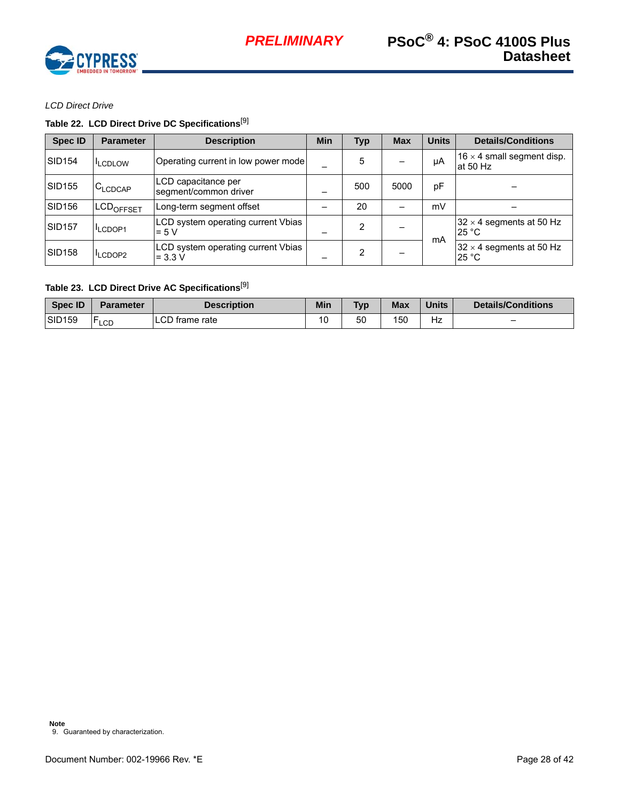

*LCD Direct Drive*

# **Table 22. LCD Direct Drive DC Specifications**[[9\]](#page-27-0)

| <b>Spec ID</b>     | <b>Parameter</b>   | <b>Description</b>                              | <b>Min</b> | <b>Typ</b> | <b>Max</b> | <b>Units</b> | <b>Details/Conditions</b>                       |
|--------------------|--------------------|-------------------------------------------------|------------|------------|------------|--------------|-------------------------------------------------|
| <b>SID154</b>      | <b>ILCDLOW</b>     | Operating current in low power mode             |            | 5          |            | μA           | $16 \times 4$ small segment disp.<br>at $50$ Hz |
| <b>SID155</b>      | $C_{LCDCAP}$       | LCD capacitance per<br>segment/common driver    |            | 500        | 5000       | pF           |                                                 |
| SID <sub>156</sub> | <b>ILCDOFFSET</b>  | Long-term segment offset                        |            | 20         |            | mV           |                                                 |
| <b>SID157</b>      | LCDOP1             | LCD system operating current Vbias<br>$= 5 V$   |            | 2          |            | mA           | $32 \times 4$ segments at 50 Hz<br>25 °C        |
| <b>SID158</b>      | LCDOP <sub>2</sub> | LCD system operating current Vbias<br>$= 3.3 V$ |            | 2          | -          |              | $32 \times 4$ segments at 50 Hz<br>25 °C        |

# **Table 23. LCD Direct Drive AC Specifications**[[9\]](#page-27-0)

<span id="page-27-0"></span>

| Spec ID            | <b>Parameter</b> | <b>Description</b> | Min | <b>Tvp</b> | <b>Max</b> | <b>Units</b> | Details/Conditions |
|--------------------|------------------|--------------------|-----|------------|------------|--------------|--------------------|
| SID <sub>159</sub> | <b>FLCD</b>      | LCD frame rate     | 10  | 50         | 150        | ––<br>∡ר     | -                  |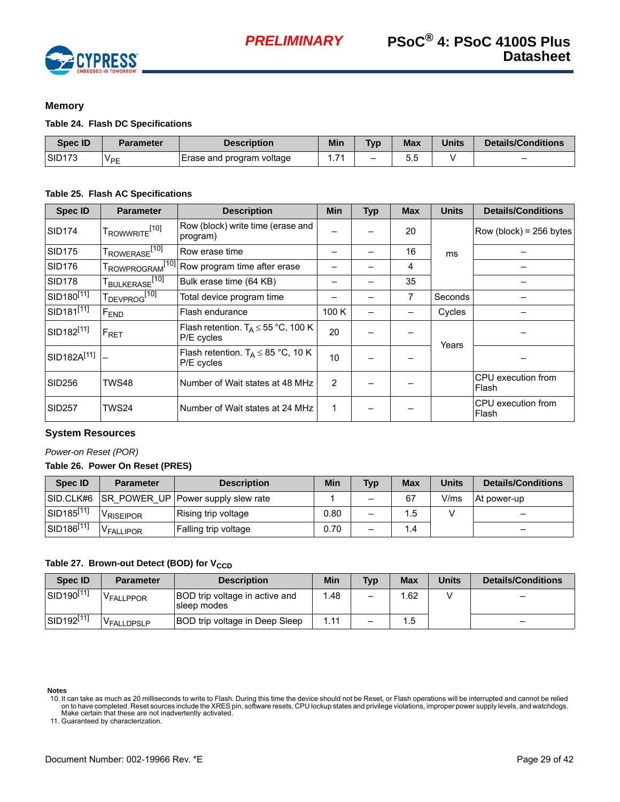

# <span id="page-28-0"></span>**Memory**

### **Table 24. Flash DC Specifications**

| <b>Spec ID</b>      | <b>Parameter</b>      | <b>Description</b>        | Min | <b>Typ</b>               | Max | <b>Units</b> | <b>Details/Conditions</b> |
|---------------------|-----------------------|---------------------------|-----|--------------------------|-----|--------------|---------------------------|
| ISID <sub>173</sub> | <b>V<sub>PE</sub></b> | Erase and program voltage | 74  | $\overline{\phantom{m}}$ | J.J |              | $\overline{\phantom{0}}$  |

# **Table 25. Flash AC Specifications**

| <b>Spec ID</b>                              | <b>Parameter</b>                      | <b>Description</b>                                       | Min   | <b>Typ</b> | <b>Max</b>     | <b>Units</b> | <b>Details/Conditions</b>   |
|---------------------------------------------|---------------------------------------|----------------------------------------------------------|-------|------------|----------------|--------------|-----------------------------|
| <b>SID174</b>                               | T <sub>ROWWRITE</sub> <sup>[10]</sup> | Row (block) write time (erase and<br>program)            |       |            | 20             |              | $Row (block) = 256 bytes$   |
| SID <sub>175</sub>                          | T <sub>ROWERASE<sup>[10]</sup></sub>  | Row erase time                                           |       |            | 16             | ms           |                             |
| <b>SID176</b>                               |                                       | TROWPROGRAM <sup>[10]</sup> Row program time after erase |       |            | 4              |              |                             |
| SID <sub>178</sub>                          | T <sub>BULKERASE<sup>[10]</sup></sub> | Bulk erase time (64 KB)                                  |       |            | 35             |              |                             |
| $ $ SID <sub>180</sub> [1 $\overline{11}$ ] | T <sub>DEVPROG</sub> <sup>[10]</sup>  | Total device program time                                |       |            | $\overline{7}$ | Seconds      |                             |
| $\overline{\text{SID181}^{[11]}}$           | F <sub>END</sub>                      | Flash endurance                                          | 100 K |            |                | Cycles       |                             |
| SID182 <sup>[11]</sup>                      | $F_{\sf RET}$                         | Flash retention. $T_A \le 55$ °C, 100 K<br>P/E cycles    | 20    |            |                | Years        |                             |
| SID182A <sup>[11]</sup> -                   |                                       | Flash retention. $T_A \leq 85$ °C, 10 K<br>P/E cycles    | 10    |            |                |              |                             |
| SID256                                      | TWS48                                 | Number of Wait states at 48 MHz                          | 2     |            |                |              | CPU execution from<br>Flash |
| <b>SID257</b>                               | TWS24                                 | Number of Wait states at 24 MHz                          | 1     |            |                |              | CPU execution from<br>Flash |

## <span id="page-28-1"></span>**System Resources**

### *Power-on Reset (POR)*

### **Table 26. Power On Reset (PRES)**

| Spec ID                | <b>Parameter</b>      | <b>Description</b>                        | Min  | <b>Typ</b> | <b>Max</b> | <b>Units</b> | <b>Details/Conditions</b> |
|------------------------|-----------------------|-------------------------------------------|------|------------|------------|--------------|---------------------------|
| SID.CLK#6              |                       | <b>SR POWER UP Power supply slew rate</b> |      | -          | 67         | V/ms         | At power-up               |
| SID185 <sup>[11]</sup> | <sup>V</sup> RISEIPOR | Rising trip voltage                       | 0.80 |            | 1.5        |              | -                         |
| SID186[11]             | <b>VFALLIPOR</b>      | Falling trip voltage                      | 0.70 | -          | 1.4        |              | -                         |

### Table 27. Brown-out Detect (BOD) for V<sub>CCD</sub>

| <b>Spec ID</b>         | <b>Parameter</b>       | <b>Description</b>                            | <b>Min</b> | <b>Typ</b> | <b>Max</b> | <b>Units</b> | Details/Conditions |
|------------------------|------------------------|-----------------------------------------------|------------|------------|------------|--------------|--------------------|
| SID190[11]             | V <sub>FALLPPOR</sub>  | BOD trip voltage in active and<br>sleep modes | 1.48       | —          | .62        |              | -                  |
| SID192 <sup>[11]</sup> | V <sub>FALLDPSLP</sub> | BOD trip voltage in Deep Sleep                | 1.11       | -          | 1.5        |              |                    |

**Notes**

<span id="page-28-3"></span>11. Guaranteed by characterization.

<span id="page-28-2"></span><sup>10.</sup> It can take as much as 20 milliseconds to write to Flash. During this time the device should not be Reset, or Flash operations will be interrupted and cannot be relied<br>on to have completed. Reset sources include the XR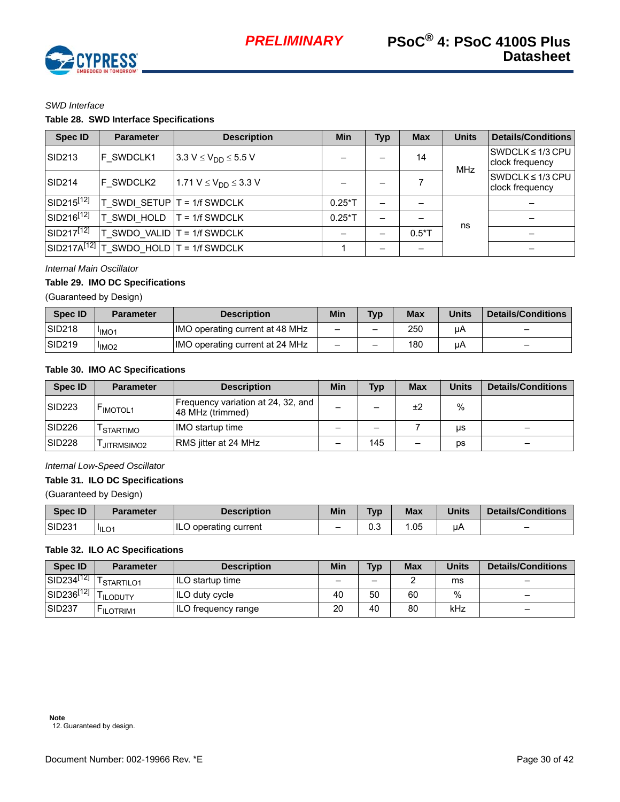

#### *SWD Interface*

# **Table 28. SWD Interface Specifications**

| <b>Spec ID</b>         | <b>Parameter</b>                              | <b>Description</b>                         | <b>Min</b> | Typ                      | <b>Max</b> | <b>Units</b> | <b>Details/Conditions</b>                |
|------------------------|-----------------------------------------------|--------------------------------------------|------------|--------------------------|------------|--------------|------------------------------------------|
| <b>SID213</b>          | <b>F SWDCLK1</b>                              | $3.3 V \le V_{DD} \le 5.5 V$               |            |                          | 14         |              | SWDCLK $\leq$ 1/3 CPU<br>clock frequency |
| <b>SID214</b>          | F SWDCLK2                                     | 1.71 V $\leq$ V <sub>DD</sub> $\leq$ 3.3 V |            |                          |            | <b>MHz</b>   | SWDCLK $\leq$ 1/3 CPU<br>clock frequency |
| $SID215^{[12]}$        | T SWDI SETUP T                                | $= 1/f$ SWDCLK                             | $0.25*$ T  |                          |            |              |                                          |
| SID216 <sup>[12]</sup> | T SWDI HOLD                                   | $T = 1/f$ SWDCLK                           | $0.25*$ T  | $\overline{\phantom{0}}$ |            | ns           |                                          |
| $SID217^{[12]}$        | $T$ SWDO VALID $T = 1/f$ SWDCLK               |                                            |            |                          | $0.5*$ T   |              |                                          |
|                        | $SID217A^{[12]}$ T SWDO HOLD $T = 1/f$ SWDCLK |                                            |            |                          |            |              |                                          |

### *Internal Main Oscillator*

#### **Table 29. IMO DC Specifications**

(Guaranteed by Design)

| <b>Spec ID</b> | <b>Parameter</b>              | <b>Description</b>              | <b>Min</b>               | Tvp | <b>Max</b> | <b>Units</b> | <b>Details/Conditions</b> |
|----------------|-------------------------------|---------------------------------|--------------------------|-----|------------|--------------|---------------------------|
| <b>SID218</b>  | <sup>I</sup> IMO <sub>1</sub> | IMO operating current at 48 MHz | $\overline{\phantom{0}}$ | -   | 250        | μA           | -                         |
| <b>SID219</b>  | <sup>I</sup> IMO <sub>2</sub> | IMO operating current at 24 MHz | $\overline{\phantom{m}}$ | -   | 180        | uA           | $\overline{\phantom{0}}$  |

### **Table 30. IMO AC Specifications**

| <b>Spec ID</b>     | <b>Parameter</b> | <b>Description</b>                                     | Min                      | <b>Typ</b> | <b>Max</b> | <b>Units</b> | <b>Details/Conditions</b> |
|--------------------|------------------|--------------------------------------------------------|--------------------------|------------|------------|--------------|---------------------------|
| SID <sub>223</sub> | <b>IMOTOL1</b>   | Frequency variation at 24, 32, and<br>48 MHz (trimmed) | -                        |            | ±2         | $\%$         |                           |
| SID <sub>226</sub> | <b>STARTIMO</b>  | IMO startup time                                       | $\overline{\phantom{0}}$ | -          |            | μs           | -                         |
| SID <sub>228</sub> | JITRMSIMO2       | RMS jitter at 24 MHz                                   | -                        | 145        | -          | DS           | _                         |

### *Internal Low-Speed Oscillator*

## **Table 31. ILO DC Specifications**

(Guaranteed by Design)

| <b>Spec ID</b>     | Parameter | <b>Description</b>    | <b>Min</b> | <b>Tvp</b> | <b>Max</b> | <b>Units</b> | Details/Conditions |
|--------------------|-----------|-----------------------|------------|------------|------------|--------------|--------------------|
| SID <sub>231</sub> | l'ILO1    | ILO operating current | -          | ∩ ว<br>U.J | .05        | uΡ           |                    |

#### **Table 32. ILO AC Specifications**

<span id="page-29-0"></span>

| <b>Spec ID</b>           | Parameter              | <b>Description</b>         | Min | <b>Typ</b> | Max | <b>Units</b> | <b>Details/Conditions</b>    |
|--------------------------|------------------------|----------------------------|-----|------------|-----|--------------|------------------------------|
| $SID234^{[12]}$ T        | <sup>I</sup> STARTILO1 | ILO startup time           | -   | -          |     | ms           | $\overline{\phantom{0}}$     |
| $\sqrt{31D236^{[12]}}$ T | <sup>I</sup> ILODUTY   | ILO duty cycle             | 40  | 50         | 60  | $\%$         | $\overline{\phantom{0}}$     |
| <b>SID237</b>            | <b>FILOTRIM1</b>       | <b>ILO frequency range</b> | 20  | 40         | 80  | kHz          | $\qquad \qquad \blacksquare$ |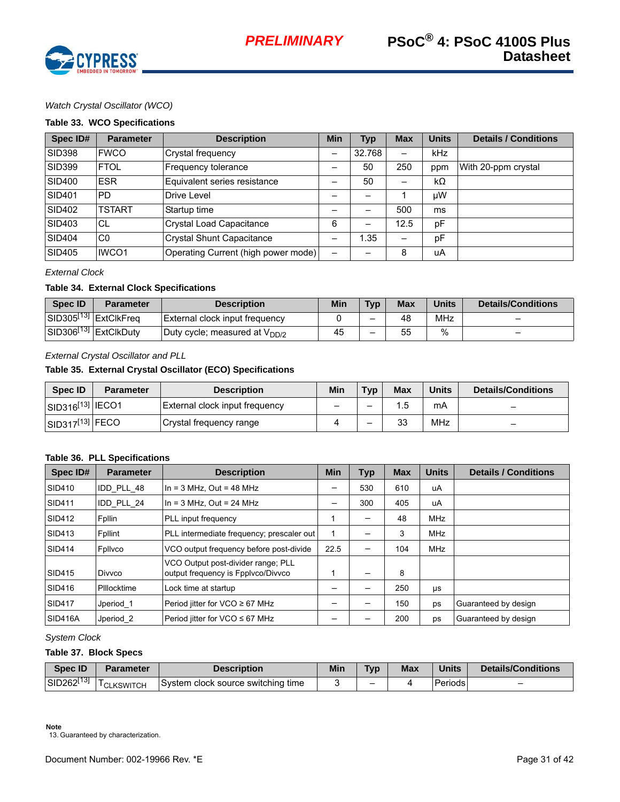

# *Watch Crystal Oscillator (WCO)*

#### **Table 33. WCO Specifications**

| Spec ID#      | <b>Parameter</b> | <b>Description</b>                  | <b>Min</b> | <b>Typ</b> | <b>Max</b> | <b>Units</b> | <b>Details / Conditions</b> |
|---------------|------------------|-------------------------------------|------------|------------|------------|--------------|-----------------------------|
| <b>SID398</b> | <b>FWCO</b>      | Crystal frequency                   | -          | 32.768     |            | kHz          |                             |
| <b>SID399</b> | <b>FTOL</b>      | Frequency tolerance                 |            | 50         | 250        | ppm          | With 20-ppm crystal         |
| <b>SID400</b> | <b>ESR</b>       | Equivalent series resistance        |            | 50         |            | $k\Omega$    |                             |
| <b>SID401</b> | <b>PD</b>        | Drive Level                         |            |            |            | μW           |                             |
| <b>SID402</b> | <b>TSTART</b>    | Startup time                        |            | -          | 500        | ms           |                             |
| SID403        | СL               | <b>Crystal Load Capacitance</b>     | 6          | —          | 12.5       | pF           |                             |
| <b>SID404</b> | C <sub>0</sub>   | <b>Crystal Shunt Capacitance</b>    |            | 1.35       |            | pF           |                             |
| <b>SID405</b> | IWCO1            | Operating Current (high power mode) |            |            | 8          | uA           |                             |

#### *External Clock*

### **Table 34. External Clock Specifications**

| <b>Spec ID</b> | <b>Parameter</b>                  | <b>Description</b>                        | Min | T <sub>Vp</sub> | <b>Max</b> | Units | Details/Conditions       |
|----------------|-----------------------------------|-------------------------------------------|-----|-----------------|------------|-------|--------------------------|
|                | SID305 <sup>[13]</sup> ExtClkFreq | External clock input frequency            |     | -               | 48         | MHz   | -                        |
|                | SID306 <sup>[13]</sup> ExtClkDuty | Duty cycle; measured at V <sub>DD/2</sub> | 45  | -               | 55         | $\%$  | $\overline{\phantom{0}}$ |

#### *External Crystal Oscillator and PLL*

### **Table 35. External Crystal Oscillator (ECO) Specifications**

| <b>Spec ID</b>                       | <b>Description</b><br><b>Parameter</b> |                                | Min                          | Typ. | <b>Max</b> | <b>Units</b> | Details/Conditions       |
|--------------------------------------|----------------------------------------|--------------------------------|------------------------------|------|------------|--------------|--------------------------|
| SID316 <sup>[13]</sup> IECO1         |                                        | External clock input frequency | $\qquad \qquad \blacksquare$ | -    | . .ხ       | mA           | $\overline{\phantom{0}}$ |
| $\left $ SID317 <sup>[13]</sup> FECO |                                        | Crystal frequency range        |                              | -    | 33         | MHz          | $\overline{\phantom{0}}$ |

#### **Table 36. PLL Specifications**

| Spec ID#                                                                                            | <b>Parameter</b>     | <b>Description</b>                        | <b>Min</b> | <b>Typ</b> | <b>Max</b> | <b>Units</b> | <b>Details / Conditions</b> |
|-----------------------------------------------------------------------------------------------------|----------------------|-------------------------------------------|------------|------------|------------|--------------|-----------------------------|
| SID410                                                                                              | IDD PLL 48           | In = $3$ MHz, Out = $48$ MHz              |            | 530        | 610        | uA           |                             |
| <b>SID411</b>                                                                                       | IDD PLL 24           | In = $3$ MHz, Out = $24$ MHz              |            | 300        | 405        | uA           |                             |
| <b>SID412</b>                                                                                       | Fpllin               | PLL input frequency                       |            | —          | 48         | <b>MHz</b>   |                             |
| SID413                                                                                              | Fpllint              | PLL intermediate frequency; prescaler out |            |            | 3          | <b>MHz</b>   |                             |
| <b>SID414</b>                                                                                       | Fplivco              | VCO output frequency before post-divide   |            |            | 104        | <b>MHz</b>   |                             |
| VCO Output post-divider range; PLL<br>output frequency is Fpplyco/Divyco<br><b>SID415</b><br>Divyco |                      |                                           |            | 8          |            |              |                             |
| <b>SID416</b>                                                                                       | Pillocktime          | Lock time at startup                      |            |            | 250        | μs           |                             |
| <b>SID417</b>                                                                                       | Jperiod 1            | Period jitter for VCO ≥ 67 MHz            |            |            | 150        | ps           | Guaranteed by design        |
| <b>SID416A</b>                                                                                      | Jperiod <sub>2</sub> | Period jitter for VCO ≤ 67 MHz            |            |            | 200        | ps           | Guaranteed by design        |

*System Clock*

#### **Table 37. Block Specs**

| <b>Spec ID</b>         | Parameter              | Description                             | <b>Typ</b><br>Min |   | <b>Max</b> | <b>Units</b> | Details/Conditions |  |
|------------------------|------------------------|-----------------------------------------|-------------------|---|------------|--------------|--------------------|--|
| SID262 <sup>[13]</sup> | <sup>I</sup> CLKSWITCH | i clock source switching time<br>Svstem |                   | - |            | Periods      |                    |  |

<span id="page-30-0"></span>13. Guaranteed by characterization.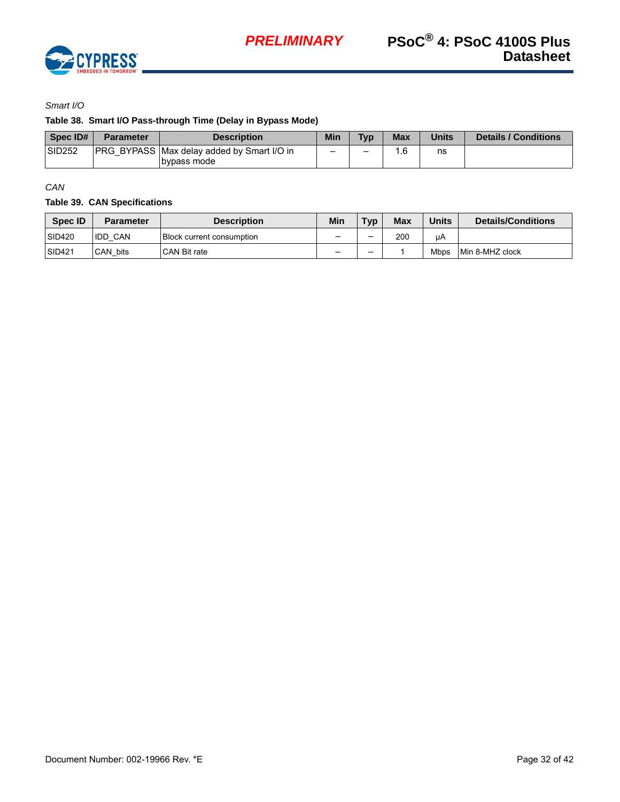

*Smart I/O*

## **Table 38. Smart I/O Pass-through Time (Delay in Bypass Mode)**

| Spec ID#      | <b>Parameter</b> | <b>Description</b>                                                | Min | <b>Typ</b> | <b>Max</b> | <b>Units</b> | <b>Details / Conditions</b> |
|---------------|------------------|-------------------------------------------------------------------|-----|------------|------------|--------------|-----------------------------|
| <b>SID252</b> |                  | <b>PRG BYPASS Max delay added by Smart I/O in</b><br>Ibvpass mode |     | -          | 6. ا       | ns           |                             |

*CAN*

## **Table 39. CAN Specifications**

| <b>Spec ID</b> | <b>Parameter</b> | <b>Description</b>               | Min                      | Typ | Max | Units       | <b>Details/Conditions</b> |
|----------------|------------------|----------------------------------|--------------------------|-----|-----|-------------|---------------------------|
| <b>SID420</b>  | <b>IDD CAN</b>   | <b>Block current consumption</b> |                          | -   | 200 | uA          |                           |
| <b>SID421</b>  | CAN bits         | CAN Bit rate                     | $\overline{\phantom{0}}$ | -   |     | <b>Mbps</b> | Min 8-MHZ clock           |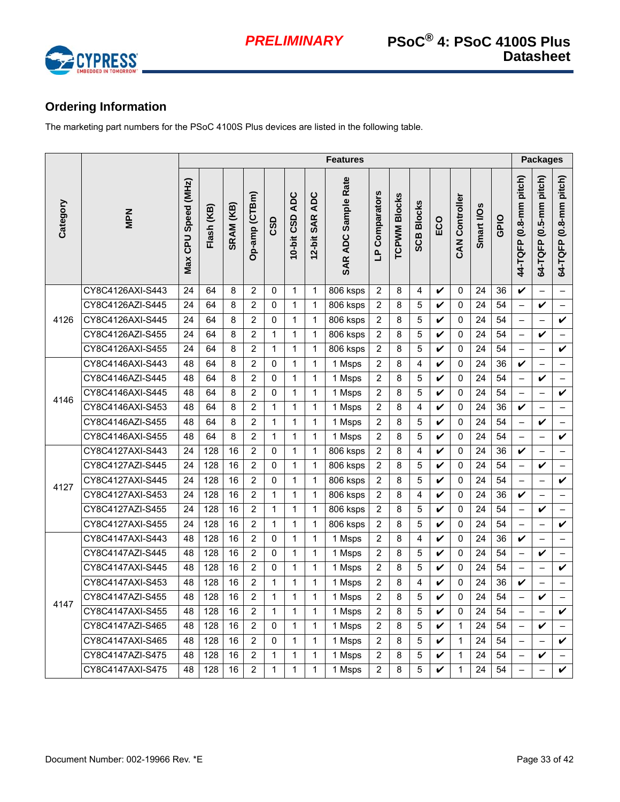

# <span id="page-32-0"></span>**Ordering Information**

The marketing part numbers for the PSoC 4100S Plus devices are listed in the following table.

|          |                  |                     | <b>Features</b> |           |                |              |               |                | <b>Packages</b>       |                |                     |                         |              |                       |                 |                 |                          |                          |                          |
|----------|------------------|---------------------|-----------------|-----------|----------------|--------------|---------------|----------------|-----------------------|----------------|---------------------|-------------------------|--------------|-----------------------|-----------------|-----------------|--------------------------|--------------------------|--------------------------|
| Category | <b>New</b>       | Max CPU Speed (MHz) | Flash (KB)      | SRAM (KB) | Op-amp (CTBm)  | CSD          | 0-bit CSD ADC | 12-bit SAR ADC | SAR ADC Sample Rate   | LP Comparators | <b>TCPWM Blocks</b> | <b>SCB Blocks</b>       | ECO          | <b>CAN Controller</b> | Smart I/Os      | GPIO            | 44-TQFP (0.8-mm pitch)   | 64-TQFP (0.5-mm pitch)   | 64-TQFP (0.8-mm pitch)   |
|          | CY8C4126AXI-S443 | 24                  | 64              | 8         | $\overline{2}$ | $\Omega$     | $\mathbf{1}$  | $\mathbf{1}$   | 806 ksps              | $\overline{2}$ | 8                   | 4                       | V            | 0                     | 24              | 36              | $\boldsymbol{\nu}$       |                          | $\equiv$                 |
|          | CY8C4126AZI-S445 | $\overline{24}$     | 64              | 8         | $\overline{2}$ | $\mathbf{0}$ | 1             | $\mathbf 1$    | 806 ksps              | $\overline{2}$ | 8                   | 5                       | V            | $\Omega$              | $\overline{24}$ | $\overline{54}$ | $\overline{\phantom{0}}$ | V                        | $\equiv$                 |
| 4126     | CY8C4126AXI-S445 | 24                  | 64              | 8         | $\overline{2}$ | 0            | $\mathbf{1}$  | 1              | 806 ksps              | $\overline{2}$ | 8                   | 5                       | V            | 0                     | 24              | 54              | $\overline{\phantom{0}}$ | $\qquad \qquad -$        | $\checkmark$             |
|          | CY8C4126AZI-S455 | 24                  | 64              | 8         | $\overline{2}$ | $\mathbf{1}$ | $\mathbf 1$   | $\mathbf 1$    | 806 ksps              | $\overline{2}$ | 8                   | 5                       | V            | 0                     | 24              | 54              | $\overline{\phantom{0}}$ | $\checkmark$             | $\qquad \qquad -$        |
|          | CY8C4126AXI-S455 | 24                  | 64              | 8         | $\overline{2}$ | $\mathbf{1}$ | $\mathbf{1}$  | $\mathbf 1$    | 806 ksps              | $\overline{2}$ | 8                   | 5                       | V            | 0                     | 24              | 54              | $\overline{\phantom{0}}$ | $\qquad \qquad -$        | $\checkmark$             |
|          | CY8C4146AXI-S443 | 48                  | 64              | 8         | $\overline{2}$ | 0            | $\mathbf{1}$  | 1              | 1 Msps                | $\overline{2}$ | 8                   | 4                       | V            | 0                     | 24              | 36              | V                        | $\qquad \qquad -$        | $\qquad \qquad -$        |
|          | CY8C4146AZI-S445 | 48                  | 64              | 8         | $\overline{c}$ | 0            | 1             | $\mathbf 1$    | 1 Msps                | $\overline{2}$ | 8                   | 5                       | V            | 0                     | 24              | 54              | $\overline{\phantom{0}}$ | V                        | $\overline{\phantom{0}}$ |
| 4146     | CY8C4146AXI-S445 | 48                  | 64              | 8         | $\overline{2}$ | 0            | $\mathbf 1$   | $\mathbf 1$    | 1 Msps                | $\overline{2}$ | 8                   | 5                       | $\checkmark$ | 0                     | 24              | 54              | $\overline{\phantom{0}}$ | $\qquad \qquad -$        | $\checkmark$             |
|          | CY8C4146AXI-S453 | 48                  | 64              | 8         | $\overline{2}$ | $\mathbf{1}$ | $\mathbf{1}$  | $\mathbf{1}$   | 1 Msps                | $\overline{2}$ | 8                   | 4                       | V            | 0                     | 24              | 36              | V                        | $\overline{\phantom{0}}$ | $\equiv$                 |
|          | CY8C4146AZI-S455 | 48                  | 64              | 8         | $\overline{2}$ | $\mathbf{1}$ | $\mathbf{1}$  | $\mathbf{1}$   | 1 Msps                | $\overline{2}$ | 8                   | 5                       | $\checkmark$ | 0                     | 24              | 54              | $\overline{\phantom{0}}$ | V                        | $\qquad \qquad -$        |
|          | CY8C4146AXI-S455 | 48                  | 64              | 8         | $\overline{2}$ | $\mathbf{1}$ | $\mathbf{1}$  | $\mathbf{1}$   | 1 Msps                | $\overline{2}$ | 8                   | 5                       | $\checkmark$ | $\Omega$              | 24              | 54              | $\overline{a}$           | $\equiv$                 | $\overline{\mathbf{v}}$  |
|          | CY8C4127AXI-S443 | 24                  | 128             | 16        | $\overline{2}$ | $\mathbf{0}$ | $\mathbf 1$   | $\mathbf 1$    | 806 ksps              | 2              | 8                   | $\overline{\mathbf{4}}$ | V            | $\Omega$              | 24              | 36              | V                        | $\equiv$                 | $\overline{\phantom{0}}$ |
|          | CY8C4127AZI-S445 | 24                  | 128             | 16        | $\overline{2}$ | 0            | $\mathbf{1}$  | $\mathbf 1$    | 806 ksps              | $\overline{2}$ | 8                   | 5                       | V            | 0                     | 24              | 54              | —                        | V                        | $\overline{a}$           |
| 4127     | CY8C4127AXI-S445 | 24                  | 128             | 16        | $\overline{2}$ | 0            | $\mathbf{1}$  | $\mathbf 1$    | 806 ksps              | $\overline{2}$ | 8                   | 5                       | V            | $\Omega$              | 24              | 54              | $\overline{\phantom{0}}$ | $\overline{\phantom{0}}$ | $\boldsymbol{\nu}$       |
|          | CY8C4127AXI-S453 | 24                  | 128             | 16        | $\overline{2}$ | $\mathbf{1}$ | $\mathbf{1}$  | $\mathbf{1}$   | 806 ksps              | $\overline{2}$ | 8                   | 4                       | V            | 0                     | 24              | 36              | V                        | $\overline{a}$           | $\equiv$                 |
|          | CY8C4127AZI-S455 | 24                  | 128             | 16        | $\overline{c}$ | $\mathbf{1}$ | $\mathbf 1$   | $\mathbf{1}$   | 806 ksps              | $\overline{2}$ | 8                   | 5                       | $\checkmark$ | $\Omega$              | 24              | 54              | $\overline{\phantom{0}}$ | V                        | $\equiv$                 |
|          | CY8C4127AXI-S455 | 24                  | 128             | 16        | $\overline{c}$ | $\mathbf{1}$ | $\mathbf{1}$  | $\mathbf{1}$   | $\overline{8}06$ ksps | $\overline{2}$ | 8                   | 5                       | V            | 0                     | 24              | 54              | $\overline{\phantom{0}}$ | $\qquad \qquad -$        | V                        |
|          | CY8C4147AXI-S443 | 48                  | 128             | 16        | $\overline{c}$ | $\mathbf{0}$ | $\mathbf{1}$  | $\mathbf{1}$   | 1 Msps                | $\overline{2}$ | 8                   | 4                       | V            | $\Omega$              | 24              | 36              | V                        | $\overline{\phantom{0}}$ | $\overline{a}$           |
|          | CY8C4147AZI-S445 | 48                  | 128             | 16        | $\overline{2}$ | 0            | $\mathbf{1}$  | $\mathbf{1}$   | 1 Msps                | $\overline{2}$ | 8                   | 5                       | V            | 0                     | 24              | 54              | $\overline{\phantom{0}}$ | V                        | $\qquad \qquad -$        |
|          | CY8C4147AXI-S445 | 48                  | 128             | 16        | $\overline{2}$ | 0            | $\mathbf 1$   | 1              | 1 Msps                | 2              | 8                   | 5                       | V            | 0                     | 24              | 54              | $\overline{\phantom{0}}$ | $\qquad \qquad -$        | V                        |
|          | CY8C4147AXI-S453 | 48                  | 128             | 16        | $\overline{2}$ | $\mathbf{1}$ | $\mathbf 1$   | $\mathbf{1}$   | 1 Msps                | $\overline{2}$ | 8                   | $\overline{\mathbf{4}}$ | V            | $\Omega$              | 24              | 36              | V                        | $\overline{\phantom{0}}$ | $\overline{\phantom{0}}$ |
| 4147     | CY8C4147AZI-S455 | 48                  | 128             | 16        | $\overline{2}$ | $\mathbf{1}$ | $\mathbf 1$   | $\mathbf{1}$   | 1 Msps                | $\overline{2}$ | 8                   | 5                       | V            | 0                     | 24              | 54              | $\overline{\phantom{0}}$ | V                        | $\overline{\phantom{0}}$ |
|          | CY8C4147AXI-S455 | 48                  | 128             | 16        | $\overline{2}$ | $\mathbf{1}$ | $\mathbf{1}$  | $\mathbf{1}$   | 1 Msps                | $\overline{2}$ | 8                   | 5                       | V            | 0                     | 24              | 54              | $\overline{\phantom{0}}$ | $\overline{a}$           | $\boldsymbol{\nu}$       |
|          | CY8C4147AZI-S465 | 48                  | 128             | 16        | $\overline{2}$ | $\Omega$     | $\mathbf{1}$  | $\mathbf{1}$   | 1 Msps                | 2              | 8                   | 5                       | V            | 1                     | 24              | 54              | $\overline{\phantom{0}}$ | V                        | $\qquad \qquad -$        |
|          | CY8C4147AXI-S465 | 48                  | 128             | 16        | $\overline{2}$ | 0            | $\mathbf 1$   | $\mathbf{1}$   | 1 Msps                | $\overline{2}$ | 8                   | 5                       | V            | $\mathbf{1}$          | 24              | 54              | $\overline{ }$           | $\equiv$                 | V                        |
|          | CY8C4147AZI-S475 | 48                  | 128             | 16        | $\overline{2}$ | $\mathbf{1}$ | $\mathbf{1}$  | $\mathbf{1}$   | 1 Msps                | $\overline{2}$ | 8                   | 5                       | V            | $\mathbf{1}$          | 24              | 54              | $\overline{\phantom{0}}$ | V                        | $\overline{\phantom{0}}$ |
|          | CY8C4147AXI-S475 | 48                  | 128             | 16        | $\overline{2}$ | $\mathbf{1}$ | 1             | 1              | 1 Msps                | $\overline{2}$ | 8                   | 5                       | V            | 1                     | 24              | 54              | $\overline{\phantom{0}}$ |                          | V                        |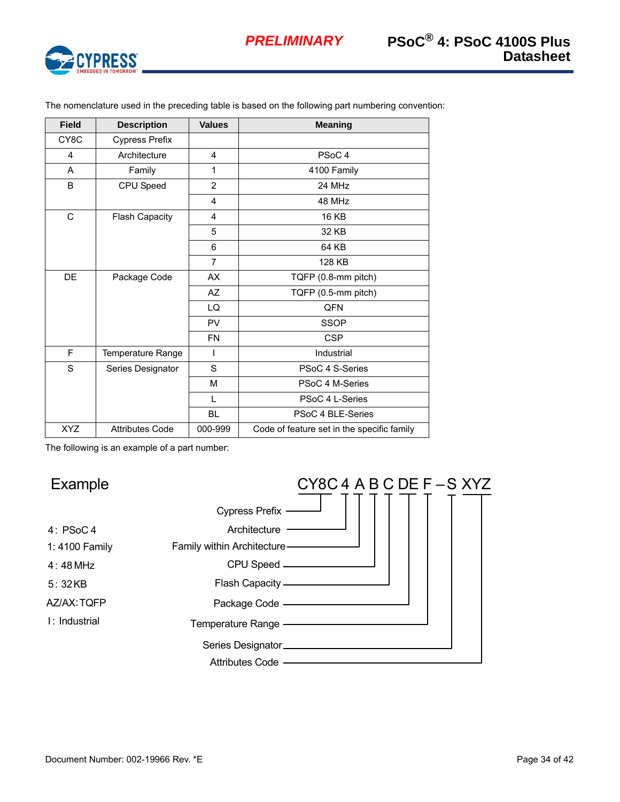

| <b>Field</b>      | <b>Description</b>     | <b>Values</b>  | <b>Meaning</b>                             |
|-------------------|------------------------|----------------|--------------------------------------------|
| CY <sub>8</sub> C | Cypress Prefix         |                |                                            |
| 4                 | Architecture           | $\overline{4}$ | PSoC <sub>4</sub>                          |
| A                 | Family                 | 1              | 4100 Family                                |
| B                 | CPU Speed              | 2              | 24 MHz                                     |
|                   |                        | $\overline{4}$ | 48 MHz                                     |
| C                 | Flash Capacity         | 4              | <b>16 KB</b>                               |
|                   |                        | 5              | 32 KB                                      |
|                   |                        | 6              | 64 KB                                      |
|                   |                        | $\overline{7}$ | 128 KB                                     |
| DE                | Package Code           | <b>AX</b>      | TQFP (0.8-mm pitch)                        |
|                   |                        | <b>AZ</b>      | TQFP (0.5-mm pitch)                        |
|                   |                        | LQ             | QFN                                        |
|                   |                        | <b>PV</b>      | <b>SSOP</b>                                |
|                   |                        | <b>FN</b>      | <b>CSP</b>                                 |
| F                 | Temperature Range      | I              | Industrial                                 |
| S                 | Series Designator      | S              | PSoC 4 S-Series                            |
|                   |                        | M              | PSoC 4 M-Series                            |
|                   |                        | L              | PSoC 4 L-Series                            |
|                   |                        | <b>BL</b>      | PSoC 4 BLE-Series                          |
| <b>XYZ</b>        | <b>Attributes Code</b> | 000-999        | Code of feature set in the specific family |

The nomenclature used in the preceding table is based on the following part numbering convention:

The following is an example of a part number:

#### $CY8C4$  A B C DE F  $-S$  XYZ Cypress Prefix Architecture -Family within Architecture CPU Speed Temperature Range Package Code \_\_\_\_\_ Flash Capacity Attributes Code - **Attributes** Example 4: PSoC 4 1: 4100 Family 4: 48 MHz I : Industrial AZ/AX: TQFP 5: 32 KB Series Designator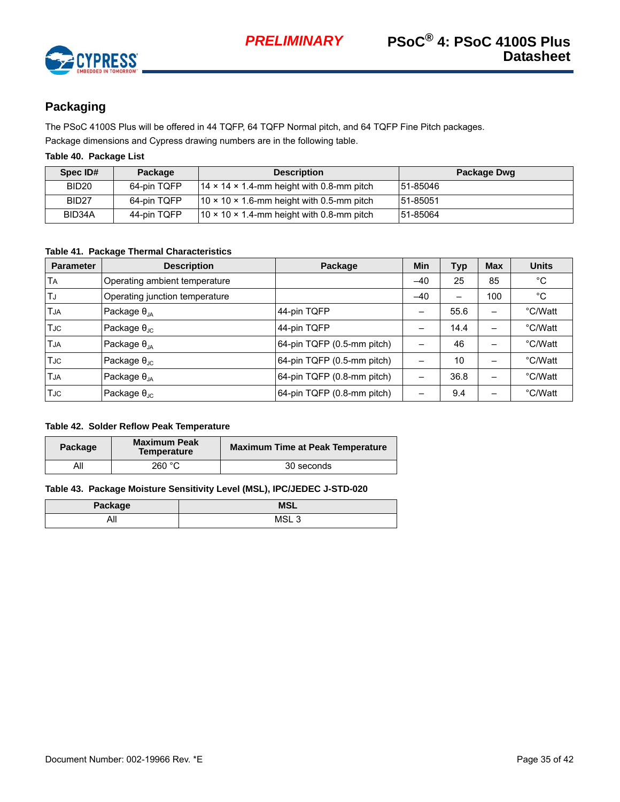

# <span id="page-34-0"></span>**Packaging**

The PSoC 4100S Plus will be offered in 44 TQFP, 64 TQFP Normal pitch, and 64 TQFP Fine Pitch packages.

Package dimensions and Cypress drawing numbers are in the following table.

# **Table 40. Package List**

| Spec ID#          | Package     | <b>Description</b>                                     | Package Dwg |
|-------------------|-------------|--------------------------------------------------------|-------------|
| BID <sub>20</sub> | 64-pin TQFP | $14 \times 14 \times 1.4$ -mm height with 0.8-mm pitch | 151-85046   |
| BID <sub>27</sub> | 64-pin TQFP | $10 \times 10 \times 1.6$ -mm height with 0.5-mm pitch | 151-85051   |
| BID34A            | 44-pin TQFP | $10 \times 10 \times 1.4$ -mm height with 0.8-mm pitch | 51-85064    |

## **Table 41. Package Thermal Characteristics**

| <b>Parameter</b> | <b>Description</b>             | Package                    | Min   | Typ  | <b>Max</b> | <b>Units</b> |
|------------------|--------------------------------|----------------------------|-------|------|------------|--------------|
| TА               | Operating ambient temperature  |                            | $-40$ | 25   | 85         | °C           |
| TJ               | Operating junction temperature |                            | $-40$ | -    | 100        | °C           |
| TJA              | Package $\theta_{JA}$          | 44-pin TQFP                | -     | 55.6 |            | °C/Watt      |
| TJC              | Package $\theta_{\text{JC}}$   | 44-pin TQFP                |       | 14.4 |            | °C/Watt      |
| <b>TJA</b>       | Package $\theta_{JA}$          | 64-pin TQFP (0.5-mm pitch) |       | 46   | -          | °C/Watt      |
| <b>TJC</b>       | Package $\theta_{\text{JC}}$   | 64-pin TQFP (0.5-mm pitch) |       | 10   |            | °C/Watt      |
| TJA              | Package $\theta_{JA}$          | 64-pin TQFP (0.8-mm pitch) |       | 36.8 |            | °C/Watt      |
| TJC              | Package $\theta_{\text{JC}}$   | 64-pin TQFP (0.8-mm pitch) |       | 9.4  |            | °C/Watt      |

### **Table 42. Solder Reflow Peak Temperature**

| Package | <b>Maximum Peak</b><br><b>Temperature</b> | <b>Maximum Time at Peak Temperature</b> |
|---------|-------------------------------------------|-----------------------------------------|
|         | 260 °C                                    | 30 seconds                              |

### **Table 43. Package Moisture Sensitivity Level (MSL), IPC/JEDEC J-STD-020**

| Package | <b>MSL</b>       |
|---------|------------------|
| All     | MSL <sub>3</sub> |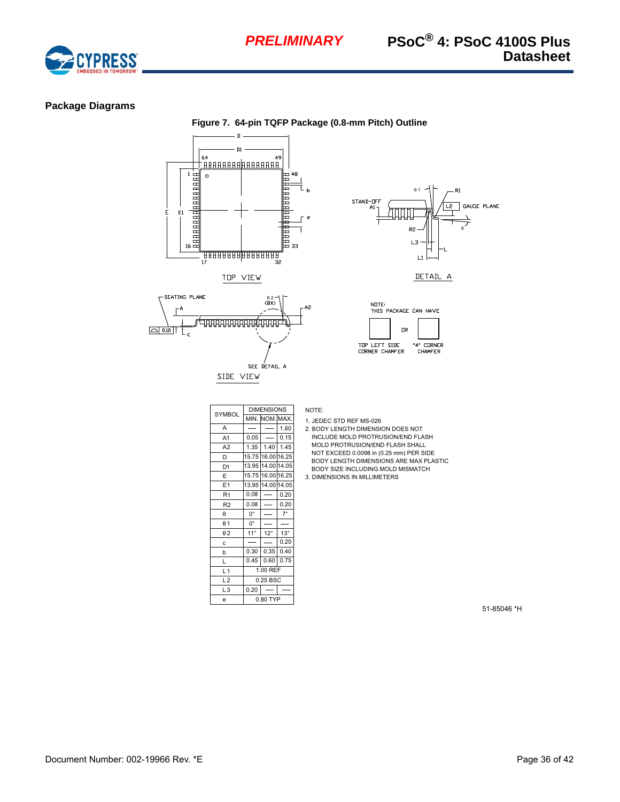

## <span id="page-35-0"></span>**Package Diagrams**

**Figure 7. 64-pin TQFP Package (0.8-mm Pitch) Outline** <sup>49</sup><br>ERA A 1994 A 1994 A 1994 E 64  $\frac{1}{2}$  атало на народности.  $\circ$  $\mathsf{E}1$ E F 33 <u>, TRAARAARAARAARAA</u><br>TARAARAARAARAARAA ں<br>32 TOP VIEW

╘╝┪┪┪┪┪┪┪┪┪┪┪┪

SIDE VIEW

SEATING PLANE

 $\mathsf{L}_{\mathsf{c}}$ 

 $\Gamma^{\mathsf{A}}$ 

 $\boxed{\bigcirc}$  0.10

 $\overset{\scriptstyle \theta~2\ \phantom{.}}{(\rm 8X)}$ 

SEE DETAIL A







| <b>SYMBOL</b>  |              | <b>DIMENSIONS</b> |            |  |  |  |
|----------------|--------------|-------------------|------------|--|--|--|
|                | MIN.         | NOM. MAX.         |            |  |  |  |
| A              |              |                   | 1.60       |  |  |  |
| A <sub>1</sub> | 0.05         |                   | 0.15       |  |  |  |
| A <sub>2</sub> | 1.35         | 1.40              | 1.45       |  |  |  |
| D              | 15.75        | 16.00 16.25       |            |  |  |  |
| D1             | 13.95        | 14.00 14.05       |            |  |  |  |
| E              | 15.75        | 16.00 16.25       |            |  |  |  |
| E <sub>1</sub> | 13.95        | 14.00 14.05       |            |  |  |  |
| R <sub>1</sub> | 0.08         |                   | 0.20       |  |  |  |
| R <sub>2</sub> | 0.08         |                   | 0.20       |  |  |  |
| θ              | О°           |                   | $7^\circ$  |  |  |  |
| $\theta$ 1     | 0°           |                   |            |  |  |  |
| $\theta$ 2     | $11^{\circ}$ | $12^{\circ}$      | $13^\circ$ |  |  |  |
| C              |              |                   | 0.20       |  |  |  |
| b              | 0.30         | 0.35              | 0.40       |  |  |  |
| L              | 0.45         | 0.60              | 0.75       |  |  |  |
| L <sub>1</sub> | 1.00 REF     |                   |            |  |  |  |
| L <sub>2</sub> | 0.25 BSC     |                   |            |  |  |  |
| L <sub>3</sub> | 0.20         |                   |            |  |  |  |
| e              | 0.80 TYP     |                   |            |  |  |  |

NOTE:

 $A2$ 

- 1. JEDEC STD REF MS-026 2. BODY LENGTH DIMENSION DOES NOT
- MOLD PROTRUSION/END FLASH SHALL BODY LENGTH DIMENSIONS ARE MAX PLASTIC INCLUDE MOLD PROTRUSION/END FLASH NOT EXCEED 0.0098 in (0.25 mm) PER SIDE BODY SIZE INCLUDING MOLD MISMATCH
- 3. DIMENSIONS IN MILLIMETERS

51-85046 \*H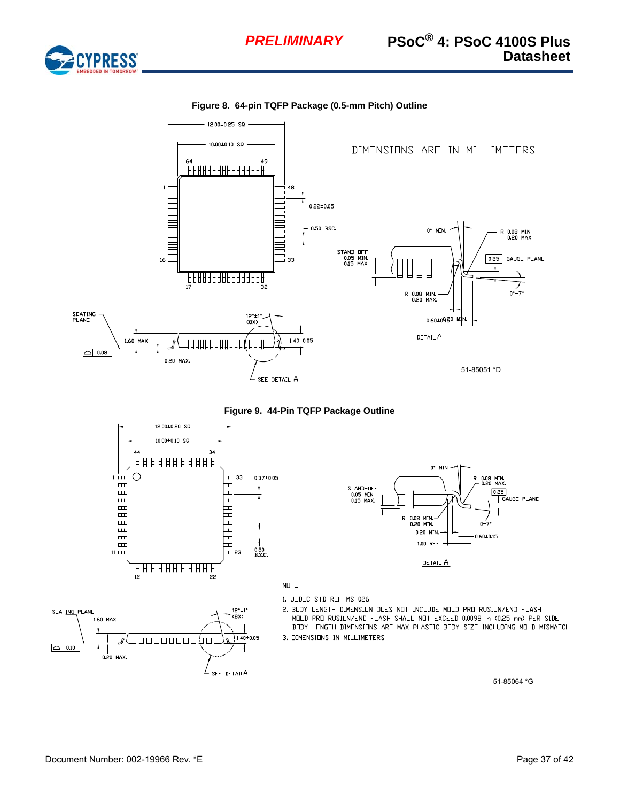

**Figure 8. 64-pin TQFP Package (0.5-mm Pitch) Outline**



**Figure 9. 44-Pin TQFP Package Outline**







NOTE:

- 1. JEDEC STD REF MS-026
- 2. BODY LENGTH DIMENSION DOES NOT INCLUDE MOLD PROTRUSION/END FLASH MOLD PROTRUSION/END FLASH SHALL NOT EXCEED 0.0098 in (0.25 mm) PER SIDE BODY LENGTH DIMENSIONS ARE MAX PLASTIC BODY SIZE INCLUDING MOLD MISMATCH 3. DIMENSIONS IN MILLIMETERS

51-85064 \*G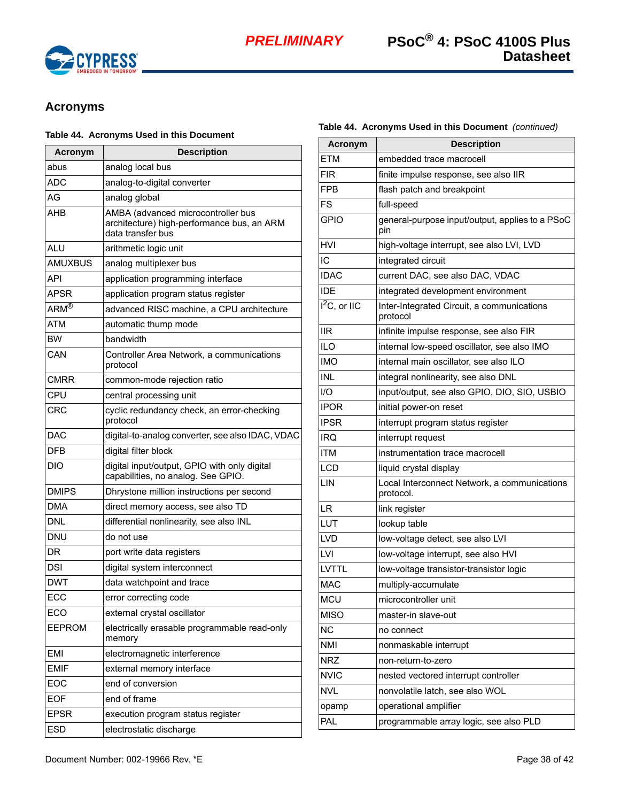

# <span id="page-37-0"></span>**Acronyms**

#### **Table 44. Acronyms Used in this Document**

| <b>Acronym</b>    | <b>Description</b>                                                                                    |  |  |
|-------------------|-------------------------------------------------------------------------------------------------------|--|--|
| abus              | analog local bus                                                                                      |  |  |
| <b>ADC</b>        | analog-to-digital converter                                                                           |  |  |
| AG                | analog global                                                                                         |  |  |
| AHB               | AMBA (advanced microcontroller bus<br>architecture) high-performance bus, an ARM<br>data transfer bus |  |  |
| ALU               | arithmetic logic unit                                                                                 |  |  |
| <b>AMUXBUS</b>    | analog multiplexer bus                                                                                |  |  |
| API               | application programming interface                                                                     |  |  |
| APSR              | application program status register                                                                   |  |  |
| $ARM^{\circledR}$ | advanced RISC machine, a CPU architecture                                                             |  |  |
| <b>ATM</b>        | automatic thump mode                                                                                  |  |  |
| <b>BW</b>         | bandwidth                                                                                             |  |  |
| CAN               | Controller Area Network, a communications<br>protocol                                                 |  |  |
| <b>CMRR</b>       | common-mode rejection ratio                                                                           |  |  |
| CPU               | central processing unit                                                                               |  |  |
| CRC               | cyclic redundancy check, an error-checking<br>protocol                                                |  |  |
| <b>DAC</b>        | digital-to-analog converter, see also IDAC, VDAC                                                      |  |  |
| <b>DFB</b>        | digital filter block                                                                                  |  |  |
| <b>DIO</b>        | digital input/output, GPIO with only digital<br>capabilities, no analog. See GPIO.                    |  |  |
| <b>DMIPS</b>      | Dhrystone million instructions per second                                                             |  |  |
| <b>DMA</b>        | direct memory access, see also TD                                                                     |  |  |
| <b>DNL</b>        | differential nonlinearity, see also INL                                                               |  |  |
| DNU               | do not use                                                                                            |  |  |
| DR                | port write data registers                                                                             |  |  |
| DSI               | digital system interconnect                                                                           |  |  |
| <b>DWT</b>        | data watchpoint and trace                                                                             |  |  |
| ECC               | error correcting code                                                                                 |  |  |
| ECO               | external crystal oscillator                                                                           |  |  |
| <b>EEPROM</b>     | electrically erasable programmable read-only<br>memory                                                |  |  |
| <b>EMI</b>        | electromagnetic interference                                                                          |  |  |
| <b>EMIF</b>       | external memory interface                                                                             |  |  |
| EOC               | end of conversion                                                                                     |  |  |
| <b>EOF</b>        | end of frame                                                                                          |  |  |
| <b>EPSR</b>       | execution program status register                                                                     |  |  |
| <b>ESD</b>        | electrostatic discharge                                                                               |  |  |

## **Table 44. Acronyms Used in this Document** *(continued)*

| <b>Acronym</b>             | <b>Description</b>                                        |  |  |
|----------------------------|-----------------------------------------------------------|--|--|
| <b>ETM</b>                 | embedded trace macrocell                                  |  |  |
| FIR                        | finite impulse response, see also IIR                     |  |  |
| <b>FPB</b>                 | flash patch and breakpoint                                |  |  |
| FS                         | full-speed                                                |  |  |
| <b>GPIO</b>                | general-purpose input/output, applies to a PSoC<br>pin    |  |  |
| HVI                        | high-voltage interrupt, see also LVI, LVD                 |  |  |
| IC                         | integrated circuit                                        |  |  |
| <b>IDAC</b>                | current DAC, see also DAC, VDAC                           |  |  |
| <b>IDE</b>                 | integrated development environment                        |  |  |
| $\overline{I^2}C$ , or IIC | Inter-Integrated Circuit, a communications<br>protocol    |  |  |
| <b>IIR</b>                 | infinite impulse response, see also FIR                   |  |  |
| ILO                        | internal low-speed oscillator, see also IMO               |  |  |
| <b>IMO</b>                 | internal main oscillator, see also ILO                    |  |  |
| INL                        | integral nonlinearity, see also DNL                       |  |  |
| 1/O                        | input/output, see also GPIO, DIO, SIO, USBIO              |  |  |
| <b>IPOR</b>                | initial power-on reset                                    |  |  |
| <b>IPSR</b>                | interrupt program status register                         |  |  |
| IRQ                        | interrupt request                                         |  |  |
| ITM                        | instrumentation trace macrocell                           |  |  |
| LCD                        | liquid crystal display                                    |  |  |
| LIN                        | Local Interconnect Network, a communications<br>protocol. |  |  |
| LR                         | link register                                             |  |  |
| LUT                        | lookup table                                              |  |  |
| LVD                        | low-voltage detect, see also LVI                          |  |  |
| LVI                        | low-voltage interrupt, see also HVI                       |  |  |
| LVTTL                      | low-voltage transistor-transistor logic                   |  |  |
| <b>MAC</b>                 | multiply-accumulate                                       |  |  |
| <b>MCU</b>                 | microcontroller unit                                      |  |  |
| <b>MISO</b>                | master-in slave-out                                       |  |  |
| <b>NC</b>                  | no connect                                                |  |  |
| <b>NMI</b>                 | nonmaskable interrupt                                     |  |  |
| <b>NRZ</b>                 | non-return-to-zero                                        |  |  |
| <b>NVIC</b>                | nested vectored interrupt controller                      |  |  |
| <b>NVL</b>                 | nonvolatile latch, see also WOL                           |  |  |
| opamp                      | operational amplifier                                     |  |  |
| PAL                        | programmable array logic, see also PLD                    |  |  |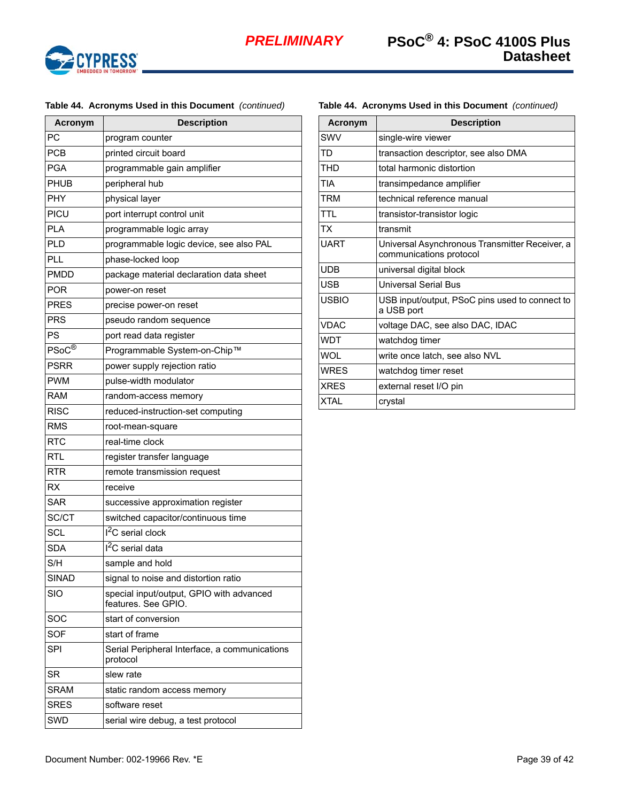

### **Table 44. Acronyms Used in this Document** *(continued)*

| Acronym      | <b>Description</b>                                              |  |  |
|--------------|-----------------------------------------------------------------|--|--|
| <b>PC</b>    | program counter                                                 |  |  |
| <b>PCB</b>   | printed circuit board                                           |  |  |
| PGA          | programmable gain amplifier                                     |  |  |
| <b>PHUB</b>  | peripheral hub                                                  |  |  |
| PHY          | physical layer                                                  |  |  |
| PICU         | port interrupt control unit                                     |  |  |
| <b>PLA</b>   | programmable logic array                                        |  |  |
| PLD          | programmable logic device, see also PAL                         |  |  |
| <b>PLL</b>   | phase-locked loop                                               |  |  |
| <b>PMDD</b>  | package material declaration data sheet                         |  |  |
| POR          | power-on reset                                                  |  |  |
| <b>PRES</b>  | precise power-on reset                                          |  |  |
| <b>PRS</b>   | pseudo random sequence                                          |  |  |
| PS           | port read data register                                         |  |  |
| PSoC®        | Programmable System-on-Chip™                                    |  |  |
| <b>PSRR</b>  | power supply rejection ratio                                    |  |  |
| <b>PWM</b>   | pulse-width modulator                                           |  |  |
| <b>RAM</b>   | random-access memory                                            |  |  |
| <b>RISC</b>  | reduced-instruction-set computing                               |  |  |
| <b>RMS</b>   | root-mean-square                                                |  |  |
| <b>RTC</b>   | real-time clock                                                 |  |  |
| <b>RTL</b>   | register transfer language                                      |  |  |
| <b>RTR</b>   | remote transmission request                                     |  |  |
| RX           | receive                                                         |  |  |
| <b>SAR</b>   | successive approximation register                               |  |  |
| SC/CT        | switched capacitor/continuous time                              |  |  |
| SCL          | $I2C$ serial clock                                              |  |  |
| SDA          | I <sup>2</sup> C serial data                                    |  |  |
| S/H          | sample and hold                                                 |  |  |
| <b>SINAD</b> | signal to noise and distortion ratio                            |  |  |
| <b>SIO</b>   | special input/output, GPIO with advanced<br>features. See GPIO. |  |  |
| SOC          | start of conversion                                             |  |  |
| SOF          | start of frame                                                  |  |  |
| <b>SPI</b>   | Serial Peripheral Interface, a communications<br>protocol       |  |  |
| <b>SR</b>    | slew rate                                                       |  |  |
| SRAM         | static random access memory                                     |  |  |
| <b>SRES</b>  | software reset                                                  |  |  |
| SWD          | serial wire debug, a test protocol                              |  |  |

| Acronym     | <b>Description</b>                                                        |  |  |
|-------------|---------------------------------------------------------------------------|--|--|
| SWV         | single-wire viewer                                                        |  |  |
| TD          | transaction descriptor, see also DMA                                      |  |  |
| <b>THD</b>  | total harmonic distortion                                                 |  |  |
| <b>TIA</b>  | transimpedance amplifier                                                  |  |  |
| TRM         | technical reference manual                                                |  |  |
| <b>TTL</b>  | transistor-transistor logic                                               |  |  |
| ТX          | transmit                                                                  |  |  |
| <b>UART</b> | Universal Asynchronous Transmitter Receiver, a<br>communications protocol |  |  |
| <b>UDB</b>  | universal digital block                                                   |  |  |
| USB         | Universal Serial Bus                                                      |  |  |
| USBIO       | USB input/output, PSoC pins used to connect to<br>a USB port              |  |  |
| <b>VDAC</b> | voltage DAC, see also DAC, IDAC                                           |  |  |
| WDT         | watchdog timer                                                            |  |  |
| <b>IOW</b>  | write once latch, see also NVL                                            |  |  |
| <b>WRFS</b> | watchdog timer reset                                                      |  |  |
| <b>XRFS</b> | external reset I/O pin                                                    |  |  |
| <b>XTAL</b> | crystal                                                                   |  |  |

## **Table 44. Acronyms Used in this Document** *(continued)*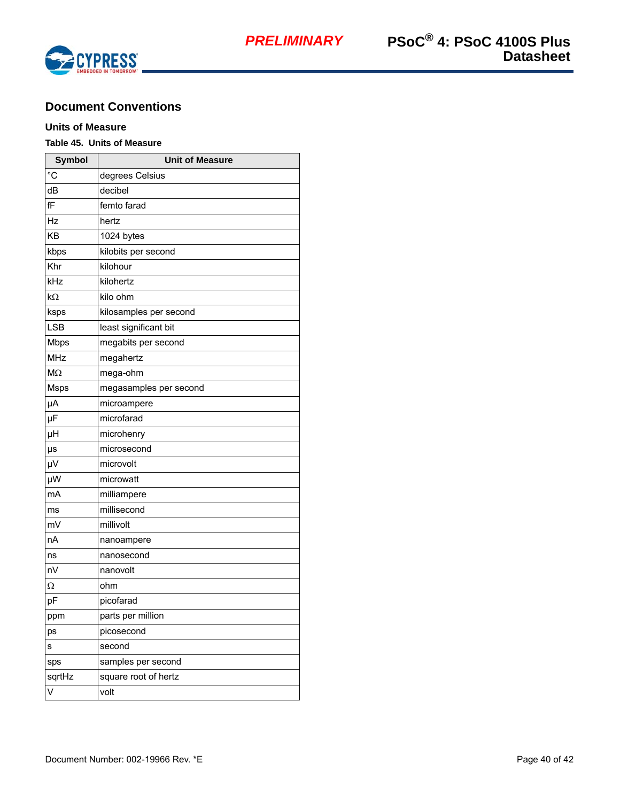

# <span id="page-39-0"></span>**Document Conventions**

# <span id="page-39-1"></span>**Units of Measure**

# **Table 45. Units of Measure**

| <b>Symbol</b> | <b>Unit of Measure</b> |  |  |
|---------------|------------------------|--|--|
| $^{\circ}C$   | degrees Celsius        |  |  |
| dB            | decibel                |  |  |
| fF            | femto farad            |  |  |
| Hz            | hertz                  |  |  |
| KB            | 1024 bytes             |  |  |
| kbps          | kilobits per second    |  |  |
| Khr           | kilohour               |  |  |
| kHz           | kilohertz              |  |  |
| kΩ            | kilo ohm               |  |  |
| ksps          | kilosamples per second |  |  |
| <b>LSB</b>    | least significant bit  |  |  |
| <b>Mbps</b>   | megabits per second    |  |  |
| MHz           | megahertz              |  |  |
| $M\Omega$     | mega-ohm               |  |  |
| <b>Msps</b>   | megasamples per second |  |  |
| μA            | microampere            |  |  |
| μF            | microfarad             |  |  |
| μH            | microhenry             |  |  |
| μs            | microsecond            |  |  |
| μV            | microvolt              |  |  |
| μW            | microwatt              |  |  |
| mA            | milliampere            |  |  |
| ms            | millisecond            |  |  |
| mV            | millivolt              |  |  |
| nA            | nanoampere             |  |  |
| ns            | nanosecond             |  |  |
| nV            | nanovolt               |  |  |
| Ω             | ohm                    |  |  |
| pF            | picofarad              |  |  |
| ppm           | parts per million      |  |  |
| ps            | picosecond             |  |  |
| S             | second                 |  |  |
| sps           | samples per second     |  |  |
| sqrtHz        | square root of hertz   |  |  |
| V             | volt                   |  |  |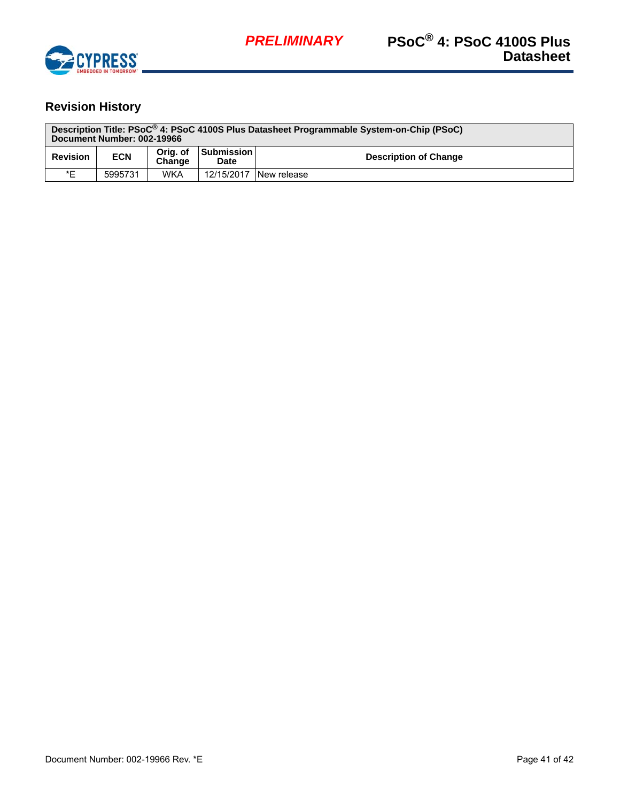

# <span id="page-40-0"></span>**Revision History**

| Description Title: PSoC <sup>®</sup> 4: PSoC 4100S Plus Datasheet Programmable System-on-Chip (PSoC)<br>Document Number: 002-19966 |            |                    |                           |                              |  |
|------------------------------------------------------------------------------------------------------------------------------------|------------|--------------------|---------------------------|------------------------------|--|
| <b>Revision</b>                                                                                                                    | <b>ECN</b> | Oria, of<br>Change | <b>Submission</b><br>Date | <b>Description of Change</b> |  |
| *E                                                                                                                                 | 5995731    | <b>WKA</b>         | 12/15/2017                | New release                  |  |